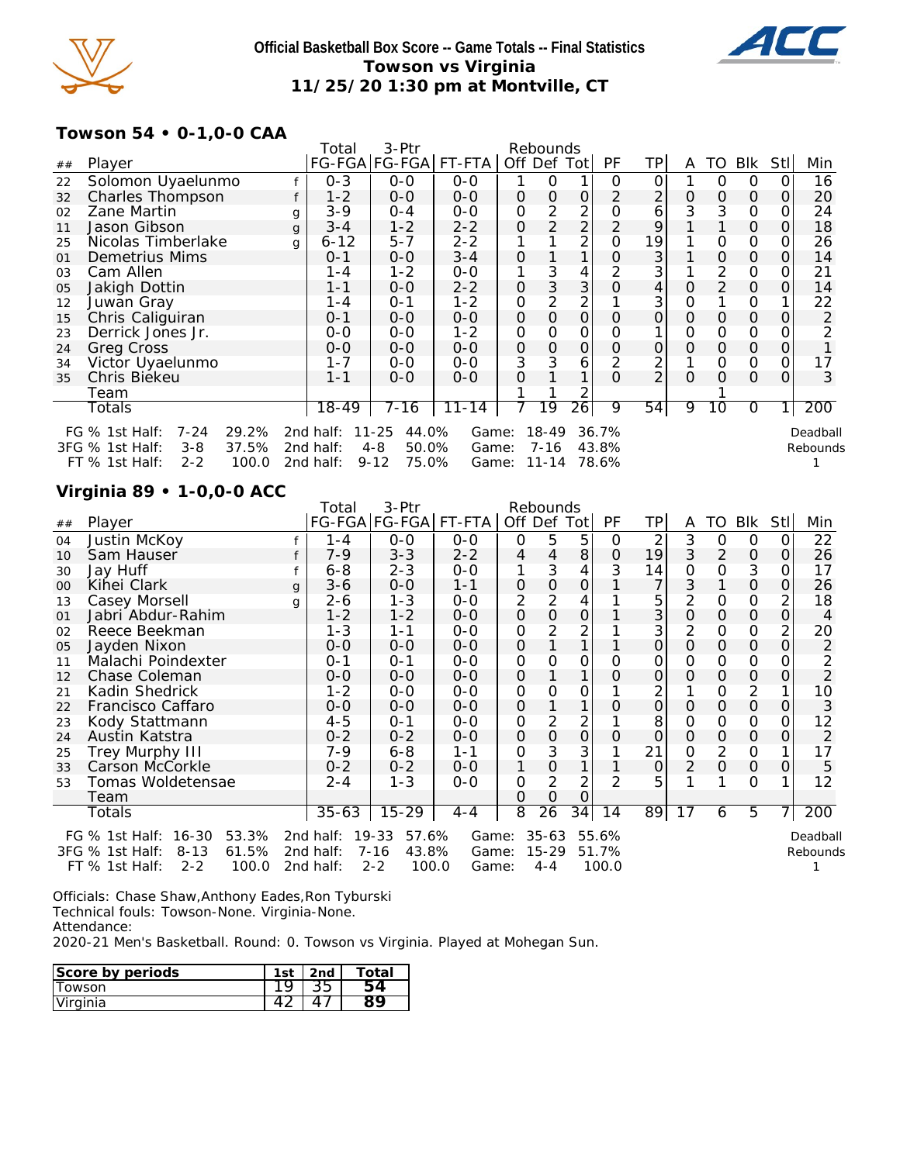

### **Official Basketball Box Score -- Game Totals -- Final Statistics Towson vs Virginia 11/25/20 1:30 pm at Montville, CT**



## **Towson 54 • 0-1,0-0 CAA**

|    |                                      |   | Total                 | 3-Ptr             |           | Rebounds      |                |                 |                |                |          |                |               |      |                  |
|----|--------------------------------------|---|-----------------------|-------------------|-----------|---------------|----------------|-----------------|----------------|----------------|----------|----------------|---------------|------|------------------|
| ## | Player                               |   | FG-FGA FG-FGA  FT-FTA |                   |           | Off Def       |                | Totl            | PF             | TP             | A        | TO             | Blk           | Stll | Min              |
| 22 | Solomon Uyaelunmo                    |   | $0 - 3$               | $0 - 0$           | $0 - 0$   |               | O              | 1.              | Ο              | 0              |          | Ο              | Ο             | ი    | 16               |
| 32 | <b>Charles Thompson</b>              |   | $1 - 2$               | $0 - 0$           | $0 - 0$   | $\mathcal{O}$ | 0              | 0               | 2              | 2              | 0        | $\Omega$       | $\mathcal{O}$ | Ο    | 20               |
| 02 | Zane Martin                          | g | $3 - 9$               | $0 - 4$           | $0 - 0$   | 0             | 2              | 2               | 0              | 6              | 3        | 3              | 0             |      | 24               |
| 11 | Jason Gibson                         | g | $3 - 4$               | $1 - 2$           | $2 - 2$   | O             | $\overline{2}$ | $\overline{2}$  | $\overline{2}$ | 9              |          |                | $\mathcal{O}$ | O    | 18               |
| 25 | Nicolas Timberlake                   | g | $6 - 12$              | $5 - 7$           | $2 - 2$   |               |                | $\overline{2}$  | 0              | 19             |          | 0              | 0             |      | 26               |
| 01 | Demetrius Mims                       |   | $0 - 1$               | $0 - 0$           | $3 - 4$   | O             |                |                 | 0              | 3              |          | $\Omega$       | 0             |      | 14               |
| 03 | Cam Allen                            |   | 1-4                   | $1 - 2$           | $0 - 0$   |               | 3              | 4               |                | 3              |          | 2              | 0             |      | 21               |
| 05 | Jakigh Dottin                        |   | $1 - 1$               | $0 - 0$           | $2 - 2$   | 0             | 3              | 3               | 0              | 4              | 0        | $\overline{2}$ | $\mathbf 0$   |      | 14               |
| 12 | Juwan Gray                           |   | 1-4                   | $O - 1$           | $1 - 2$   | 0             | 2              | $\overline{2}$  |                | 3              | 0        |                | 0             |      | 22               |
| 15 | Chris Caliguiran                     |   | $0 - 1$               | $0 - 0$           | $0 - 0$   | 0             | 0              | O               | 0              | 0              | 0        | 0              | $\Omega$      |      | 2                |
| 23 | Derrick Jones Jr.                    |   | $0 - 0$               | $0 - 0$           | $1 - 2$   | 0             | Ο              | O               | ი              |                | O        | 0              | 0             |      |                  |
| 24 | <b>Greg Cross</b>                    |   | $0 - 0$               | $0 - 0$           | $0 - 0$   | 0             | 0              | 0               | 0              | 0              | 0        | $\Omega$       | $\mathcal{O}$ |      |                  |
| 34 | Victor Uyaelunmo                     |   | $1 - 7$               | 0-0               | $O-O$     | 3             | 3              | 6               |                | 2              |          | Ο              | 0             |      | 17               |
| 35 | Chris Biekeu                         |   | $1 - 1$               | $0 - 0$           | $0 - 0$   | O             |                |                 | $\Omega$       | $\overline{2}$ | $\Omega$ | O              | $\Omega$      | 0    | 3                |
|    | Team                                 |   |                       |                   |           |               |                |                 |                |                |          |                |               |      |                  |
|    | Totals                               |   | 18-49                 | 7-16              | $11 - 14$ |               | 19             | $\overline{26}$ | 9              | 54             | 9        | 10             | 0             |      | $\overline{200}$ |
|    | FG % 1st Half:<br>$7 - 24$<br>29.2%  |   | 2nd half:             | 11-25<br>44.0%    | Game:     |               | $18 - 49$      |                 | 36.7%          |                |          |                |               |      | Deadball         |
|    | 3FG % 1st Half:<br>37.5%<br>$3 - 8$  |   | 2nd half:             | $4 - 8$<br>50.0%  | Game:     |               | $7 - 16$       |                 | 43.8%          |                |          |                |               |      | Rebounds         |
|    | $FT$ % 1st Half:<br>$2 - 2$<br>100.0 |   | 2nd half:             | 75.0%<br>$9 - 12$ | Game:     |               | $11 - 14$      |                 | 78.6%          |                |          |                |               |      |                  |

## **Virginia 89 • 1-0,0-0 ACC**

|        | 3-Ptr<br>Rebounds<br>Total<br>FG-FGA FG-FGA<br>FT-FTA<br>PF<br>TP<br><b>BIK</b><br>Off Def Tot<br>TO<br>Stll<br>Min<br>Player<br>A<br>5<br>2<br>3<br>22<br>5<br>Justin McKoy<br>$0 - 0$<br>$0 - 0$<br>0<br>0<br>1-4<br>0<br>ΟI<br>0<br>8<br>19<br>3<br>2<br>Sam Hauser<br>$7 - 9$<br>$3 - 3$<br>$2 - 2$<br>26<br>O<br>$\Omega$<br>4<br>0<br>4<br>3<br>3<br>3<br>0<br>4<br>14<br>$6 - 8$<br>$2 - 3$<br>17<br>Jay Huff<br>$0 - 0$<br>0<br>0<br>0<br>7<br>3<br>0<br>26<br>Kihei Clark<br>$3-6$<br>$0 - 0$<br>$1 - 1$<br>$\Omega$<br>0<br>0<br>g<br>$\overline{2}$<br>$\overline{2}$<br>5<br>$\overline{2}$<br>2<br>4<br>0<br>0<br>Casey Morsell<br>$2 - 6$<br>18<br>$1 - 3$<br>$0 - 0$<br>g<br>3<br>0<br>0<br>0<br>0<br>Jabri Abdur-Rahim<br>$1 - 2$<br>$1 - 2$<br>$0 - 0$<br>0<br>0<br>0<br>4<br>$\overline{2}$<br>3<br>2<br>2<br>0<br>20<br>Reece Beekman<br>$1 - 3$<br>$1 - 1$<br>$0 - 0$<br>0<br>0<br>0<br>0<br>0<br>0<br>2<br>Jayden Nixon<br>$0 - 0$<br>$0 - 0$<br>$0 - 0$<br>O<br>Ο<br>0<br>Malachi Poindexter<br>0<br>0<br>$O - 1$<br>$0 - 0$<br>0<br>0<br>0<br>$0 - 1$<br>Ο<br>Ο<br>Ο<br>$\overline{2}$<br>O<br>0<br>$0-0$<br>0<br>0<br>Chase Coleman<br>$0 - 0$<br>0<br>0<br>$0 - 0$<br>0<br>$\overline{2}$<br>2<br>Kadin Shedrick<br>0<br>0<br>10<br>$1 - 2$<br>$0 - 0$<br>$0 - 0$<br>0<br>0<br>O<br>0<br>3<br>$0-0$<br>0<br>0<br>0<br>0<br>$0 - 0$<br>$0 - 0$<br>Francisco Caffaro<br>0<br>$\overline{2}$<br>$\overline{2}$<br>8<br>0<br>12<br>0<br>Kody Stattmann<br>$4 - 5$<br>$0 - 0$<br>0<br>0<br>$0 - 1$<br>0<br>0<br>2<br>$\mathcal{O}$<br>0<br>0<br>Austin Katstra<br>$0-0$<br>0<br>0<br>0<br>$0 - 2$<br>$0 - 2$<br>0<br>0<br>3<br>21<br>$\overline{2}$<br>17<br>0<br>0<br>0<br>Trey Murphy III<br>7-9<br>$6 - 8$<br>$1 - 1$<br>2<br>Carson McCorkle<br>0<br>0<br>5<br>1<br>0<br>0<br>$0 - 2$<br>$0 - 2$<br>$0 - 0$<br>Ο<br>$\overline{2}$<br>$\overline{2}$<br>12<br>0<br>5<br>0<br>Tomas Woldetensae<br>$2 - 4$<br>$1 - 3$<br>$0 - 0$<br>0<br>0<br>$\mathcal{O}$<br>Team<br>8<br>200<br>89<br>5<br>$35 - 63$<br>$15 - 29$<br>$\overline{26}$<br>$\overline{34}$<br>$\overline{14}$<br>17<br>7<br>$4 - 4$<br>Totals<br>6 |  |           |                    |       |           |       |  |  |          |
|--------|-------------------------------------------------------------------------------------------------------------------------------------------------------------------------------------------------------------------------------------------------------------------------------------------------------------------------------------------------------------------------------------------------------------------------------------------------------------------------------------------------------------------------------------------------------------------------------------------------------------------------------------------------------------------------------------------------------------------------------------------------------------------------------------------------------------------------------------------------------------------------------------------------------------------------------------------------------------------------------------------------------------------------------------------------------------------------------------------------------------------------------------------------------------------------------------------------------------------------------------------------------------------------------------------------------------------------------------------------------------------------------------------------------------------------------------------------------------------------------------------------------------------------------------------------------------------------------------------------------------------------------------------------------------------------------------------------------------------------------------------------------------------------------------------------------------------------------------------------------------------------------------------------------------------------------------------------------------------------------------------------------------------------------------------------------------------------------------------------------------------------------------------|--|-----------|--------------------|-------|-----------|-------|--|--|----------|
| ##     |                                                                                                                                                                                                                                                                                                                                                                                                                                                                                                                                                                                                                                                                                                                                                                                                                                                                                                                                                                                                                                                                                                                                                                                                                                                                                                                                                                                                                                                                                                                                                                                                                                                                                                                                                                                                                                                                                                                                                                                                                                                                                                                                           |  |           |                    |       |           |       |  |  |          |
| 04     |                                                                                                                                                                                                                                                                                                                                                                                                                                                                                                                                                                                                                                                                                                                                                                                                                                                                                                                                                                                                                                                                                                                                                                                                                                                                                                                                                                                                                                                                                                                                                                                                                                                                                                                                                                                                                                                                                                                                                                                                                                                                                                                                           |  |           |                    |       |           |       |  |  |          |
| 10     |                                                                                                                                                                                                                                                                                                                                                                                                                                                                                                                                                                                                                                                                                                                                                                                                                                                                                                                                                                                                                                                                                                                                                                                                                                                                                                                                                                                                                                                                                                                                                                                                                                                                                                                                                                                                                                                                                                                                                                                                                                                                                                                                           |  |           |                    |       |           |       |  |  |          |
| 30     |                                                                                                                                                                                                                                                                                                                                                                                                                                                                                                                                                                                                                                                                                                                                                                                                                                                                                                                                                                                                                                                                                                                                                                                                                                                                                                                                                                                                                                                                                                                                                                                                                                                                                                                                                                                                                                                                                                                                                                                                                                                                                                                                           |  |           |                    |       |           |       |  |  |          |
| $00\,$ |                                                                                                                                                                                                                                                                                                                                                                                                                                                                                                                                                                                                                                                                                                                                                                                                                                                                                                                                                                                                                                                                                                                                                                                                                                                                                                                                                                                                                                                                                                                                                                                                                                                                                                                                                                                                                                                                                                                                                                                                                                                                                                                                           |  |           |                    |       |           |       |  |  |          |
| 13     |                                                                                                                                                                                                                                                                                                                                                                                                                                                                                                                                                                                                                                                                                                                                                                                                                                                                                                                                                                                                                                                                                                                                                                                                                                                                                                                                                                                                                                                                                                                                                                                                                                                                                                                                                                                                                                                                                                                                                                                                                                                                                                                                           |  |           |                    |       |           |       |  |  |          |
| 01     |                                                                                                                                                                                                                                                                                                                                                                                                                                                                                                                                                                                                                                                                                                                                                                                                                                                                                                                                                                                                                                                                                                                                                                                                                                                                                                                                                                                                                                                                                                                                                                                                                                                                                                                                                                                                                                                                                                                                                                                                                                                                                                                                           |  |           |                    |       |           |       |  |  |          |
| 02     |                                                                                                                                                                                                                                                                                                                                                                                                                                                                                                                                                                                                                                                                                                                                                                                                                                                                                                                                                                                                                                                                                                                                                                                                                                                                                                                                                                                                                                                                                                                                                                                                                                                                                                                                                                                                                                                                                                                                                                                                                                                                                                                                           |  |           |                    |       |           |       |  |  |          |
| 05     |                                                                                                                                                                                                                                                                                                                                                                                                                                                                                                                                                                                                                                                                                                                                                                                                                                                                                                                                                                                                                                                                                                                                                                                                                                                                                                                                                                                                                                                                                                                                                                                                                                                                                                                                                                                                                                                                                                                                                                                                                                                                                                                                           |  |           |                    |       |           |       |  |  |          |
| 11     |                                                                                                                                                                                                                                                                                                                                                                                                                                                                                                                                                                                                                                                                                                                                                                                                                                                                                                                                                                                                                                                                                                                                                                                                                                                                                                                                                                                                                                                                                                                                                                                                                                                                                                                                                                                                                                                                                                                                                                                                                                                                                                                                           |  |           |                    |       |           |       |  |  |          |
| 12     |                                                                                                                                                                                                                                                                                                                                                                                                                                                                                                                                                                                                                                                                                                                                                                                                                                                                                                                                                                                                                                                                                                                                                                                                                                                                                                                                                                                                                                                                                                                                                                                                                                                                                                                                                                                                                                                                                                                                                                                                                                                                                                                                           |  |           |                    |       |           |       |  |  |          |
| 21     |                                                                                                                                                                                                                                                                                                                                                                                                                                                                                                                                                                                                                                                                                                                                                                                                                                                                                                                                                                                                                                                                                                                                                                                                                                                                                                                                                                                                                                                                                                                                                                                                                                                                                                                                                                                                                                                                                                                                                                                                                                                                                                                                           |  |           |                    |       |           |       |  |  |          |
| 22     |                                                                                                                                                                                                                                                                                                                                                                                                                                                                                                                                                                                                                                                                                                                                                                                                                                                                                                                                                                                                                                                                                                                                                                                                                                                                                                                                                                                                                                                                                                                                                                                                                                                                                                                                                                                                                                                                                                                                                                                                                                                                                                                                           |  |           |                    |       |           |       |  |  |          |
| 23     |                                                                                                                                                                                                                                                                                                                                                                                                                                                                                                                                                                                                                                                                                                                                                                                                                                                                                                                                                                                                                                                                                                                                                                                                                                                                                                                                                                                                                                                                                                                                                                                                                                                                                                                                                                                                                                                                                                                                                                                                                                                                                                                                           |  |           |                    |       |           |       |  |  |          |
| 24     |                                                                                                                                                                                                                                                                                                                                                                                                                                                                                                                                                                                                                                                                                                                                                                                                                                                                                                                                                                                                                                                                                                                                                                                                                                                                                                                                                                                                                                                                                                                                                                                                                                                                                                                                                                                                                                                                                                                                                                                                                                                                                                                                           |  |           |                    |       |           |       |  |  |          |
| 25     |                                                                                                                                                                                                                                                                                                                                                                                                                                                                                                                                                                                                                                                                                                                                                                                                                                                                                                                                                                                                                                                                                                                                                                                                                                                                                                                                                                                                                                                                                                                                                                                                                                                                                                                                                                                                                                                                                                                                                                                                                                                                                                                                           |  |           |                    |       |           |       |  |  |          |
| 33     |                                                                                                                                                                                                                                                                                                                                                                                                                                                                                                                                                                                                                                                                                                                                                                                                                                                                                                                                                                                                                                                                                                                                                                                                                                                                                                                                                                                                                                                                                                                                                                                                                                                                                                                                                                                                                                                                                                                                                                                                                                                                                                                                           |  |           |                    |       |           |       |  |  |          |
| 53     |                                                                                                                                                                                                                                                                                                                                                                                                                                                                                                                                                                                                                                                                                                                                                                                                                                                                                                                                                                                                                                                                                                                                                                                                                                                                                                                                                                                                                                                                                                                                                                                                                                                                                                                                                                                                                                                                                                                                                                                                                                                                                                                                           |  |           |                    |       |           |       |  |  |          |
|        |                                                                                                                                                                                                                                                                                                                                                                                                                                                                                                                                                                                                                                                                                                                                                                                                                                                                                                                                                                                                                                                                                                                                                                                                                                                                                                                                                                                                                                                                                                                                                                                                                                                                                                                                                                                                                                                                                                                                                                                                                                                                                                                                           |  |           |                    |       |           |       |  |  |          |
|        |                                                                                                                                                                                                                                                                                                                                                                                                                                                                                                                                                                                                                                                                                                                                                                                                                                                                                                                                                                                                                                                                                                                                                                                                                                                                                                                                                                                                                                                                                                                                                                                                                                                                                                                                                                                                                                                                                                                                                                                                                                                                                                                                           |  |           |                    |       |           |       |  |  |          |
|        | 16-30<br>FG % 1st Half:<br>53.3%                                                                                                                                                                                                                                                                                                                                                                                                                                                                                                                                                                                                                                                                                                                                                                                                                                                                                                                                                                                                                                                                                                                                                                                                                                                                                                                                                                                                                                                                                                                                                                                                                                                                                                                                                                                                                                                                                                                                                                                                                                                                                                          |  | 2nd half: | $19 - 33$<br>57.6% | Game: | $35 - 63$ | 55.6% |  |  | Deadball |
|        | $8 - 13$<br>61.5%<br>3FG % 1st Half:                                                                                                                                                                                                                                                                                                                                                                                                                                                                                                                                                                                                                                                                                                                                                                                                                                                                                                                                                                                                                                                                                                                                                                                                                                                                                                                                                                                                                                                                                                                                                                                                                                                                                                                                                                                                                                                                                                                                                                                                                                                                                                      |  | 2nd half: | $7 - 16$<br>43.8%  | Game: | $15 - 29$ | 51.7% |  |  | Rebounds |
|        | FT % 1st Half:<br>$2 - 2$<br>100.0                                                                                                                                                                                                                                                                                                                                                                                                                                                                                                                                                                                                                                                                                                                                                                                                                                                                                                                                                                                                                                                                                                                                                                                                                                                                                                                                                                                                                                                                                                                                                                                                                                                                                                                                                                                                                                                                                                                                                                                                                                                                                                        |  | 2nd half: | $2 - 2$<br>100.0   | Game: | $4 - 4$   | 100.0 |  |  |          |

Officials: Chase Shaw,Anthony Eades,Ron Tyburski Technical fouls: Towson-None. Virginia-None. Attendance:

2020-21 Men's Basketball. Round: 0. Towson vs Virginia. Played at Mohegan Sun.

| Score by periods |  | ïЯ |
|------------------|--|----|
| owson            |  |    |
| Virginia         |  |    |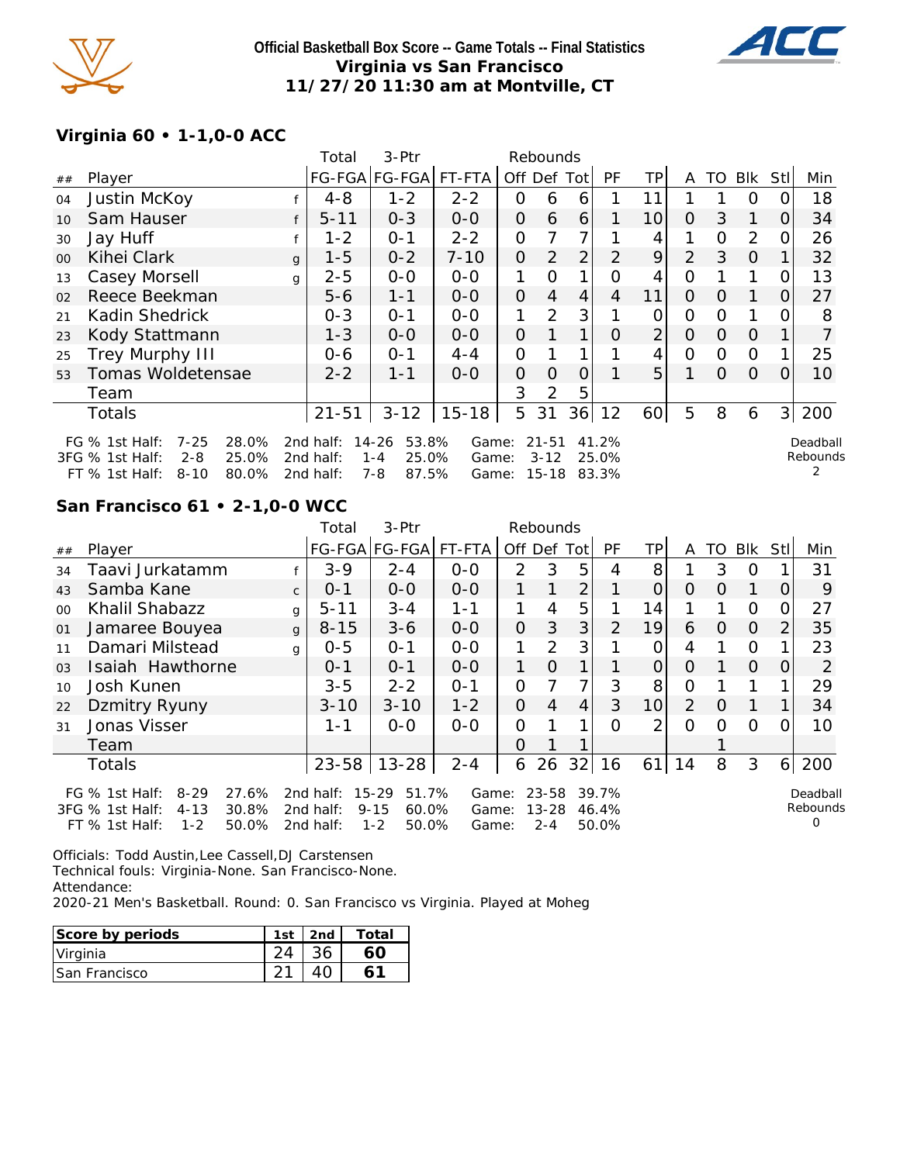

**Official Basketball Box Score -- Game Totals -- Final Statistics Virginia vs San Francisco 11/27/20 11:30 am at Montville, CT**



## **Virginia 60 • 1-1,0-0 ACC**

|        |                                                                                                                                                                                                                                                                                                                                                                                                                                                                                                                                                                                                                                 |              | Total    | 3-Ptr   |          | Rebounds       |                |                |                |                |              |          |          |          |                      |
|--------|---------------------------------------------------------------------------------------------------------------------------------------------------------------------------------------------------------------------------------------------------------------------------------------------------------------------------------------------------------------------------------------------------------------------------------------------------------------------------------------------------------------------------------------------------------------------------------------------------------------------------------|--------------|----------|---------|----------|----------------|----------------|----------------|----------------|----------------|--------------|----------|----------|----------|----------------------|
| ##     | Player                                                                                                                                                                                                                                                                                                                                                                                                                                                                                                                                                                                                                          |              |          |         |          |                |                |                | PF             | TP.            | A            | TO.      |          | Stll     | Min                  |
| 04     | Justin McKoy                                                                                                                                                                                                                                                                                                                                                                                                                                                                                                                                                                                                                    |              | $4 - 8$  | $1 - 2$ | $2 - 2$  | O              | 6              | 6              |                | 11             |              |          | O        |          | 18                   |
| 10     | Sam Hauser                                                                                                                                                                                                                                                                                                                                                                                                                                                                                                                                                                                                                      |              | $5 - 11$ | $0 - 3$ | $O-O$    | $\overline{O}$ | 6              | 6              |                | 10             | $\Omega$     | 3        |          | O        | 34                   |
| 30     | Jay Huff                                                                                                                                                                                                                                                                                                                                                                                                                                                                                                                                                                                                                        |              | $1 - 2$  | $O - 1$ | $2 - 2$  | 0              |                | 7              |                | 4              |              | $\Omega$ | 2        | O        | 26                   |
| $00\,$ | Kihei Clark                                                                                                                                                                                                                                                                                                                                                                                                                                                                                                                                                                                                                     | $\mathbf{q}$ | $1 - 5$  | $0 - 2$ | $7 - 10$ | $\overline{O}$ | 2              | $\overline{2}$ | $\overline{2}$ | 9              | 2            | 3        | $\Omega$ |          | 32                   |
| 13     | Casey Morsell                                                                                                                                                                                                                                                                                                                                                                                                                                                                                                                                                                                                                   | g            | $2 - 5$  | $0-0$   | $O-O$    | 1              | $\Omega$       |                | Ω              | 4              | 0            |          |          |          | 13                   |
| 02     | Reece Beekman                                                                                                                                                                                                                                                                                                                                                                                                                                                                                                                                                                                                                   |              | $5 - 6$  | $1 - 1$ | $0 - 0$  | $\overline{O}$ | $\overline{4}$ | 4              | 4              | 11             | $\Omega$     | $\Omega$ | 1        | $\Omega$ | 27                   |
| 21     | Kadin Shedrick                                                                                                                                                                                                                                                                                                                                                                                                                                                                                                                                                                                                                  |              | $0 - 3$  | $0 - 1$ | $O-O$    | 1              | 2              | 3              |                | 0              | $\mathbf{O}$ | $\Omega$ |          |          | 8                    |
| 23     | Kody Stattmann                                                                                                                                                                                                                                                                                                                                                                                                                                                                                                                                                                                                                  |              | $1 - 3$  | $0-0$   | $0-0$    | $\overline{O}$ |                | 1              | O              | $\overline{2}$ | $\Omega$     | $\Omega$ | $\Omega$ |          |                      |
| 25     | Trey Murphy III                                                                                                                                                                                                                                                                                                                                                                                                                                                                                                                                                                                                                 |              | 0-6      | $O - 1$ | $4 - 4$  | 0              |                |                |                | 4              | 0            | $\Omega$ | $\Omega$ |          | 25                   |
| 53     | FG-FGA FG-FGA<br>FT-FTA<br>Off Def<br>Blk<br>Totl<br>5<br>Tomas Woldetensae<br>$1 - 1$<br>$2 - 2$<br>$0 - 0$<br>$\Omega$<br>$\Omega$<br>10<br>0<br>O<br>0<br>$\Omega$<br>3<br>2<br>5<br>Team<br>200<br>5<br>31<br>36<br>5<br>8<br>3<br>$3 - 12$<br>$15 - 18$<br>12<br>60<br>$21 - 51$<br><b>Totals</b><br>6<br>$7 - 25$<br>28.0%<br>$14 - 26$<br>53.8%<br>$21 - 51$<br>41.2%<br>FG % 1st Half:<br>2nd half:<br>Game:<br>3FG % 1st Half:<br>25.0%<br>25.0%<br>$2 - 8$<br>2nd half:<br>$1 - 4$<br>$3 - 12$<br>25.0%<br>Game:<br>80.0%<br>7-8<br>87.5%<br>$15 - 18$<br>$8 - 10$<br>2nd half:<br>83.3%<br>$FT$ % 1st Half:<br>Game: |              |          |         |          |                |                |                |                |                |              |          |          |          |                      |
|        |                                                                                                                                                                                                                                                                                                                                                                                                                                                                                                                                                                                                                                 |              |          |         |          |                |                |                |                |                |              |          |          |          |                      |
|        |                                                                                                                                                                                                                                                                                                                                                                                                                                                                                                                                                                                                                                 |              |          |         |          |                |                |                |                |                |              |          |          |          |                      |
|        |                                                                                                                                                                                                                                                                                                                                                                                                                                                                                                                                                                                                                                 |              |          |         |          |                |                |                |                |                |              |          |          |          | Deadball<br>Rebounds |

# **San Francisco 61 • 2-1,0-0 WCC**

|                |                                                                                                                       |              | Total                                  | 3-Ptr                                                       |                         |                | Rebounds                          |             |                         |                |                |          |            |                |                           |
|----------------|-----------------------------------------------------------------------------------------------------------------------|--------------|----------------------------------------|-------------------------------------------------------------|-------------------------|----------------|-----------------------------------|-------------|-------------------------|----------------|----------------|----------|------------|----------------|---------------------------|
| ##             | Player                                                                                                                |              |                                        | FG-FGA FG-FGA                                               | FT-FTA                  |                |                                   | Off Def Tot | PF                      | <b>TP</b>      | A              | TO       | <b>BIK</b> | Stll           | Min                       |
| 34             | Taavi Jurkatamm                                                                                                       |              | $3 - 9$                                | $2 - 4$                                                     | $0 - 0$                 | $\mathcal{P}$  | 3                                 | 5           | 4                       | 8              |                | 3        | O          |                | 31                        |
| 43             | Samba Kane                                                                                                            | $\mathsf{C}$ | $O - 1$                                | $0-0$                                                       | $0 - 0$                 |                | 1                                 | 2           |                         | $\Omega$       | $\Omega$       | $\Omega$ | 1          | 0              | 9                         |
| $00 \,$        | Khalil Shabazz                                                                                                        | g            | $5 - 11$                               | $3 - 4$                                                     | $1 - 1$                 |                | 4                                 | 5           |                         | 14             |                |          | $\circ$    | 0              | 27                        |
| 01             | Jamaree Bouyea                                                                                                        | g            | $8 - 15$                               | $3 - 6$                                                     | $0 - 0$                 | $\overline{O}$ | 3                                 | 3           | $\overline{2}$          | 19             | 6              | 0        | $\Omega$   | $\overline{2}$ | 35                        |
| 11             | Damari Milstead                                                                                                       | q            | $0 - 5$                                | $O - 1$                                                     | $0 - 0$                 | 1              | 2                                 | 3           |                         | 0              | 4              |          | $\circ$    |                | 23                        |
| 0 <sub>3</sub> | Isaiah Hawthorne                                                                                                      |              | $O - 1$                                | $O - 1$                                                     | $0 - 0$                 | 1              | $\Omega$                          | 1           |                         | $\overline{O}$ | $\Omega$       |          | $\Omega$   | 0              | 2                         |
| 10             | Josh Kunen                                                                                                            |              | $3 - 5$                                | $2 - 2$                                                     | $O - 1$                 | $\overline{O}$ |                                   | 7           | 3                       | 8              | 0              |          |            |                | 29                        |
| 22             | Dzmitry Ryuny                                                                                                         |              | $3 - 10$                               | $3 - 10$                                                    | $1 - 2$                 | $\Omega$       | 4                                 | 4           | 3                       | 10l            | $\overline{2}$ | $\Omega$ |            |                | 34                        |
| 31             | Jonas Visser                                                                                                          |              | 1 - 1                                  | $O-O$                                                       | $0 - 0$                 | 0              |                                   | 1           | $\Omega$                | $\overline{2}$ | $\Omega$       | Ω        | $\Omega$   | ∩              | 10                        |
|                | Team                                                                                                                  |              |                                        |                                                             |                         | $\Omega$       |                                   |             |                         |                |                |          |            |                |                           |
|                | Totals                                                                                                                |              | $23 - 58$                              | $13 - 28$                                                   | $2 - 4$                 | 6              | 26                                | 32          | 16                      | 61             | 14             | 8        | 3          | 6 <sup>1</sup> | 200                       |
|                | FG $%$ 1st Half:<br>$8 - 29$<br>27.6%<br>3FG % 1st Half:<br>30.8%<br>$4 - 13$<br>$1 - 2$<br>$FT$ % 1st Half:<br>50.0% |              | 2 $nd$ half:<br>2nd half:<br>2nd half: | $15 - 29$<br>51.7%<br>60.0%<br>$9 - 15$<br>$1 - 2$<br>50.0% | Game:<br>Game:<br>Game: |                | $23 - 58$<br>$13 - 28$<br>$2 - 4$ |             | 39.7%<br>46.4%<br>50.0% |                |                |          |            |                | Deadball<br>Rebounds<br>Ω |

Officials: Todd Austin,Lee Cassell,DJ Carstensen Technical fouls: Virginia-None. San Francisco-None. Attendance:

2020-21 Men's Basketball. Round: 0. San Francisco vs Virginia. Played at Moheg

| Score by periods      | 1st | 2nd | Total |
|-----------------------|-----|-----|-------|
| Virginia              |     |     |       |
| <b>ISan Francisco</b> |     |     |       |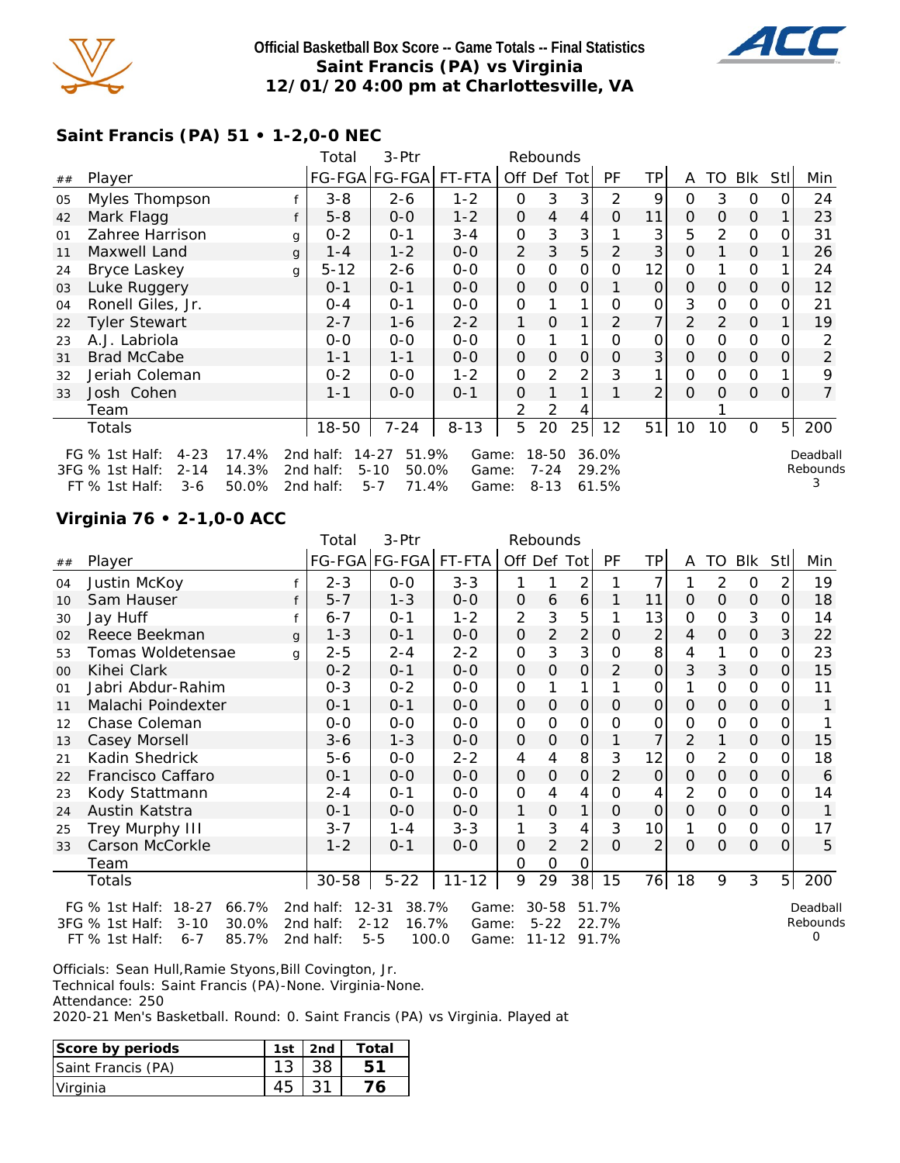

### **Official Basketball Box Score -- Game Totals -- Final Statistics Saint Francis (PA) vs Virginia 12/01/20 4:00 pm at Charlottesville, VA**



# **Saint Francis (PA) 51 • 1-2,0-0 NEC**

|    |                              |       | Total     | 3-Ptr                 |          |                | Rebounds      |              |       |                |          |          |               |                |                |
|----|------------------------------|-------|-----------|-----------------------|----------|----------------|---------------|--------------|-------|----------------|----------|----------|---------------|----------------|----------------|
| ## | Player                       |       |           | FG-FGA FG-FGA  FT-FTA |          | Off Def Tot    |               |              | PF    | ΤP             | A        |          | TO Blk        | Stll           | Min            |
| 05 | Myles Thompson               |       | $3 - 8$   | $2 - 6$               | $1 - 2$  | 0              | 3             | 3            | 2     | 9              | 0        | 3        | $\Omega$      |                | 24             |
| 42 | Mark Flagg                   |       | $5 - 8$   | $0 - 0$               | $1 - 2$  | $\Omega$       | 4             | 4            | 0     | 11             | $\Omega$ | $\Omega$ | $\mathcal{O}$ |                | 23             |
| 01 | Zahree Harrison              | g     | $0 - 2$   | $0 - 1$               | $3 - 4$  | 0              | 3             | 3            |       | 3              | 5        | 2        | $\mathcal{O}$ | Ω              | 31             |
| 11 | Maxwell Land                 | g     | $1 - 4$   | $1 - 2$               | $0 - 0$  | $\overline{2}$ | 3             | 5            | 2     | 3              | O        |          | $\Omega$      |                | 26             |
| 24 | Bryce Laskey                 | g     | $5 - 12$  | $2 - 6$               | $0 - 0$  | 0              | 0             | 0            | O     | 12             | 0        |          | $\mathcal{O}$ |                | 24             |
| 03 | Luke Ruggery                 |       | $0 - 1$   | $0 - 1$               | $0 - 0$  | $\Omega$       | 0             | 0            |       | O              | $\Omega$ | 0        | $\Omega$      | O              | 12             |
| 04 | Ronell Giles, Jr.            |       | 0-4       | $0 - 1$               | $O-O$    | 0              |               | 1            | Ω     | 0              | 3        | $\Omega$ | $\mathcal{O}$ | O              | 21             |
| 22 | <b>Tyler Stewart</b>         |       | $2 - 7$   | $1 - 6$               | $2 - 2$  |                | 0             |              | 2     | 7              | 2        | 2        | $\Omega$      |                | 19             |
| 23 | A.J. Labriola                |       | $0 - 0$   | $0 - 0$               | $0 - 0$  | 0              |               |              | Ο     | 0              | 0        | $\Omega$ | $\mathcal{O}$ |                |                |
| 31 | <b>Brad McCabe</b>           |       | $1 - 1$   | $1 - 1$               | $0 - 0$  | $\mathbf{O}$   | $\Omega$      | $\mathbf{O}$ | O     | 3              | $\Omega$ | 0        | $\Omega$      | O              | 2              |
| 32 | Jeriah Coleman               |       | $0 - 2$   | $0 - 0$               | $1 - 2$  | 0              | $\mathcal{P}$ | 2            | 3     | 1              | O        | $\Omega$ | $\mathcal{O}$ |                | 9              |
| 33 | Josh Cohen                   |       | $1 - 1$   | $0 - 0$               | $0 - 1$  | $\Omega$       |               | 1            |       | $\overline{2}$ | $\Omega$ | $\Omega$ | $\Omega$      | Ο              | $\overline{7}$ |
|    | Team                         |       |           |                       |          | 2              | 2             | 4            |       |                |          |          |               |                |                |
|    | Totals                       |       | 18-50     | $7 - 24$              | $8 - 13$ | 5              | 20            | 25           | 12    | 51             | 10       | 10       | $\mathbf 0$   | 5 <sub>l</sub> | 200            |
|    | $4 - 23$<br>FG $%$ 1st Half: | 17.4% | 2nd half: | $14 - 27$<br>51.9%    | Game:    |                | 18-50         |              | 36.0% |                |          |          |               |                | Deadball       |
|    | 3FG % 1st Half:<br>$2 - 14$  | 14.3% | 2nd half: | 50.0%<br>$5 - 10$     | Game:    |                | $7 - 24$      |              | 29.2% |                |          |          |               |                | Rebounds       |
|    | FT % 1st Half:<br>$3-6$      | 50.0% | 2nd half: | $5 - 7$<br>71.4%      | Game:    |                | $8 - 13$      |              | 61.5% |                |          |          |               |                |                |

## **Virginia 76 • 2-1,0-0 ACC**

|    |                                      |   | Total              | 3-Ptr                |           |                | Rebounds       |                |                |                 |                |               |               |                |          |
|----|--------------------------------------|---|--------------------|----------------------|-----------|----------------|----------------|----------------|----------------|-----------------|----------------|---------------|---------------|----------------|----------|
| ## | Player                               |   |                    | FG-FGA FG-FGA FT-FTA |           | Off Def Tot    |                |                | PF             | TP              | A              | TO            | Blk           | <b>StI</b>     | Min      |
| 04 | Justin McKoy                         |   | $2 - 3$            | $0-0$                | $3 - 3$   | 1              |                | $\overline{2}$ |                | 7               |                | 2             | $\circ$       | 2              | 19       |
| 10 | Sam Hauser                           |   | $5 - 7$            | $1 - 3$              | $0-0$     | 0              | 6              | 6              |                | 11              | $\mathcal{O}$  | $\mathcal{O}$ | $\Omega$      | $\mathcal{O}$  | 18       |
| 30 | Jay Huff                             |   | $6 - 7$            | $0 - 1$              | $1 - 2$   | $\overline{2}$ | 3              | 5              |                | 13              | O              | O             | 3             | 0              | 14       |
| 02 | Reece Beekman                        | g | $1 - 3$            | $0 - 1$              | $0-0$     | $\mathbf 0$    | 2              | 2              | $\Omega$       | $\overline{2}$  | 4              | $\Omega$      | 0             | $\mathcal{S}$  | 22       |
| 53 | Tomas Woldetensae                    | q | $2 - 5$            | $2 - 4$              | $2 - 2$   | $\mathcal{O}$  | 3              | 3              | 0              | 8               | 4              |               | 0             | 0              | 23       |
| 00 | Kihei Clark                          |   | $0 - 2$            | $0 - 1$              | $0-0$     | $\mathcal{O}$  | 0              | 0              | $\overline{2}$ | 0               | 3              | 3             | $\mathbf{O}$  | $\Omega$       | 15       |
| 01 | Jabri Abdur-Rahim                    |   | $0 - 3$            | $0 - 2$              | $O-O$     | $\mathcal{O}$  |                | 1              |                | 0               |                | O             | 0             | $\Omega$       | 11       |
| 11 | Malachi Poindexter                   |   | $0 - 1$            | $0 - 1$              | $0 - 0$   | $\mathcal{O}$  | 0              | 0              | $\Omega$       | 0               | $\mathcal{O}$  | O             | $\mathbf{O}$  | 0              | 1        |
| 12 | Chase Coleman                        |   | $0-0$              | $0 - 0$              | $0-0$     | 0              | O              | 0              | O              | 0               | 0              | O             | 0             | 0              |          |
| 13 | Casey Morsell                        |   | $3 - 6$            | $1 - 3$              | $0-0$     | 0              | 0              | 0              |                | 7               | 2              | 1             | 0             | 0              | 15       |
| 21 | Kadin Shedrick                       |   | $5 - 6$            | $0-0$                | $2 - 2$   | $\overline{4}$ | 4              | 8              | 3              | 12              | O              | 2             | 0             | 0              | 18       |
| 22 | Francisco Caffaro                    |   | $0 - 1$            | $0-0$                | $0-0$     | O              | O              | 0              | 2              | $\mathbf 0$     | $\Omega$       | $\mathcal{O}$ | 0             | 0              | 6        |
| 23 | Kody Stattmann                       |   | $2 - 4$            | $0 - 1$              | $0-0$     | $\mathcal{O}$  | 4              | 4              | $\Omega$       | 4               | 2              | O             | $\mathbf 0$   | $\Omega$       | 14       |
| 24 | Austin Katstra                       |   | $0 - 1$            | $0-0$                | $0-0$     | 1              | $\mathcal{O}$  | 1              | $\overline{O}$ | $\mathbf 0$     | $\overline{O}$ | $\mathcal{O}$ | $\mathcal{O}$ | $\overline{O}$ |          |
| 25 | Trey Murphy III                      |   | $3 - 7$            | $1 - 4$              | $3 - 3$   | 1              | 3              | 4              | 3              | 10 <sup>1</sup> |                | 0             | 0             | 0              | 17       |
| 33 | Carson McCorkle                      |   | $1 - 2$            | $0 - 1$              | $0 - 0$   | 0              | $\overline{2}$ | $\overline{2}$ | $\Omega$       | $\overline{2}$  | $\Omega$       | $\Omega$      | $\mathcal{O}$ | $\Omega$       | 5        |
|    | Team                                 |   |                    |                      |           | 0              | O              | 0              |                |                 |                |               |               |                |          |
|    | Totals                               |   | $30 - 58$          | $5 - 22$             | $11 - 12$ | 9              | 29             | 38             | 15             | 76              | 18             | 9             | 3             | 5 <sup>1</sup> | 200      |
|    | FG % 1st Half: 18-27<br>66.7%        |   | 12-31<br>2nd half: | 38.7%                | Game:     |                | $30 - 58$      |                | 51.7%          |                 |                |               |               |                | Deadball |
|    | 3FG % 1st Half:<br>$3 - 10$<br>30.0% |   | 2nd half:          | $2 - 12$<br>16.7%    | Game:     |                | $5 - 22$       |                | 22.7%          |                 |                |               |               |                | Rebounds |
|    | 85.7%<br>FT % 1st Half:<br>$6 - 7$   |   | 2nd half:          | $5 - 5$<br>100.0     | Game:     |                |                | 11-12 91.7%    |                |                 |                |               |               |                | Ω        |

Officials: Sean Hull,Ramie Styons,Bill Covington, Jr.

Technical fouls: Saint Francis (PA)-None. Virginia-None.

Attendance: 250

2020-21 Men's Basketball. Round: 0. Saint Francis (PA) vs Virginia. Played at

| Score by periods   | $1st$   2nd | Total |
|--------------------|-------------|-------|
| Saint Francis (PA) | 38          |       |
| Virginia           |             |       |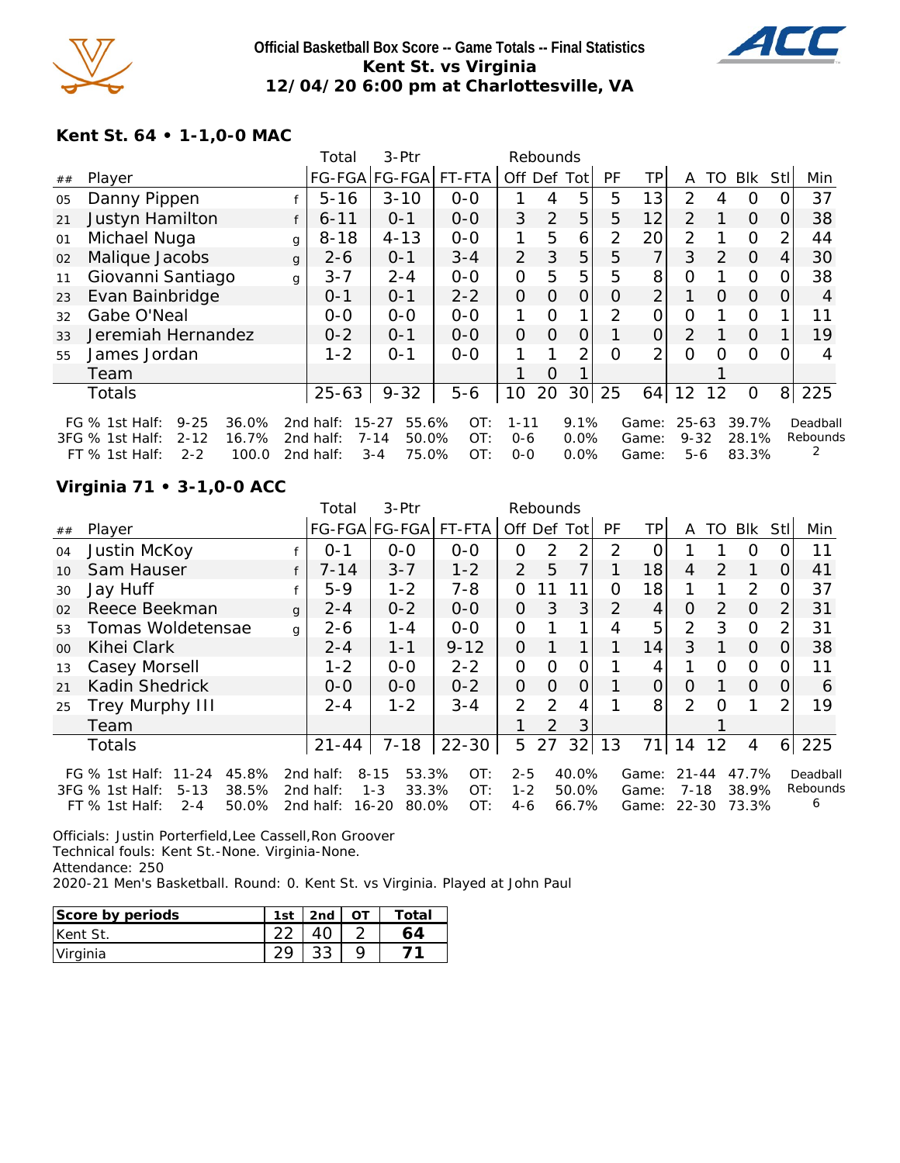

### **Official Basketball Box Score -- Game Totals -- Final Statistics Kent St. vs Virginia 12/04/20 6:00 pm at Charlottesville, VA**



## **Kent St. 64 • 1-1,0-0 MAC**

|    |                                       |   | Total     | 3-Ptr              |         |                | Rebounds       |                |                |                |                |                  |          |          |          |
|----|---------------------------------------|---|-----------|--------------------|---------|----------------|----------------|----------------|----------------|----------------|----------------|------------------|----------|----------|----------|
| ## | Player                                |   |           | FG-FGA FG-FGA      | FT-FTA  |                |                | Off Def Tot    | PF             | TP             | A              | TO               | Blk      | Stll     | Min      |
| 05 | Danny Pippen                          |   | $5 - 16$  | $3 - 10$           | $0 - 0$ |                | 4              | 5              | 5              | 13             | 2              | 4                | O        | 0        | 37       |
| 21 | Justyn Hamilton                       | f | $6 - 11$  | $0 - 1$            | $0 - 0$ | 3              | $\overline{2}$ | 5              | 5              | 12             | $\overline{2}$ |                  | $\Omega$ | 0        | 38       |
| 01 | Michael Nuga                          | g | $8 - 18$  | $4 - 13$           | $0-0$   | 1              | 5              | 6              | 2              | 20             | $\overline{2}$ |                  | $\Omega$ | 2        | 44       |
| 02 | Malique Jacobs                        | g | $2 - 6$   | $0 - 1$            | $3 - 4$ | $\overline{2}$ | 3              | 5              | 5              | 7              | 3              | $\overline{2}$   | $\Omega$ | 4        | 30       |
| 11 | Giovanni Santiago                     | g | $3 - 7$   | $2 - 4$            | $0-0$   | $\overline{O}$ | 5              | 5              | 5              | 8              | O              |                  | $\Omega$ | 0        | 38       |
| 23 | Evan Bainbridge                       |   | $0 - 1$   | $0 - 1$            | $2 - 2$ | $\overline{O}$ | $\Omega$       | $\overline{O}$ | O              | 2 <sub>1</sub> |                | $\Omega$         | $\Omega$ | $\Omega$ | 4        |
| 32 | Gabe O'Neal                           |   | $0-0$     | $0 - 0$            | $0-0$   | 1              | $\Omega$       |                | $\overline{2}$ | 0              | $\overline{O}$ |                  | $\circ$  |          | 11       |
| 33 | Jeremiah Hernandez                    |   | $0 - 2$   | $O - 1$            | $0 - 0$ | 0              | $\Omega$       | 0              |                | $\Omega$       | 2              |                  | $\Omega$ |          | 19       |
| 55 | James Jordan                          |   | $1 - 2$   | $0 - 1$            | $0 - 0$ | 1              |                | 2              | $\Omega$       | $\overline{2}$ | 0              | $\left( \right)$ | $\circ$  | 0        | 4        |
|    | Team                                  |   |           |                    |         |                | $\Omega$       |                |                |                |                |                  |          |          |          |
|    | <b>Totals</b>                         |   | $25 - 63$ | $9 - 32$           | $5 - 6$ | 10             | 20             | 30             | 25             | 64             | 12             | 12               | 0        | 8        | 225      |
|    | $9 - 25$<br>36.0%<br>FG $%$ 1st Half: |   | 2nd half: | $15 - 27$<br>55.6% | OT:     | $1 - 11$       |                | 9.1%           |                | Game:          | $25 - 63$      |                  | 39.7%    |          | Deadball |
|    | 16.7%<br>3FG % 1st Half:<br>$2 - 12$  |   | 2nd half: | $7 - 14$<br>50.0%  | OT:     | $0 - 6$        |                | 0.0%           |                | Game:          | $9 - 32$       |                  | 28.1%    |          | Rebounds |
|    | FT % 1st Half:<br>100.0<br>$2 - 2$    |   | 2nd half: | 75.0%<br>$3 - 4$   | OT:     | $0 - 0$        |                | $0.0\%$        |                | Game:          | 5-6            |                  | 83.3%    |          |          |

## **Virginia 71 • 3-1,0-0 ACC**

|                |                                      |   | Total     | 3-Ptr              |           |                | Rebounds      |              |           |           |                |               |                |                |          |
|----------------|--------------------------------------|---|-----------|--------------------|-----------|----------------|---------------|--------------|-----------|-----------|----------------|---------------|----------------|----------------|----------|
| ##             | Player                               |   |           | FG-FGA FG-FGA      | FT-FTA    |                | Off Def       | Tot          | <b>PF</b> | <b>TP</b> | A              | TO            | <b>BIK</b>     | Stll           | Min      |
| 04             | Justin McKoy                         |   | $0 - 1$   | $0-0$              | $0-0$     | 0              | 2             | 2            | 2         |           |                |               | Ο              |                | 11       |
| 10             | Sam Hauser                           |   | $7 - 14$  | $3 - 7$            | $1 - 2$   | 2              | 5             | 7            |           | 18        | $\overline{4}$ | $\mathcal{P}$ |                | O              | 41       |
| 30             | Jay Huff                             |   | $5-9$     | $1 - 2$            | $7 - 8$   | $\Omega$       |               |              | Ω         | 18        |                |               | 2              | 0              | 37       |
| 02             | Reece Beekman                        | q | $2 - 4$   | $0 - 2$            | $0 - 0$   | 0              | 3             | 3            | 2         | 4         | O              | 2             | $\Omega$       | $\overline{2}$ | 31       |
| 53             | Tomas Woldetensae                    | g | $2 - 6$   | $1 - 4$            | $0 - 0$   | $\Omega$       |               |              | 4         | 5         | $\overline{2}$ | 3             | $\circ$        | 2              | 31       |
| 0 <sup>0</sup> | Kihei Clark                          |   | $2 - 4$   | $1 - 1$            | $9 - 12$  | $\Omega$       |               | $\mathbf{1}$ |           | 14        | 3              |               | $\Omega$       | 0              | 38       |
| 13             | Casey Morsell                        |   | $1 - 2$   | $0 - 0$            | $2 - 2$   | $\mathbf{O}$   | O             | 0            |           | 4         |                | O             | $\circ$        | O              | 11       |
| 21             | Kadin Shedrick                       |   | $O-O$     | $0 - 0$            | $0 - 2$   | $\overline{O}$ | $\Omega$      | 0            |           | 0         | $\Omega$       |               | $\Omega$       | $\Omega$       | 6        |
| 25             | Trey Murphy III                      |   | $2 - 4$   | $1 - 2$            | $3 - 4$   | $\overline{2}$ | $\mathcal{P}$ | 4            |           | 8         | $\overline{2}$ | Ω             |                | $\mathcal{P}$  | 19       |
|                | Team                                 |   |           |                    |           |                | $\mathcal{P}$ | 3            |           |           |                |               |                |                |          |
|                | <b>Totals</b>                        |   | $21 - 44$ | $7 - 18$           | $22 - 30$ | 5              | 27            | 32           | 13        | 71        | 14             | 12            | $\overline{4}$ |                | 6 225    |
|                | FG % 1st Half: 11-24<br>45.8%        |   | 2nd half: | 53.3%<br>$8 - 15$  | OT:       | $2 - 5$        |               | 40.0%        |           | Game:     | 21-44          |               | 47.7%          |                | Deadball |
|                | 38.5%<br>3FG % 1st Half:<br>$5 - 13$ |   | 2nd half: | 33.3%<br>$1 - 3$   | OT:       | $1 - 2$        |               | 50.0%        |           | Game:     | 7-18           |               | 38.9%          |                | Rebounds |
|                | 50.0%<br>$FT$ % 1st Half:<br>$2 - 4$ |   | 2nd half: | $16 - 20$<br>80.0% | OT:       | $4-6$          |               | 66.7%        |           | Game:     | 22-30          |               | 73.3%          |                | 6        |

Officials: Justin Porterfield,Lee Cassell,Ron Groover Technical fouls: Kent St.-None. Virginia-None. Attendance: 250 2020-21 Men's Basketball. Round: 0. Kent St. vs Virginia. Played at John Paul

| Score by periods | 1st | 2 <sub>nd</sub> | Total |
|------------------|-----|-----------------|-------|
| Kent St.         |     |                 |       |
| Virginia         |     |                 |       |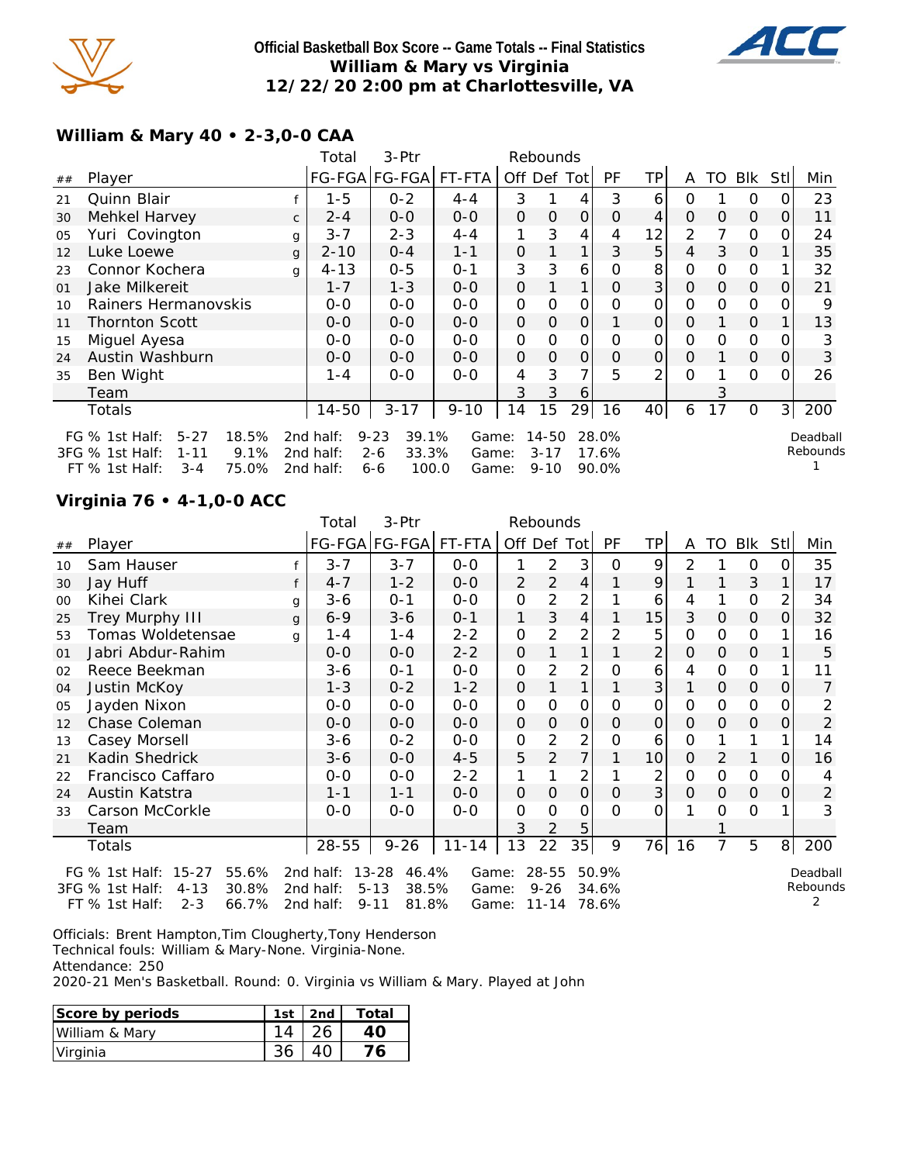

## **Official Basketball Box Score -- Game Totals -- Final Statistics William & Mary vs Virginia 12/22/20 2:00 pm at Charlottesville, VA**



## **William & Mary 40 • 2-3,0-0 CAA**

| Blk<br>Min<br>Stl                                                     |
|-----------------------------------------------------------------------|
| 23                                                                    |
| 11<br>0                                                               |
| 24                                                                    |
| 35                                                                    |
| 32                                                                    |
| 21<br>Ο                                                               |
| 9                                                                     |
| 13                                                                    |
| 3                                                                     |
| 3<br>Ο                                                                |
| 26<br>Ω                                                               |
|                                                                       |
| 200<br>31                                                             |
| Deadball<br>Rebounds                                                  |
| $\Omega$<br>$\mathcal{O}$<br>$\mathcal{O}$<br>$\Omega$<br>$\mathbf 0$ |

### **Virginia 76 • 4-1,0-0 ACC**

|    |                                                                                                             |   | Total                               | 3-Ptr                                                    |                         |          | Rebounds                           |                |                         |                |          |          |               |          |                      |
|----|-------------------------------------------------------------------------------------------------------------|---|-------------------------------------|----------------------------------------------------------|-------------------------|----------|------------------------------------|----------------|-------------------------|----------------|----------|----------|---------------|----------|----------------------|
| ## | Player                                                                                                      |   |                                     | FG-FGA FG-FGA FT-FTA                                     |                         | Off Def  |                                    | Tot            | PF                      | TP             |          | TO       | Blk           | Stl      | Min                  |
| 10 | Sam Hauser                                                                                                  |   | $3 - 7$                             | $3 - 7$                                                  | $O-O$                   |          | 2                                  | 3              | 0                       | 9              | 2        |          | $\Omega$      |          | 35                   |
| 30 | Jay Huff                                                                                                    | f | $4 - 7$                             | $1 - 2$                                                  | $0 - 0$                 | 2        | 2                                  | 4              |                         | 9              |          |          | 3             |          | 17                   |
| 00 | Kihei Clark                                                                                                 | g | $3-6$                               | $0 - 1$                                                  | $0 - 0$                 | 0        | 2                                  | 2              |                         | 6              | 4        |          | $\mathcal{O}$ |          | 34                   |
| 25 | Trey Murphy III                                                                                             | g | $6 - 9$                             | $3 - 6$                                                  | $0 - 1$                 | 1        | 3                                  | 4              |                         | 15             | 3        | $\Omega$ | $\mathbf{O}$  | $\Omega$ | 32                   |
| 53 | Tomas Woldetensae                                                                                           | q | $1 - 4$                             | $1 - 4$                                                  | $2 - 2$                 | O        | 2                                  | 2              | 2                       | 5              | 0        | $\Omega$ | $\mathcal{O}$ |          | 16                   |
| 01 | Jabri Abdur-Rahim                                                                                           |   | $0 - 0$                             | $0 - 0$                                                  | $2 - 2$                 | O        |                                    |                |                         | 2              | $\Omega$ | $\Omega$ | $\mathbf 0$   |          | 5                    |
| 02 | Reece Beekman                                                                                               |   | 3-6                                 | $O - 1$                                                  | $0 - 0$                 | O        | 2                                  | 2              | Ω                       | 6              | 4        | $\Omega$ | 0             |          | 11                   |
| 04 | Justin McKoy                                                                                                |   | $1 - 3$                             | $0 - 2$                                                  | $1 - 2$                 | O        |                                    | 1              |                         | 3              |          | $\Omega$ | $\mathcal{O}$ | O        | 7                    |
| 05 | Jayden Nixon                                                                                                |   | $0 - 0$                             | $0 - 0$                                                  | $0-0$                   | O        | 0                                  | O              | 0                       | 0              | O        | 0        | $\mathbf 0$   |          | 2                    |
| 12 | Chase Coleman                                                                                               |   | $0 - 0$                             | $0 - 0$                                                  | $0 - 0$                 | $\Omega$ | O                                  | $\overline{O}$ | $\Omega$                | $\overline{O}$ | $\Omega$ | $\Omega$ | $\mathbf{O}$  | 0        | $\overline{2}$       |
| 13 | Casey Morsell                                                                                               |   | $3-6$                               | $0 - 2$                                                  | $0 - 0$                 | 0        | 2                                  | 2              | Ο                       | 6              | O        |          |               |          | 14                   |
| 21 | Kadin Shedrick                                                                                              |   | $3 - 6$                             | $0 - 0$                                                  | $4 - 5$                 | 5        | 2                                  | 7              |                         | 10             | $\Omega$ | 2        | 1             | 0        | 16                   |
| 22 | Francisco Caffaro                                                                                           |   | $0 - 0$                             | $0 - 0$                                                  | $2 - 2$                 | 1        |                                    | 2              |                         | 2              | $\Omega$ | $\Omega$ | $\mathbf 0$   |          | 4                    |
| 24 | Austin Katstra                                                                                              |   | $1 - 1$                             | $1 - 1$                                                  | $0 - 0$                 | $\Omega$ | O                                  | $\mathcal{O}$  | $\Omega$                | 3              | O        | $\Omega$ | $\Omega$      | O        | 2                    |
| 33 | Carson McCorkle                                                                                             |   | $0 - 0$                             | $0-0$                                                    | $0 - 0$                 | O        | 0                                  | 0              | $\Omega$                | O              |          | $\Omega$ | $\mathcal{O}$ |          | 3                    |
|    | Team                                                                                                        |   |                                     |                                                          |                         | 3        |                                    | 5              |                         |                |          |          |               |          |                      |
|    | Totals                                                                                                      |   | 28-55                               | $9 - 26$                                                 | $11 - 14$               | 13       | 22                                 | 35             | 9                       | 76             | 16       | 7        | 5             | 8        | 200                  |
|    | FG % 1st Half: 15-27<br>55.6%<br>30.8%<br>3FG % 1st Half:<br>$4 - 13$<br>$2 - 3$<br>66.7%<br>FT % 1st Half: |   | 2nd half:<br>2nd half:<br>2nd half: | 13-28<br>46.4%<br>$5 - 13$<br>38.5%<br>$9 - 11$<br>81.8% | Game:<br>Game:<br>Game: |          | $28 - 55$<br>$9 - 26$<br>$11 - 14$ |                | 50.9%<br>34.6%<br>78.6% |                |          |          |               |          | Deadball<br>Rebounds |

Officials: Brent Hampton,Tim Clougherty,Tony Henderson Technical fouls: William & Mary-None. Virginia-None.

Attendance: 250

2020-21 Men's Basketball. Round: 0. Virginia vs William & Mary. Played at John

| Score by periods | 1st | 2nd | Total |
|------------------|-----|-----|-------|
| William & Mary   |     |     |       |
| Virginia         |     |     |       |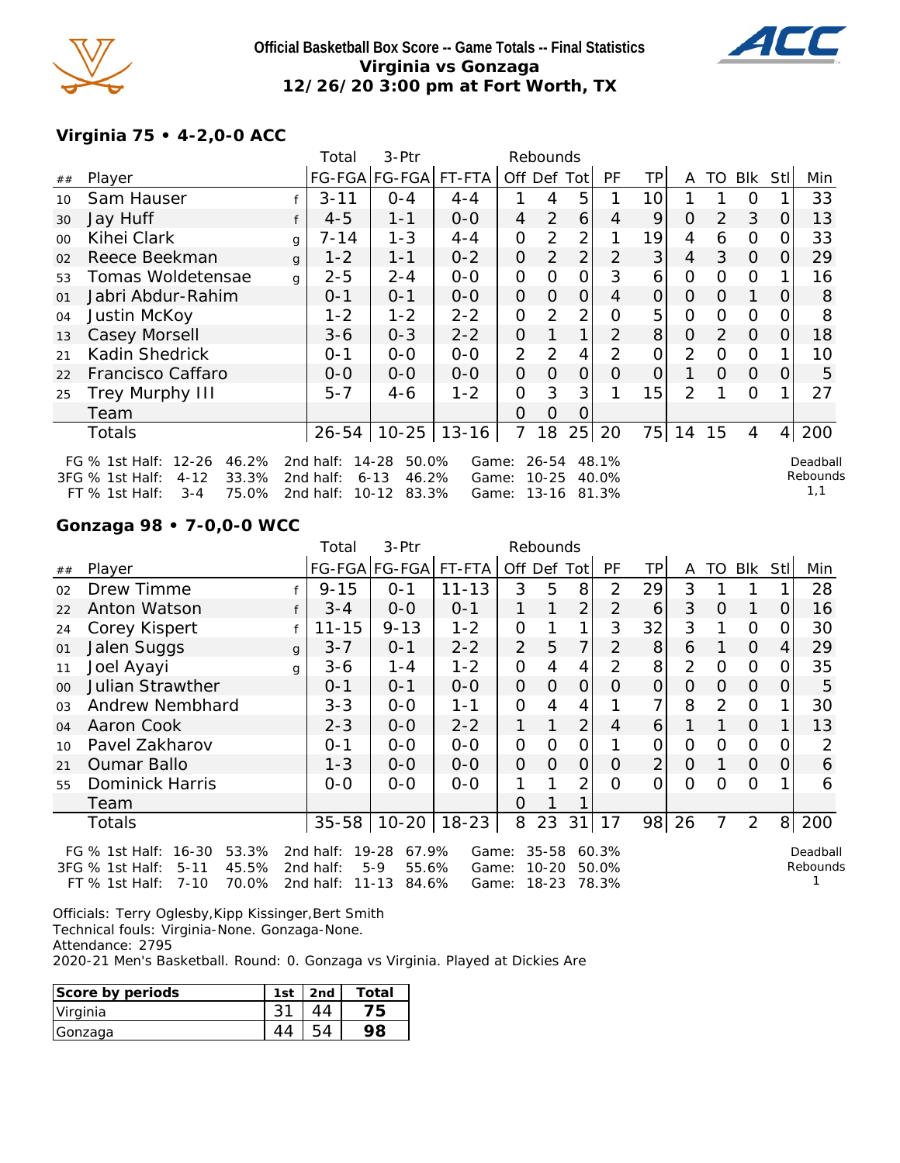

### **Official Basketball Box Score -- Game Totals -- Final Statistics Virginia vs Gonzaga 12/26/20 3:00 pm at Fort Worth, TX**



### **Virginia 75 • 4-2,0-0 ACC**

|                |                                                                                |              | Total                  | 3-Ptr                                   |                |                | Rebounds           |                |                |                |          |          |          |                |                    |
|----------------|--------------------------------------------------------------------------------|--------------|------------------------|-----------------------------------------|----------------|----------------|--------------------|----------------|----------------|----------------|----------|----------|----------|----------------|--------------------|
| ##             | Player                                                                         |              |                        | FG-FGA FG-FGA                           | FT-FTA         |                | Off Def Tot        |                | PF             | TP.            | A        | TO       | Blk      | Stll           | Min                |
| 10             | Sam Hauser                                                                     |              | $3 - 11$               | $O - 4$                                 | $4 - 4$        |                | 4                  | 5              |                | 10             |          |          | Ω        | 1              | 33                 |
| 30             | Jay Huff                                                                       |              | $4 - 5$                | $1 - 1$                                 | $0-0$          | $\overline{4}$ | 2                  | 6              | $\overline{4}$ | 9              | $\Omega$ | 2        | 3        | $\overline{0}$ | 13                 |
| $00 \,$        | Kihei Clark                                                                    | g            | 7-14                   | $1 - 3$                                 | $4 - 4$        | $\overline{O}$ | $\overline{2}$     | 2              | 1              | 19             | 4        | 6        | 0        | 0              | 33                 |
| 02             | Reece Beekman                                                                  | $\mathsf{q}$ | $1 - 2$                | $1 - 1$                                 | $0 - 2$        | $\Omega$       | 2                  | $\overline{2}$ | 2              | 3              | 4        | 3        | $\Omega$ | $\overline{O}$ | 29                 |
| 53             | Tomas Woldetensae                                                              | g            | $2 - 5$                | $2 - 4$                                 | $0 - 0$        | O              | $\Omega$           | 0              | 3              | 6              | 0        | O        | 0        |                | 16                 |
| O <sub>1</sub> | Jabri Abdur-Rahim                                                              |              | $0 - 1$                | $0 - 1$                                 | $O-O$          | $\overline{O}$ | $\overline{O}$     | $\overline{O}$ | $\overline{4}$ | $\overline{O}$ | $\Omega$ | $\Omega$ | 1        | $\Omega$       | 8                  |
| 04             | Justin McKoy                                                                   |              | $1 - 2$                | $1 - 2$                                 | $2 - 2$        | $\Omega$       | 2                  | $\overline{2}$ | O              | 5              | 0        | $\Omega$ | $\Omega$ | 0              | 8                  |
| 13             | Casey Morsell                                                                  |              | $3 - 6$                | $O - 3$                                 | $2 - 2$        | $\overline{O}$ |                    | $\mathbf 1$    | $\overline{2}$ | 8              | $\Omega$ | 2        | $\Omega$ | 0              | 18                 |
| 21             | Kadin Shedrick                                                                 |              | $O - 1$                | $0-0$                                   | $O-O$          | 2              | $\overline{2}$     | 4              | $\overline{2}$ | 0              | 2        | $\circ$  | 0        |                | 10                 |
| 22             | Francisco Caffaro                                                              |              | $0-0$                  | $0 - 0$                                 | $0 - 0$        | $\Omega$       | $\Omega$           | $\overline{O}$ | $\Omega$       | 0              | 1        | $\Omega$ | $\Omega$ | O              | 5                  |
| 25             | Trey Murphy III                                                                |              | $5 - 7$                | $4-6$                                   | $1 - 2$        | 0              | 3                  | 3              |                | 15             | 2        | 1        | $\Omega$ |                | 27                 |
|                | Team                                                                           |              |                        |                                         |                | O              | $\overline{O}$     | O              |                |                |          |          |          |                |                    |
|                | Totals                                                                         |              | 26-54                  | $10 - 25$                               | $13 - 16$      | 7              | 18                 | 25             | 20             |                | 75   14  | 15       | 4        | $\vert$        | 200                |
|                | $12 - 26$<br>46.2%<br>FG $%$ 1st Half:<br>33.3%<br>3FG % 1st Half:<br>$4 - 12$ |              | 2nd half:<br>2nd half: | $14 - 28$<br>50.0%<br>46.2%<br>$6 - 13$ | Game:<br>Game: |                | 26-54<br>$10 - 25$ |                | 48.1%<br>40.0% |                |          |          |          |                | Deadbal<br>Rebound |

FT % 1st Half: 3-4 75.0% 2nd half: 10-12 83.3% Game: 13-16 81.3%

Deadball  $\mathsf{ls}$ 1,1

### **Gonzaga 98 • 7-0,0-0 WCC**

|                |                               | Total     | $3-Ptr$               |           |                | Rebounds |                |           |    |          |          |                |                |         |
|----------------|-------------------------------|-----------|-----------------------|-----------|----------------|----------|----------------|-----------|----|----------|----------|----------------|----------------|---------|
| ##             | Player                        |           | FG-FGA FG-FGA         | FT-FTA    |                | Off Def  | Totl           | <b>PF</b> | TP | A        | TO       | <b>Blk</b>     | Stll           | Min     |
| 02             | Drew Timme                    | $9 - 15$  | $0 - 1$               | $11 - 13$ | 3              | 5        | 8              | 2         | 29 | 3        |          |                |                | 28      |
| 22             | Anton Watson<br>f             | $3 - 4$   | $0 - 0$               | $O - 1$   |                |          | $\overline{2}$ | 2         | 6  | 3        | $\Omega$ | 1              | $\Omega$       | 16      |
| 24             | Corey Kispert                 | $11 - 15$ | $9 - 13$              | $1 - 2$   | $\overline{O}$ |          | 1              | 3         | 32 | 3        | 1        | 0              | 0              | 30      |
| 01             | Jalen Suggs<br>$\mathbf{q}$   | $3 - 7$   | $0 - 1$               | $2 - 2$   | $\overline{2}$ | 5        | 7              | 2         | 8  | 6        |          | $\Omega$       | 4              | 29      |
| 11             | Joel Ayayi<br>g               | $3-6$     | $1 - 4$               | $1 - 2$   | 0              | 4        | 4              | 2         | 8  | 2        | O        | $\Omega$       | O              | 35      |
| 00             | <b>Julian Strawther</b>       | $0 - 1$   | $0 - 1$               | $0 - 0$   | $\Omega$       | $\Omega$ | $\overline{O}$ | $\Omega$  | 0  | O        | $\Omega$ | $\Omega$       | 0              | 5       |
| O <sub>3</sub> | Andrew Nembhard               | $3 - 3$   | $0 - 0$               | $1 - 1$   | 0              | 4        | 4              |           |    | 8        | 2        | $\Omega$       |                | 30      |
| 04             | Aaron Cook                    | $2 - 3$   | $0 - 0$               | $2 - 2$   |                |          | $\overline{2}$ | 4         | 6  |          |          | $\Omega$       |                | 13      |
| 10             | Pavel Zakharov                | $0 - 1$   | $0 - 0$               | $0 - 0$   | $\Omega$       | $\Omega$ | 0              |           | 0  | O        | O        | 0              | O              | 2       |
| 21             | <b>Oumar Ballo</b>            | $1 - 3$   | $0 - 0$               | $0 - 0$   | $\mathcal{O}$  | $\Omega$ | $\overline{O}$ | $\Omega$  | 2  | $\Omega$ | 1        | $\Omega$       | $\Omega$       | 6       |
| 55             | Dominick Harris               | $0-0$     | $O-O$                 | $O-O$     |                |          | 2              | $\Omega$  | 0  | $\Omega$ | $\Omega$ | $\Omega$       |                | 6       |
|                | Team                          |           |                       |           | $\Omega$       |          |                |           |    |          |          |                |                |         |
|                | Totals                        | $35 - 58$ | $10 - 20$             | $18 - 23$ | 8              | 23       | 31             | 17        | 98 | 26       | 7        | $\overline{2}$ | 8 <sup>1</sup> | 200     |
|                | 53.3%<br>FG % 1st Half: 16-30 |           | 2nd half: 19-28 67.9% |           | Game: 35-58    |          |                | 60.3%     |    |          |          |                |                | Deadbal |

3FG % 1st Half: 5-11 45.5% FT % 1st Half: 7-10 70.0% 2nd half: 11-13 84.6% Game: 18-23 78.3% 2nd half: 5-9 55.6% Game: 10-20 50.0%

Deadball Rebounds 1

Officials: Terry Oglesby, Kipp Kissinger, Bert Smith Technical fouls: Virginia-None. Gonzaga-None. Attendance: 2795

2020-21 Men's Basketball. Round: 0. Gonzaga vs Virginia. Played at Dickies Are

| Score by periods | 1st | 2nd | Total |
|------------------|-----|-----|-------|
| Virginia         |     |     | ĒБ.   |
| Gonzaga          |     |     |       |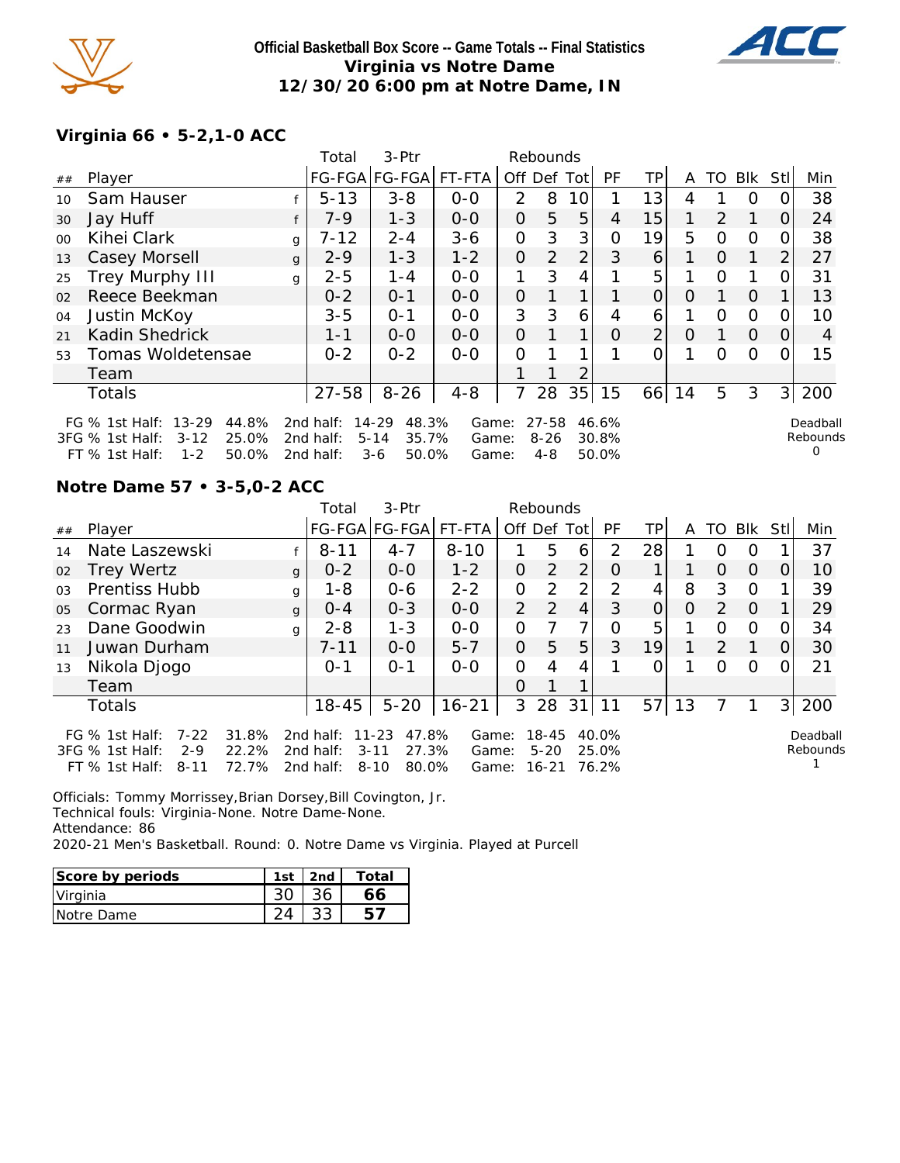

### **Official Basketball Box Score -- Game Totals -- Final Statistics Virginia vs Notre Dame 12/30/20 6:00 pm at Notre Dame, IN**



## **Virginia 66 • 5-2,1-0 ACC**

|         |                                                                                                             |              | Total                               | 3-Ptr                                                       |                         |                | Rebounds                     |                |                         |                |          |          |          |                |                           |
|---------|-------------------------------------------------------------------------------------------------------------|--------------|-------------------------------------|-------------------------------------------------------------|-------------------------|----------------|------------------------------|----------------|-------------------------|----------------|----------|----------|----------|----------------|---------------------------|
| ##      | Player                                                                                                      |              |                                     | FG-FGA FG-FGA  FT-FTA                                       |                         | Off Def Tot    |                              |                | PF                      | <b>TP</b>      | A        | TO.      | Blk      | Stll           | Min                       |
| 10      | Sam Hauser                                                                                                  |              | $5 - 13$                            | $3 - 8$                                                     | $0 - 0$                 | $\mathcal{P}$  | 8                            | 10             |                         | 13             | 4        |          | O        |                | 38                        |
| 30      | Jay Huff                                                                                                    |              | $7-9$                               | $1 - 3$                                                     | $0 - 0$                 | $\Omega$       | 5                            | 5              | 4                       | 15             | 1        | 2        | 1        | $\Omega$       | 24                        |
| $00 \,$ | Kihei Clark                                                                                                 | g            | $7 - 12$                            | $2 - 4$                                                     | $3 - 6$                 | 0              | 3                            | 3 <sub>l</sub> | O                       | 19             | 5        | $\Omega$ | $\Omega$ | O              | 38                        |
| 13      | Casey Morsell                                                                                               | $\mathbf{q}$ | $2 - 9$                             | $1 - 3$                                                     | $1 - 2$                 | $\Omega$       | $\overline{2}$               | $\overline{2}$ | 3                       | 6              |          | $\Omega$ |          | 2              | 27                        |
| 25      | Trey Murphy III                                                                                             | g            | $2 - 5$                             | $1 - 4$                                                     | $0 - 0$                 | 1              | 3                            | 4              |                         | 5              |          | $\Omega$ |          |                | 31                        |
| 02      | Reece Beekman                                                                                               |              | $0 - 2$                             | $0 - 1$                                                     | $0 - 0$                 | $\overline{O}$ |                              | 1 <sub>1</sub> |                         | $\overline{O}$ | $\Omega$ |          | $\Omega$ |                | 13                        |
| 04      | Justin McKoy                                                                                                |              | $3 - 5$                             | $O - 1$                                                     | $0 - 0$                 | 3              | 3                            | 6              | 4                       | 6              |          | $\Omega$ | $\Omega$ | O              | 10                        |
| 21      | Kadin Shedrick                                                                                              |              | $1 - 1$                             | $0 - 0$                                                     | $0 - 0$                 | $\Omega$       |                              | 1              | O                       | $\overline{2}$ | $\Omega$ |          | $\Omega$ | $\Omega$       | 4                         |
| 53      | Tomas Woldetensae                                                                                           |              | $0 - 2$                             | $0 - 2$                                                     | $0 - 0$                 | O              |                              | 1              |                         | O              |          | $\Omega$ | $\Omega$ |                | 15                        |
|         | Team                                                                                                        |              |                                     |                                                             |                         |                |                              | $\overline{2}$ |                         |                |          |          |          |                |                           |
|         | Totals                                                                                                      |              | $27 - 58$                           | $8 - 26$                                                    | $4 - 8$                 | 7              | 28                           | 35             | 15                      | 66             | 14       | 5        | 3        | 3 <sup>1</sup> | 200                       |
|         | FG % 1st Half: 13-29<br>44.8%<br>25.0%<br>3FG % 1st Half:<br>$3 - 12$<br>$1 - 2$<br>50.0%<br>FT % 1st Half: |              | 2nd half:<br>2nd half:<br>2nd half: | $14 - 29$<br>48.3%<br>$5 - 14$<br>35.7%<br>$3 - 6$<br>50.0% | Game:<br>Game:<br>Game: |                | 27-58<br>$8 - 26$<br>$4 - 8$ |                | 46.6%<br>30.8%<br>50.0% |                |          |          |          |                | Deadball<br>Rebounds<br>0 |

### **Notre Dame 57 • 3-5,0-2 ACC**

|                |                                                                                            |                         | Total                               | $3-$ Ptr                                                     |                         |                | Rebounds                       |                |                         |          |          |          |          |          |                      |
|----------------|--------------------------------------------------------------------------------------------|-------------------------|-------------------------------------|--------------------------------------------------------------|-------------------------|----------------|--------------------------------|----------------|-------------------------|----------|----------|----------|----------|----------|----------------------|
| ##             | Player                                                                                     |                         |                                     | FG-FGA FG-FGA                                                | FT-FTA                  | Off Def Tot    |                                |                | <b>PF</b>               | TPI      | A        | TO.      | Blk      | Stll     | Min                  |
| 14             | Nate Laszewski                                                                             |                         | $8 - 11$                            | $4 - 7$                                                      | $8 - 10$                |                | 5                              | 6              | $\mathcal{P}$           | 28       |          | Ω        | O        |          | 37                   |
| 02             | <b>Trey Wertz</b>                                                                          | $\mathsf{q}$            | $0 - 2$                             | $0 - 0$                                                      | $1 - 2$                 | 0              | 2                              | 2              | O                       |          |          | $\Omega$ | $\Omega$ | $\Omega$ | 10                   |
| 0 <sub>3</sub> | <b>Prentiss Hubb</b>                                                                       | g                       | $1 - 8$                             | $0 - 6$                                                      | $2 - 2$                 | $\overline{O}$ | 2                              | $\overline{2}$ | 2                       | 4        | 8        | 3        | $\Omega$ |          | 39                   |
| 05             | Cormac Ryan                                                                                | $\mathbf{q}$            | $O - 4$                             | $0 - 3$                                                      | $0 - 0$                 | $\overline{2}$ | 2                              | $\overline{4}$ | 3                       | $\Omega$ | $\Omega$ | 2        | $\Omega$ |          | 29                   |
| 23             | Dane Goodwin                                                                               | q                       | $2 - 8$                             | $1 - 3$                                                      | $0 - 0$                 | 0              |                                | 7              | 0                       | 5        |          | O        | $\circ$  | 0        | 34                   |
| 11             | Juwan Durham                                                                               |                         | $7 - 11$                            | $0 - 0$                                                      | $5 - 7$                 | $\mathcal{O}$  | 5                              | 5              | 3                       | 19       | 1        | 2        | 1        | 0        | 30                   |
| 13             | Nikola Djogo                                                                               |                         | $0 - 1$                             | $O - 1$                                                      | $0 - 0$                 | 0              | 4                              | 4              |                         | Ω        |          | Ω        | O        | 0        | 21                   |
|                | Team                                                                                       |                         |                                     |                                                              |                         | $\Omega$       |                                | 1              |                         |          |          |          |          |          |                      |
|                | <b>Totals</b>                                                                              |                         | $18 - 45$                           | $5 - 20$                                                     | $16 - 21$               | 3              | 28                             | 31             | 11                      | 57       | 13       |          |          | 3        | 200                  |
|                | FG $%$ 1st Half:<br>$7 - 22$<br>3FG % 1st Half:<br>$2 - 9$<br>$FT$ % 1st Half:<br>$8 - 11$ | 31.8%<br>22.2%<br>72.7% | 2nd half:<br>2nd half:<br>2nd half: | $11 - 23$<br>47.8%<br>27.3%<br>$3 - 11$<br>$8 - 10$<br>80.0% | Game:<br>Game:<br>Game: |                | 18-45<br>$5 - 20$<br>$16 - 21$ |                | 40.0%<br>25.0%<br>76.2% |          |          |          |          |          | Deadball<br>Rebounds |

Officials: Tommy Morrissey,Brian Dorsey,Bill Covington, Jr.

Technical fouls: Virginia-None. Notre Dame-None.

Attendance: 86

2020-21 Men's Basketball. Round: 0. Notre Dame vs Virginia. Played at Purcell

| Score by periods | 1st | 2nd | Total |
|------------------|-----|-----|-------|
| Virginia         |     |     |       |
| Notre Dame       |     |     |       |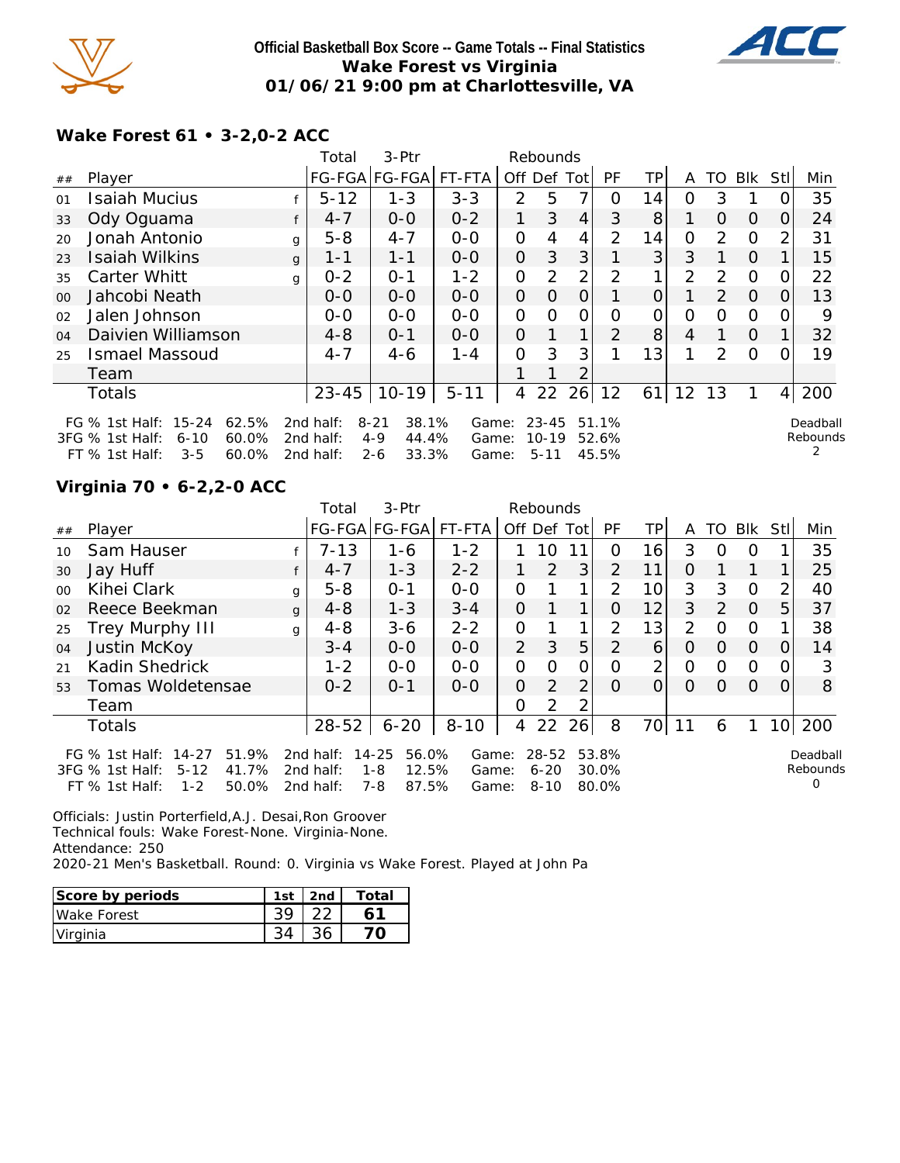

### **Official Basketball Box Score -- Game Totals -- Final Statistics Wake Forest vs Virginia 01/06/21 9:00 pm at Charlottesville, VA**



# **Wake Forest 61 • 3-2,0-2 ACC**

|                |                                                                                                                         |              | Total                               | 3-Ptr                                                     |                         | Rebounds       |                                    |             |                         |                |                |               |          |          |                           |
|----------------|-------------------------------------------------------------------------------------------------------------------------|--------------|-------------------------------------|-----------------------------------------------------------|-------------------------|----------------|------------------------------------|-------------|-------------------------|----------------|----------------|---------------|----------|----------|---------------------------|
| ##             | Player                                                                                                                  |              |                                     | FG-FGA FG-FGA                                             | FT-FTA                  | Off Def Tot    |                                    |             | <b>PF</b>               | ΤP             | A              |               | TO BIK   | Stl      | Min                       |
| 01             | <b>Isaiah Mucius</b>                                                                                                    |              | $5 - 12$                            | $1 - 3$                                                   | $3 - 3$                 | 2              | 5                                  |             | 0                       | 14             | 0              | 3             |          |          | 35                        |
| 33             | Ody Oguama                                                                                                              | f            | $4 - 7$                             | $0 - 0$                                                   | $0 - 2$                 | 1              | 3                                  | 4           | 3                       | 8              |                | $\Omega$      | $\Omega$ | $\Omega$ | 24                        |
| 20             | Jonah Antonio                                                                                                           | $\mathbf{q}$ | $5 - 8$                             | $4 - 7$                                                   | $0 - 0$                 | 0              | 4                                  | 4           | 2                       | 14             | 0              | $\mathcal{P}$ | $\Omega$ | 2        | 31                        |
| 23             | <b>Isaiah Wilkins</b>                                                                                                   | $\mathbf{q}$ | $1 - 1$                             | $1 - 1$                                                   | $0 - 0$                 | $\overline{O}$ | 3                                  | 3           |                         | 3              | 3              |               | $\Omega$ |          | 15                        |
| 35             | <b>Carter Whitt</b>                                                                                                     | q            | $0 - 2$                             | $O - 1$                                                   | $1 - 2$                 | 0              | 2                                  | 2           | 2                       | 1 <sub>1</sub> | $\overline{2}$ | 2             | $\Omega$ | O        | 22                        |
| 0 <sup>0</sup> | Jahcobi Neath                                                                                                           |              | $O-O$                               | $0 - 0$                                                   | $0 - 0$                 | $\Omega$       | $\Omega$                           | O           |                         | $\Omega$       |                | $\mathcal{P}$ | $\Omega$ |          | 13                        |
| 02             | Jalen Johnson                                                                                                           |              | $0 - 0$                             | $0-0$                                                     | $0 - 0$                 | 0              | O                                  | 0           | Ω                       | 0              | 0              | $\circ$       | $\Omega$ |          | 9                         |
| 04             | Daivien Williamson                                                                                                      |              | $4 - 8$                             | $O - 1$                                                   | $0 - 0$                 | $\Omega$       |                                    | $\mathbf 1$ | 2                       | 8              | 4              |               | $\Omega$ |          | 32                        |
| 25             | <b>Ismael Massoud</b>                                                                                                   |              | $4 - 7$                             | $4-6$                                                     | $1 - 4$                 | O              | 3                                  | 3           |                         | 13             |                | $\mathcal{P}$ | $\Omega$ |          | 19                        |
|                | Team                                                                                                                    |              |                                     |                                                           |                         |                |                                    | っ           |                         |                |                |               |          |          |                           |
|                | <b>Totals</b>                                                                                                           |              | $23 - 45$                           | $10-19$                                                   | $5 - 11$                | 4              | 22                                 | 26          | 12                      | 61             | 12             | 13            |          | 4        | 200                       |
|                | FG $%$ 1st Half:<br>$15 - 24$<br>62.5%<br>3FG % 1st Half:<br>$6 - 10$<br>60.0%<br>$FT \%$ 1st Half:<br>$3 - 5$<br>60.0% |              | 2nd half:<br>2nd half:<br>2nd half: | 38.1%<br>$8 - 21$<br>$4 - 9$<br>44.4%<br>$2 - 6$<br>33.3% | Game:<br>Game:<br>Game: |                | $23 - 45$<br>$10 - 19$<br>$5 - 11$ |             | 51.1%<br>52.6%<br>45.5% |                |                |               |          |          | Deadball<br>Rebounds<br>2 |

## **Virginia 70 • 6-2,2-0 ACC**

|         |                                                                                                                         |              | Total                               | 3-Ptr                                                      |                         |                | Rebounds                          |             |                            |                 |                |               |          |                            |                           |
|---------|-------------------------------------------------------------------------------------------------------------------------|--------------|-------------------------------------|------------------------------------------------------------|-------------------------|----------------|-----------------------------------|-------------|----------------------------|-----------------|----------------|---------------|----------|----------------------------|---------------------------|
| ##      | Player                                                                                                                  |              |                                     | FG-FGA FG-FGA FT-FTA                                       |                         |                |                                   | Off Def Tot | PF                         | TPI             | A              | TO.           | Blk      | Stll                       | Min                       |
| 10      | Sam Hauser                                                                                                              |              | $7 - 13$                            | 1-6                                                        | $1 - 2$                 |                | 10                                | 11          | 0                          | 16              | 3              | $\Omega$      | $\Omega$ |                            | 35                        |
| 30      | Jay Huff                                                                                                                |              | $4 - 7$                             | $1 - 3$                                                    | $2 - 2$                 |                | 2                                 | 3           | $\mathcal{L}$              | 11              | $\Omega$       |               |          |                            | 25                        |
| $00 \,$ | Kihei Clark                                                                                                             | g            | $5 - 8$                             | $0 - 1$                                                    | $0 - 0$                 | 0              |                                   | $\mathbf 1$ | 2                          | 10 <sup>1</sup> | 3              | 3             | $\Omega$ | $\mathcal{D}_{\mathsf{I}}$ | 40                        |
| 02      | Reece Beekman                                                                                                           | $\mathbf{q}$ | $4 - 8$                             | $1 - 3$                                                    | $3 - 4$                 | 0              |                                   | $\mathbf 1$ | O                          | 12              | 3              | $\mathcal{P}$ | $\Omega$ | 5                          | 37                        |
| 25      | Trey Murphy III                                                                                                         | g            | $4 - 8$                             | $3 - 6$                                                    | $2 - 2$                 | 0              |                                   |             | 2                          | 13              | $\overline{2}$ | $\Omega$      | $\Omega$ |                            | 38                        |
| 04      | Justin McKoy                                                                                                            |              | $3 - 4$                             | $0 - 0$                                                    | $0 - 0$                 | $\overline{2}$ | 3                                 | 5           | $\overline{2}$             | 6               | $\Omega$       | $\Omega$      | $\Omega$ | $\Omega$                   | 14                        |
| 21      | Kadin Shedrick                                                                                                          |              | $1 - 2$                             | $0 - 0$                                                    | $0 - 0$                 | 0              | 0                                 | O           | O                          | $\overline{2}$  | 0              | $\Omega$      | $\Omega$ | 0                          | 3                         |
| 53      | Tomas Woldetensae                                                                                                       |              | $0 - 2$                             | $O - 1$                                                    | $0 - 0$                 | $\Omega$       | 2                                 | 2           | $\Omega$                   | $\overline{O}$  | $\Omega$       | Ω             | $\Omega$ | $\Omega$                   | 8                         |
|         | Team                                                                                                                    |              |                                     |                                                            |                         | O              | 2                                 |             |                            |                 |                |               |          |                            |                           |
|         | Totals                                                                                                                  |              | $28 - 52$                           | $6 - 20$                                                   | $8 - 10$                | 4              | 22                                | 26          | 8                          | 70              | 11             | 6             |          |                            | 10 200                    |
|         | $14 - 27$<br>51.9%<br>FG $\%$ 1st Half:<br>41.7%<br>$5 - 12$<br>3FG % 1st Half:<br>$1 - 2$<br>50.0%<br>$FT$ % 1st Half: |              | 2nd half:<br>2nd half:<br>2nd half: | $14 - 25$<br>56.0%<br>$1 - 8$<br>12.5%<br>$7 - 8$<br>87.5% | Game:<br>Game:<br>Game: |                | $28 - 52$<br>$6 - 20$<br>$8 - 10$ |             | 53.8%<br>$30.0\%$<br>80.0% |                 |                |               |          |                            | Deadball<br>Rebounds<br>Ω |

Officials: Justin Porterfield,A.J. Desai,Ron Groover Technical fouls: Wake Forest-None. Virginia-None. Attendance: 250 2020-21 Men's Basketball. Round: 0. Virginia vs Wake Forest. Played at John Pa

| Score by periods | 1st | 2nd | Total |
|------------------|-----|-----|-------|
| Wake Forest      |     |     |       |
| Virginia         |     |     |       |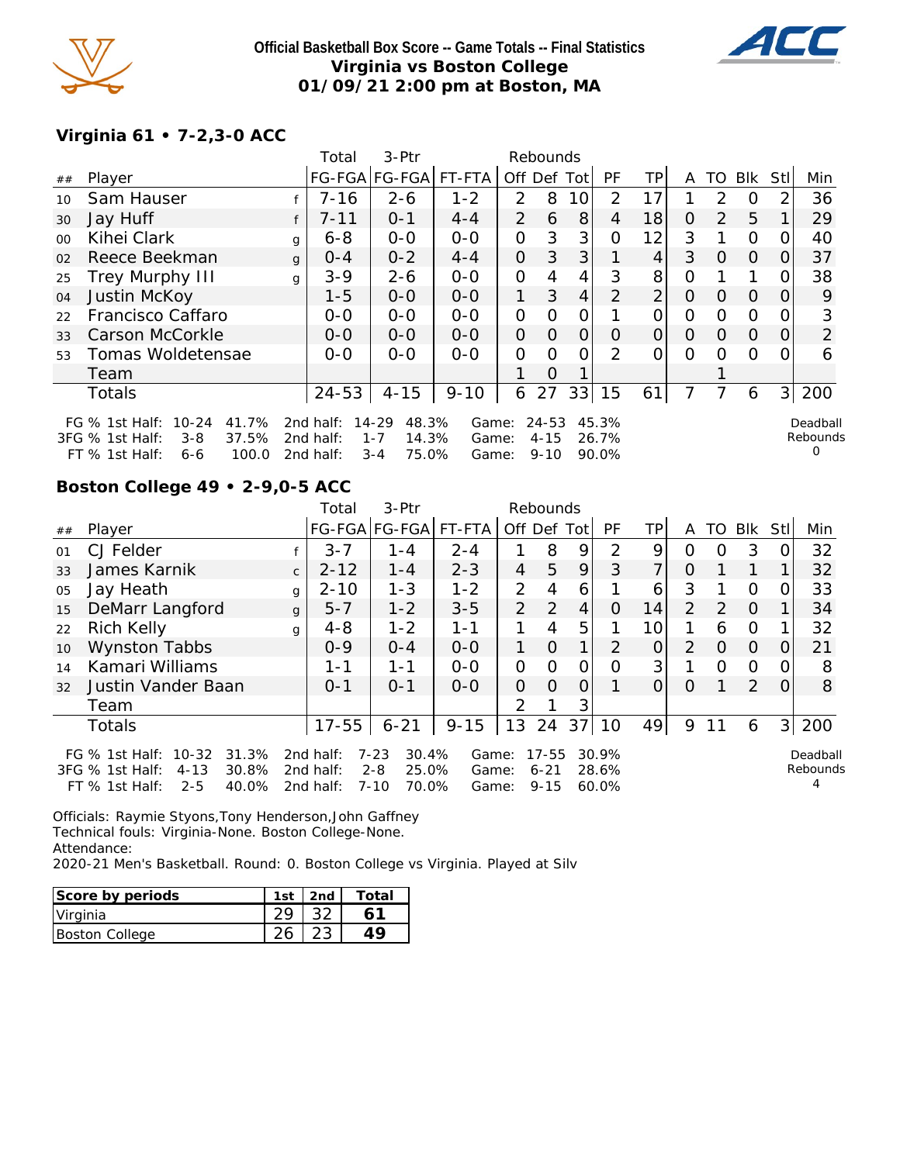

**Official Basketball Box Score -- Game Totals -- Final Statistics Virginia vs Boston College 01/09/21 2:00 pm at Boston, MA**



## **Virginia 61 • 7-2,3-0 ACC**

|         |                                                                                                                   |   | Total                               | 3-Ptr                                                  |                         |                | Rebounds                          |    |                         |                |          |          |          |                |                           |
|---------|-------------------------------------------------------------------------------------------------------------------|---|-------------------------------------|--------------------------------------------------------|-------------------------|----------------|-----------------------------------|----|-------------------------|----------------|----------|----------|----------|----------------|---------------------------|
| ##      | Player                                                                                                            |   |                                     | FG-FGA FG-FGA  FT-FTA                                  |                         | Off Def Tot    |                                   |    | PF                      | TP.            | A        | TO       | Blk      | Stl            | Min                       |
| 10      | Sam Hauser                                                                                                        |   | $7 - 16$                            | $2 - 6$                                                | $1 - 2$                 | 2              | 8                                 | 10 | 2                       | 17             |          | 2        | $\Omega$ |                | 36                        |
| 30      | Jay Huff                                                                                                          |   | $7 - 11$                            | $0 - 1$                                                | $4 - 4$                 | 2              | 6                                 | 8  | 4                       | 18             | $\Omega$ | 2        | 5        |                | 29                        |
| $00 \,$ | Kihei Clark                                                                                                       | g | $6 - 8$                             | $O-O$                                                  | $0-0$                   | 0              | 3                                 | 3  | O                       | 12             | 3        |          | $\Omega$ | $\Omega$       | 40                        |
| 02      | Reece Beekman                                                                                                     | g | $O - 4$                             | $0 - 2$                                                | $4 - 4$                 | $\overline{O}$ | 3                                 | 3  |                         | 4              | 3        | $\Omega$ | $\Omega$ | 0              | 37                        |
| 25      | <b>Trey Murphy III</b>                                                                                            | g | $3 - 9$                             | $2 - 6$                                                | $0 - 0$                 | O              | 4                                 | 4  | 3                       | 8              | 0        |          |          | O              | 38                        |
| 04      | Justin McKoy                                                                                                      |   | $1 - 5$                             | $0 - 0$                                                | $0 - 0$                 | 1              | 3                                 | 4  | 2                       | $\overline{2}$ | $\Omega$ | $\Omega$ | $\Omega$ | $\Omega$       | 9                         |
| 22      | Francisco Caffaro                                                                                                 |   | $0-0$                               | $0-0$                                                  | $0 - 0$                 | O              | Ω                                 |    |                         | Ο              | 0        | 0        | $\Omega$ |                | 3                         |
| 33      | Carson McCorkle                                                                                                   |   | $0 - 0$                             | $0 - 0$                                                | $0 - 0$                 | $\overline{O}$ | 0                                 | 0  | O                       | 0              | 0        | $\Omega$ | $\Omega$ | O              | 2                         |
| 53      | Tomas Woldetensae                                                                                                 |   | $0 - 0$                             | $0 - 0$                                                | $0 - 0$                 | $\Omega$       | Ω                                 | ∩  | $\mathcal{P}$           | O              | 0        | 0        | $\Omega$ |                | 6                         |
|         | Team                                                                                                              |   |                                     |                                                        |                         |                | O                                 |    |                         |                |          |          |          |                |                           |
|         | <b>Totals</b>                                                                                                     |   | $24 - 53$                           | $4 - 15$                                               | $9 - 10$                | 6              | 27                                | 33 | 15                      | 61             |          |          | 6        | $\overline{3}$ | 200                       |
|         | $10 - 24$<br>41.7%<br>FG $%$ 1st Half:<br>37.5%<br>3FG % 1st Half:<br>$3 - 8$<br>100.0<br>$FT$ % 1st Half:<br>6-6 |   | 2nd half:<br>2nd half:<br>2nd half: | 14-29<br>48.3%<br>$1 - 7$<br>14.3%<br>75.0%<br>$3 - 4$ | Game:<br>Game:<br>Game: |                | $24 - 53$<br>$4 - 15$<br>$9 - 10$ |    | 45.3%<br>26.7%<br>90.0% |                |          |          |          |                | Deadball<br>Rebounds<br>O |

# **Boston College 49 • 2-9,0-5 ACC**

|    |                                                          |                                                                                                                                                                                                                                                                                                                                                                                                                                 | Total    | 3-Ptr   |         |                |               |   |               |                 |                |               |          |          |     |
|----|----------------------------------------------------------|---------------------------------------------------------------------------------------------------------------------------------------------------------------------------------------------------------------------------------------------------------------------------------------------------------------------------------------------------------------------------------------------------------------------------------|----------|---------|---------|----------------|---------------|---|---------------|-----------------|----------------|---------------|----------|----------|-----|
| ## | Player                                                   |                                                                                                                                                                                                                                                                                                                                                                                                                                 |          |         |         |                |               |   | PF            | TPI             | A              | TO            | Blk      | Stll     | Min |
| 01 | CJ Felder                                                |                                                                                                                                                                                                                                                                                                                                                                                                                                 | $3 - 7$  | $1 - 4$ | $2 - 4$ |                | 8             | 9 | $\mathcal{P}$ | 9               | $\Omega$       | O             | 3        | O.       | 32  |
| 33 | James Karnik                                             | $\mathsf{C}$                                                                                                                                                                                                                                                                                                                                                                                                                    | $2 - 12$ | $1 - 4$ | $2 - 3$ | $\overline{4}$ | 5             | 9 | 3             | 7               | $\Omega$       |               |          |          | 32  |
| 05 | Jay Heath                                                | g                                                                                                                                                                                                                                                                                                                                                                                                                               | $2 - 10$ | $1 - 3$ | $1 - 2$ | 2              | 4             | 6 |               | 6               | 3              |               | O        | $\Omega$ | 33  |
| 15 | DeMarr Langford                                          | g                                                                                                                                                                                                                                                                                                                                                                                                                               | $5 - 7$  | $1 - 2$ | $3 - 5$ | $\overline{2}$ | $\mathcal{P}$ | 4 | $\Omega$      | 14              | $\overline{2}$ | $\mathcal{P}$ | $\Omega$ |          | 34  |
| 22 | <b>Rich Kelly</b>                                        | g                                                                                                                                                                                                                                                                                                                                                                                                                               | $4 - 8$  | $1 - 2$ | $1 - 1$ |                | 4             | 5 |               | 10 <sup>1</sup> |                | 6             | $\Omega$ |          | 32  |
| 10 | <b>Wynston Tabbs</b>                                     |                                                                                                                                                                                                                                                                                                                                                                                                                                 | $0 - 9$  | $0 - 4$ | $O - O$ | 1.             | $\Omega$      | 1 | $\mathcal{P}$ | $\overline{O}$  | 2              | O             | $\Omega$ | $\Omega$ | 21  |
| 14 | Kamari Williams                                          |                                                                                                                                                                                                                                                                                                                                                                                                                                 | 1 - 1    | 1-1     | $0 - 0$ | 0              | 0             | O | O             | 3               |                | O             | $\Omega$ | 0        | 8   |
| 32 | Justin Vander Baan                                       |                                                                                                                                                                                                                                                                                                                                                                                                                                 | $O - 1$  | $O - 1$ | $0 - 0$ | $\Omega$       | $\Omega$      | 0 |               | 0               | $\circ$        |               | 2        | $\Omega$ | 8   |
|    | Team                                                     |                                                                                                                                                                                                                                                                                                                                                                                                                                 |          |         |         | $\mathcal{P}$  |               | 3 |               |                 |                |               |          |          |     |
|    | Totals                                                   | Rebounds<br>FG-FGA FG-FGA FT-FTA<br>Off Def Tot<br>13<br>24<br>$9 - 15$<br>37<br>200<br>$17 - 55$<br>$6 - 21$<br>49<br>3 <br>10<br>9<br>6<br>10-32<br>31.3%<br>2nd half:<br>$7 - 23$<br>30.4%<br>$17 - 55$<br>30.9%<br>Game:<br>Deadball<br>Rebounds<br>30.8%<br>$2 - 8$<br>25.0%<br>$4 - 13$<br>2 $nd$ half:<br>$6 - 21$<br>28.6%<br>Game:<br>$2 - 5$<br>40.0%<br>2nd half:<br>$7 - 10$<br>70.0%<br>$9 - 15$<br>60.0%<br>Game: |          |         |         |                |               |   |               |                 |                |               |          |          |     |
|    | FG $\%$ 1st Half:<br>3FG % 1st Half:<br>$FT$ % 1st Half: |                                                                                                                                                                                                                                                                                                                                                                                                                                 |          |         |         |                |               |   |               |                 |                |               |          |          |     |

Officials: Raymie Styons,Tony Henderson,John Gaffney Technical fouls: Virginia-None. Boston College-None. Attendance:

2020-21 Men's Basketball. Round: 0. Boston College vs Virginia. Played at Silv

| Score by periods | 1st $ 2nd $ | Total |
|------------------|-------------|-------|
| Virginia         |             |       |
| Boston College   |             | 1 O   |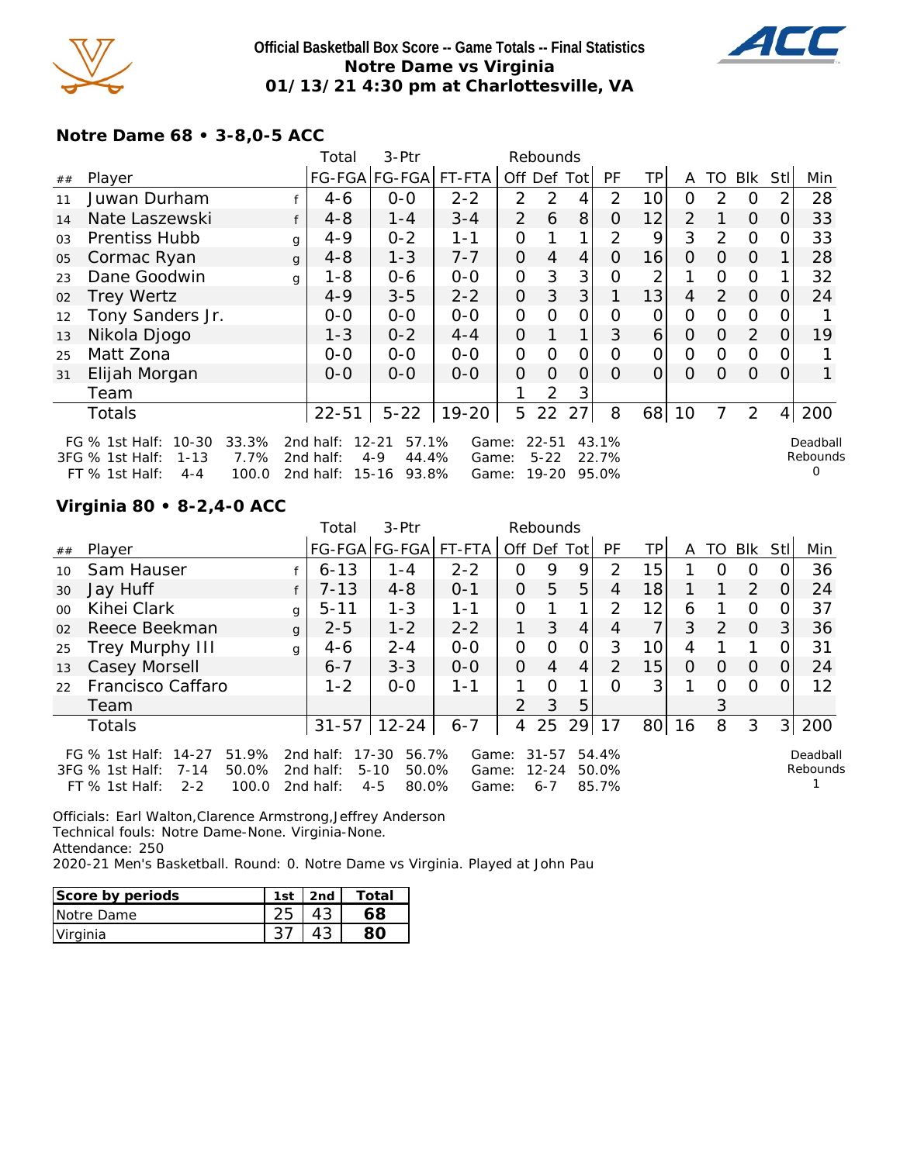

### **Official Basketball Box Score -- Game Totals -- Final Statistics Notre Dame vs Virginia 01/13/21 4:30 pm at Charlottesville, VA**



## **Notre Dame 68 • 3-8,0-5 ACC**

|    |                                                                                                                     |   | Total                               | 3-Ptr                                                        |                         | Rebounds       |                                    |                |                         |                |                |                |                |          |                           |
|----|---------------------------------------------------------------------------------------------------------------------|---|-------------------------------------|--------------------------------------------------------------|-------------------------|----------------|------------------------------------|----------------|-------------------------|----------------|----------------|----------------|----------------|----------|---------------------------|
| ## | Player                                                                                                              |   |                                     | FG-FGA FG-FGA FT-FTA                                         |                         | Off            | Def                                | Totl           | PF                      | ΤP             | A              | TO             | <b>Blk</b>     | Stl      | Min                       |
| 11 | Juwan Durham                                                                                                        |   | 4-6                                 | $0-0$                                                        | $2 - 2$                 | $\overline{2}$ | $\overline{2}$                     | 4              | 2                       | 10             | 0              | 2              | 0              |          | 28                        |
| 14 | Nate Laszewski                                                                                                      | f | $4 - 8$                             | 1-4                                                          | $3 - 4$                 | $\overline{2}$ | 6                                  | 8              | O                       | 12             | $\overline{2}$ |                | $\overline{O}$ | 0        | 33                        |
| 03 | <b>Prentiss Hubb</b>                                                                                                | g | $4 - 9$                             | $0 - 2$                                                      | $1 - 1$                 | 0              |                                    | 1              | 2                       | 9              | 3              | 2              | $\Omega$       | O        | 33                        |
| 05 | Cormac Ryan                                                                                                         | g | $4 - 8$                             | $1 - 3$                                                      | $7 - 7$                 | 0              | 4                                  | $\overline{4}$ | O                       | 16             | $\Omega$       | $\Omega$       | $\Omega$       |          | 28                        |
| 23 | Dane Goodwin                                                                                                        | q | $1 - 8$                             | $0 - 6$                                                      | $0 - 0$                 | 0              | 3                                  | 3              | Ω                       | 2              |                | $\Omega$       | $\Omega$       |          | 32                        |
| 02 | <b>Trey Wertz</b>                                                                                                   |   | $4 - 9$                             | $3 - 5$                                                      | $2 - 2$                 | 0              | 3                                  | 3              |                         | 13             | 4              | $\overline{2}$ | $\overline{O}$ | O        | 24                        |
| 12 | Tony Sanders Jr.                                                                                                    |   | $0-0$                               | $0-0$                                                        | $0-0$                   | 0              | $\Omega$                           | 0              | Ω                       | 0              | 0              | 0              | $\Omega$       |          |                           |
| 13 | Nikola Djogo                                                                                                        |   | $1 - 3$                             | $0 - 2$                                                      | $4 - 4$                 | 0              |                                    | 1              | 3                       | $\overline{6}$ | $\Omega$       | $\Omega$       | 2              | $\Omega$ | 19                        |
| 25 | Matt Zona                                                                                                           |   | $O-O$                               | $O-O$                                                        | $0 - 0$                 | 0              | O                                  | 0              | 0                       | $\Omega$       | 0              | $\Omega$       | $\overline{O}$ |          |                           |
| 31 | Elijah Morgan                                                                                                       |   | $0 - 0$                             | $0-0$                                                        | $0 - 0$                 | 0              | $\Omega$                           | $\overline{O}$ | $\Omega$                | $\Omega$       | $\Omega$       | $\Omega$       | $\overline{O}$ | $\Omega$ |                           |
|    | Team                                                                                                                |   |                                     |                                                              |                         |                | $\overline{2}$                     | 3              |                         |                |                |                |                |          |                           |
|    | Totals                                                                                                              |   | $22 - 51$                           | $5 - 22$                                                     | $19 - 20$               | 5              | 22                                 | 27             | 8                       | 68             | 10             |                | 2              | 4        | 200                       |
|    | $10 - 30$<br>33.3%<br>FG $%$ 1st Half:<br>7.7%<br>3FG % 1st Half:<br>$1 - 13$<br>100.0<br>FT % 1st Half:<br>$4 - 4$ |   | 2nd half:<br>2nd half:<br>2nd half: | $12 - 21$<br>57.1%<br>$4 - 9$<br>44.4%<br>$15 - 16$<br>93.8% | Game:<br>Game:<br>Game: |                | $22 - 51$<br>$5 - 22$<br>$19 - 20$ |                | 43.1%<br>22.7%<br>95.0% |                |                |                |                |          | Deadball<br>Rebounds<br>0 |

## **Virginia 80 • 8-2,4-0 ACC**

|         |                                                                                                                                                                                                                                                                                                                                                  |              | Total     | 3-Ptr         |         |                | Rebounds |             |           |                 |          |          |          |                |     |
|---------|--------------------------------------------------------------------------------------------------------------------------------------------------------------------------------------------------------------------------------------------------------------------------------------------------------------------------------------------------|--------------|-----------|---------------|---------|----------------|----------|-------------|-----------|-----------------|----------|----------|----------|----------------|-----|
| $\#\#$  | Player                                                                                                                                                                                                                                                                                                                                           |              |           | FG-FGA FG-FGA | FT-FTA  | Off Def Tot    |          |             | <b>PF</b> | TP              | A        | TO I     | Blk      | StII           | Min |
| 10      | Sam Hauser                                                                                                                                                                                                                                                                                                                                       |              | $6 - 13$  | $1 - 4$       | $2 - 2$ | 0              | 9        | 9           | 2         | 15              |          | O        | O        |                | 36  |
| 30      | Jay Huff                                                                                                                                                                                                                                                                                                                                         |              | $7 - 13$  | $4 - 8$       | $O - 1$ | $\Omega$       | 5        | 5           | 4         | 18              |          |          | 2        | $\Omega$       | 24  |
| $00 \,$ | Kihei Clark                                                                                                                                                                                                                                                                                                                                      | g            | $5 - 11$  | $1 - 3$       | 1-1     | 0              |          | 1           | 2         | 12 <sub>1</sub> | 6        |          | $\Omega$ | $\Omega$       | 37  |
| 02      | Reece Beekman                                                                                                                                                                                                                                                                                                                                    | $\mathbf{q}$ | $2 - 5$   | $1 - 2$       | $2 - 2$ |                | 3        | 4           | 4         | $\overline{7}$  | 3        | 2        | $\Omega$ | 3 <sup>1</sup> | 36  |
| 25      | Trey Murphy III                                                                                                                                                                                                                                                                                                                                  | g            | $4 - 6$   | $2 - 4$       | $0-0$   | 0              | $\Omega$ | 0           | 3         | 10 <sup>1</sup> | 4        |          |          | 0              | 31  |
| 13      | Casey Morsell                                                                                                                                                                                                                                                                                                                                    |              | $6 - 7$   | $3 - 3$       | $0 - 0$ | $\Omega$       | 4        | 4           | 2         | 15              | $\Omega$ | $\Omega$ | $\Omega$ | 0              | 24  |
| 22      | Francisco Caffaro                                                                                                                                                                                                                                                                                                                                |              | $1 - 2$   | $0 - 0$       | $1 - 1$ |                | $\Omega$ | $\mathbf 1$ | ∩         | 3 <sup>1</sup>  |          | Ω        | $\Omega$ |                | 12  |
|         | Team                                                                                                                                                                                                                                                                                                                                             |              |           |               |         | $\mathcal{P}$  | 3        | 5           |           |                 |          | 3        |          |                |     |
|         | Totals                                                                                                                                                                                                                                                                                                                                           |              | $31 - 57$ | $12 - 24$     | $6 - 7$ | $\overline{4}$ | 25       | 29          | 17        | 80 <sup>2</sup> | 16       | 8        | 3        | 3 <sup>1</sup> | 200 |
|         | 51.9%<br>$17 - 30$<br>FG $%$ 1st Half:<br>$14 - 27$<br>56.7%<br>$31 - 57$<br>54.4%<br>2nd half:<br>Game:<br>Deadball<br>Rebounds<br>$5 - 10$<br>50.0%<br>2nd half:<br>50.0%<br>$12 - 24$<br>3FG % 1st Half:<br>$7 - 14$<br>50.0%<br>Game:<br>$2 - 2$<br>$4 - 5$<br>80.0%<br>$FT \%$ 1st Half:<br>100.0<br>2nd half:<br>85.7%<br>$6 - 7$<br>Game: |              |           |               |         |                |          |             |           |                 |          |          |          |                |     |

Officials: Earl Walton,Clarence Armstrong,Jeffrey Anderson Technical fouls: Notre Dame-None. Virginia-None. Attendance: 250 2020-21 Men's Basketball. Round: 0. Notre Dame vs Virginia. Played at John Pau

| Score by periods | 1st | 2nd | Total |
|------------------|-----|-----|-------|
| Notre Dame       |     |     |       |
| Virginia         |     |     |       |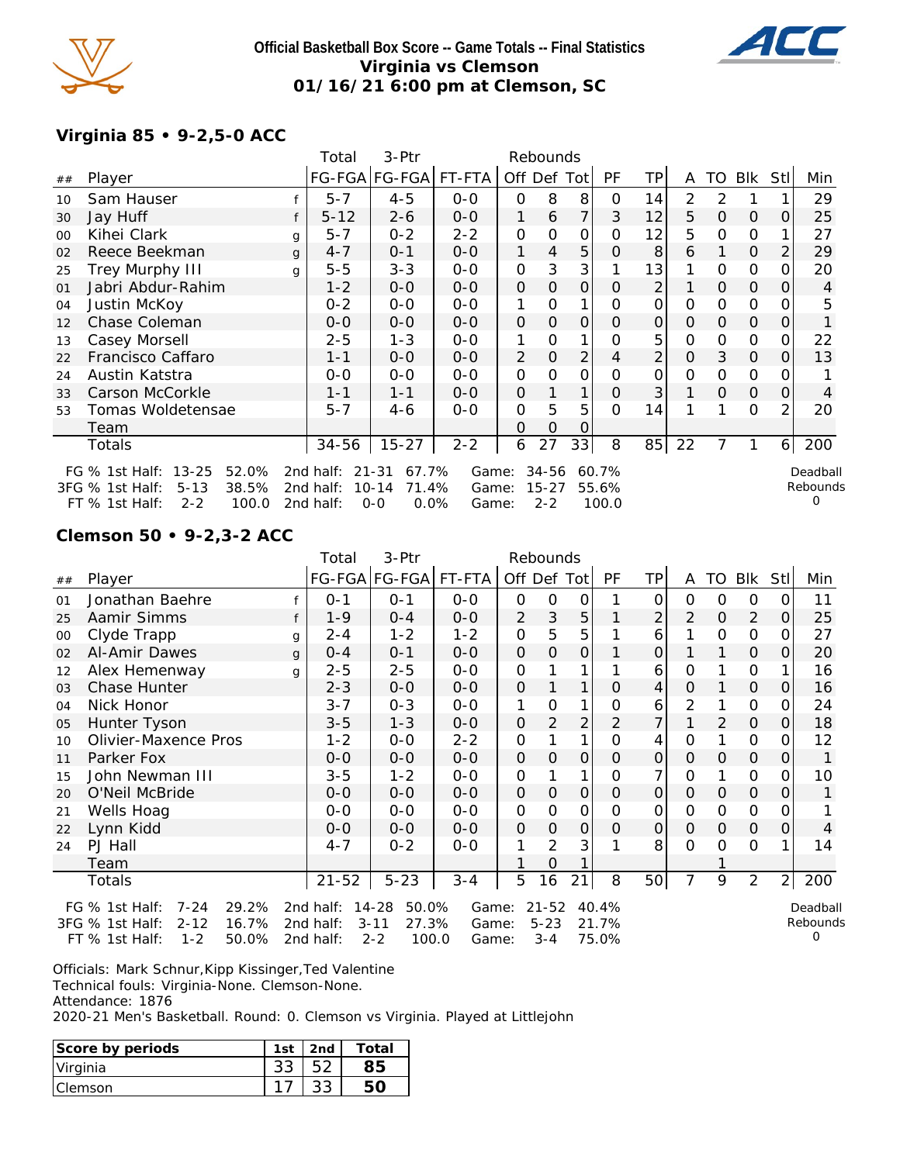

### **Official Basketball Box Score -- Game Totals -- Final Statistics Virginia vs Clemson 01/16/21 6:00 pm at Clemson, SC**



## **Virginia 85 • 9-2,5-0 ACC**

|    |                                                                                                                    |   | Total     | 3-Ptr              |         |                | Rebounds |                |           |          |          |          |               |      |          |
|----|--------------------------------------------------------------------------------------------------------------------|---|-----------|--------------------|---------|----------------|----------|----------------|-----------|----------|----------|----------|---------------|------|----------|
| ## | Player                                                                                                             |   |           | FG-FGA FG-FGA      | FT-FTA  |                |          | Off Def Tot    | <b>PF</b> | ΤP       | A        |          | TO BIK        | Stll | Min      |
| 10 | Sam Hauser                                                                                                         |   | $5 - 7$   | $4 - 5$            | $O-O$   | $\Omega$       | 8        | 8              | 0         | 14       | 2        | 2        |               |      | 29       |
| 30 | Jay Huff                                                                                                           |   | $5 - 12$  | $2 - 6$            | $0 - 0$ | 1              | 6        | $\overline{7}$ | 3         | 12       | 5        | $\Omega$ | 0             | O    | 25       |
| 00 | Kihei Clark                                                                                                        | g | $5 - 7$   | $0 - 2$            | $2 - 2$ | O              | 0        | 0              | Ο         | 12       | 5        | $\Omega$ | $\mathcal{O}$ |      | 27       |
| 02 | Reece Beekman                                                                                                      | g | $4 - 7$   | $0 - 1$            | $0 - 0$ | 1              | 4        | 5              | 0         | 8        | 6        |          | 0             |      | 29       |
| 25 | Trey Murphy III                                                                                                    | g | $5 - 5$   | $3 - 3$            | $0 - 0$ | O              | 3        | 3              |           | 13       |          | $\Omega$ | $\Omega$      |      | 20       |
| 01 | Jabri Abdur-Rahim                                                                                                  |   | $1 - 2$   | $0 - 0$            | $0 - 0$ | $\Omega$       | $\Omega$ | $\mathbf{O}$   | Ο         | 2        |          | $\Omega$ | $\Omega$      | Ο    | 4        |
| 04 | Justin McKoy                                                                                                       |   | $0 - 2$   | $0 - 0$            | $0 - 0$ | 1              | 0        |                | Ο         | 0        | 0        | 0        | $\mathcal{O}$ |      | 5        |
| 12 | Chase Coleman                                                                                                      |   | $0 - 0$   | $0 - 0$            | $0 - 0$ | $\Omega$       | 0        | 0              | 0         | $\Omega$ | $\Omega$ | 0        | 0             | Ο    |          |
| 13 | Casey Morsell                                                                                                      |   | $2 - 5$   | $1 - 3$            | $0 - 0$ |                | 0        |                | Ο         | 5        | 0        | 0        | $\mathcal{O}$ |      | 22       |
| 22 | Francisco Caffaro                                                                                                  |   | $1 - 1$   | $0 - 0$            | $0 - 0$ | $\overline{2}$ | $\Omega$ | $\overline{2}$ | 4         | 2        | 0        | 3        | $\Omega$      | Ο    | 13       |
| 24 | Austin Katstra                                                                                                     |   | $0 - 0$   | $0 - 0$            | $0 - 0$ | 0              | 0        | $\Omega$       | Ω         | O        | 0        | $\Omega$ | $\mathcal{O}$ |      |          |
| 33 | Carson McCorkle                                                                                                    |   | $1 - 1$   | $1 - 1$            | $0 - 0$ | $\Omega$       |          | 1              | 0         | 3        |          | $\Omega$ | $\Omega$      | Ο    | 4        |
| 53 | Tomas Woldetensae                                                                                                  |   | $5 - 7$   | 4-6                | $0 - 0$ | O              | 5        | 5              | 0         | 14       |          |          | $\mathcal{O}$ | 2    | 20       |
|    | Team                                                                                                               |   |           |                    |         | O              | O        | 0              |           |          |          |          |               |      |          |
|    | Totals                                                                                                             |   | 34-56     | $15 - 27$          | $2 - 2$ | 6              | 27       | 33             | 8         | 85       | 22       |          | 1             | 6    | 200      |
|    | $13 - 25$<br>52.0%<br>FG $\%$ 1st Half:                                                                            |   | 2nd half: | 67.7%<br>$21 - 31$ | Game:   |                | 34-56    |                | 60.7%     |          |          |          |               |      | Deadball |
|    | Rebounds<br>38.5%<br>3FG % 1st Half:<br>$5 - 13$<br>2nd half:<br>$10 - 14$<br>71.4%<br>$15 - 27$<br>55.6%<br>Game: |   |           |                    |         |                |          |                |           |          |          |          |               |      |          |
|    | 100.0<br>$2 - 2$<br>FT % 1st Half:                                                                                 |   | 2nd half: | $0 - 0$<br>$0.0\%$ | Game:   |                | $2 - 2$  |                | 100.0     |          |          |          |               |      | 0        |

#### **Clemson 50 • 9-2,3-2 ACC**

|    |                                                                             |   | Total                  | 3-Ptr                               |                |                     | Rebounds              |              |                |                |               |               |                |                |                           |
|----|-----------------------------------------------------------------------------|---|------------------------|-------------------------------------|----------------|---------------------|-----------------------|--------------|----------------|----------------|---------------|---------------|----------------|----------------|---------------------------|
| ## | Player                                                                      |   |                        | FG-FGA FG-FGA                       | FT-FTA         | Off Def Tot         |                       |              | PF             | TP             | A             | TO            | Blk            | <b>Stl</b>     | Min                       |
| 01 | Jonathan Baehre                                                             |   | $0 - 1$                | $O - 1$                             | $0 - 0$        | 0                   | 0                     | 0            |                | 0              | $\Omega$      | 0             | 0              | 0              | 11                        |
| 25 | Aamir Simms                                                                 |   | $1 - 9$                | $0 - 4$                             | $0-0$          | 2                   | 3                     | 5            |                | 2              | 2             | $\mathcal{O}$ | 2              | 0              | 25                        |
| 00 | Clyde Trapp                                                                 | g | $2 - 4$                | $1 - 2$                             | $1 - 2$        | O                   | 5                     | 5            |                | 6              |               | 0             | 0              | O              | 27                        |
| 02 | Al-Amir Dawes                                                               | g | $0 - 4$                | $0 - 1$                             | $0-0$          | $\mathbf{O}$        | $\Omega$              | $\Omega$     |                | $\overline{O}$ |               |               | $\Omega$       | 0              | 20                        |
| 12 | Alex Hemenway                                                               | q | $2 - 5$                | $2 - 5$                             | $0 - 0$        | $\mathsf{O}\xspace$ |                       |              |                | 6              | $\mathcal{O}$ |               | $\mathbf 0$    |                | 16                        |
| 03 | <b>Chase Hunter</b>                                                         |   | $2 - 3$                | $0-0$                               | $0-0$          | $\mathbf 0$         |                       |              | $\Omega$       | 4              | 0             |               | $\mathbf{O}$   | 0              | 16                        |
| 04 | Nick Honor                                                                  |   | $3 - 7$                | $0 - 3$                             | $0-0$          | 1                   | 0                     |              | Ο              | 6              | 2             |               | 0              | Ο              | 24                        |
| 05 | Hunter Tyson                                                                |   | $3 - 5$                | $1 - 3$                             | $0-0$          | O                   | 2                     | 2            | 2              |                | 1             | 2             | $\mathbf{O}$   | 0              | 18                        |
| 10 | Olivier-Maxence Pros                                                        |   | $1 - 2$                | $0 - 0$                             | $2 - 2$        | O                   |                       | 1            | O              | 4              | $\mathcal{O}$ |               | 0              | O              | 12                        |
| 11 | Parker Fox                                                                  |   | $0-0$                  | $0-0$                               | $0-0$          | 0                   | $\overline{O}$        | 0            | $\overline{O}$ | $\mathcal{O}$  | 0             | 0             | $\mathbf 0$    | 0              |                           |
| 15 | John Newman III                                                             |   | $3 - 5$                | $1 - 2$                             | $0 - 0$        | $\mathsf{O}\xspace$ |                       | 1            | 0              | 7              | $\mathbf 0$   |               | $\mathbf 0$    | 0              | 10                        |
| 20 | O'Neil McBride                                                              |   | $0 - 0$                | $0 - 0$                             | $0-0$          | 0                   | $\Omega$              | $\mathbf{O}$ | $\Omega$       | $\Omega$       | $\Omega$      | $\Omega$      | $\mathcal{O}$  | 0              |                           |
| 21 | Wells Hoag                                                                  |   | $0 - 0$                | $0 - 0$                             | $0-0$          | 0                   | 0                     | 0            | 0              | 0              | 0             | 0             | 0              | 0              |                           |
| 22 | Lynn Kidd                                                                   |   | $0 - 0$                | $0-0$                               | $0-0$          | $\mathsf{O}\xspace$ | $\mathsf O$           | 0            | 0              | 0              | 0             | $\Omega$      | $\mathbf 0$    | 0              | 4                         |
| 24 | PJ Hall                                                                     |   | $4 - 7$                | $0 - 2$                             | $0 - 0$        | 1                   | $\overline{2}$        | 3            |                | 8              | $\mathbf 0$   | 0             | $\mathsf{O}$   |                | 14                        |
|    | Team                                                                        |   |                        |                                     |                |                     | 0                     |              |                |                |               |               |                |                |                           |
|    | Totals                                                                      |   | $21 - 52$              | $5 - 23$                            | $3 - 4$        | 5                   | 16                    | 21           | 8              | 50             | 7             | 9             | $\overline{2}$ | $\overline{2}$ | 200                       |
|    | FG % 1st Half:<br>$7 - 24$<br>29.2%<br>3FG % 1st Half:<br>$2 - 12$<br>16.7% |   | 2nd half:<br>2nd half: | 14-28<br>50.0%<br>$3 - 11$<br>27.3% | Game:<br>Game: |                     | $21 - 52$<br>$5 - 23$ |              | 40.4%<br>21.7% |                |               |               |                |                | Deadball<br>Rebounds<br>Ω |
|    | $1 - 2$<br>50.0%<br>$FT$ % 1st Half:                                        |   | 2nd half:              | $2 - 2$<br>100.0                    | Game:          |                     | $3 - 4$               |              | 75.0%          |                |               |               |                |                |                           |

Officials: Mark Schnur,Kipp Kissinger,Ted Valentine Technical fouls: Virginia-None. Clemson-None. Attendance: 1876 2020-21 Men's Basketball. Round: 0. Clemson vs Virginia. Played at Littlejohn

| Score by periods | 1st | 2 <sub>nd</sub> | Total |
|------------------|-----|-----------------|-------|
| <i>Virginia</i>  | د د |                 |       |
| <b>IClemson</b>  |     |                 |       |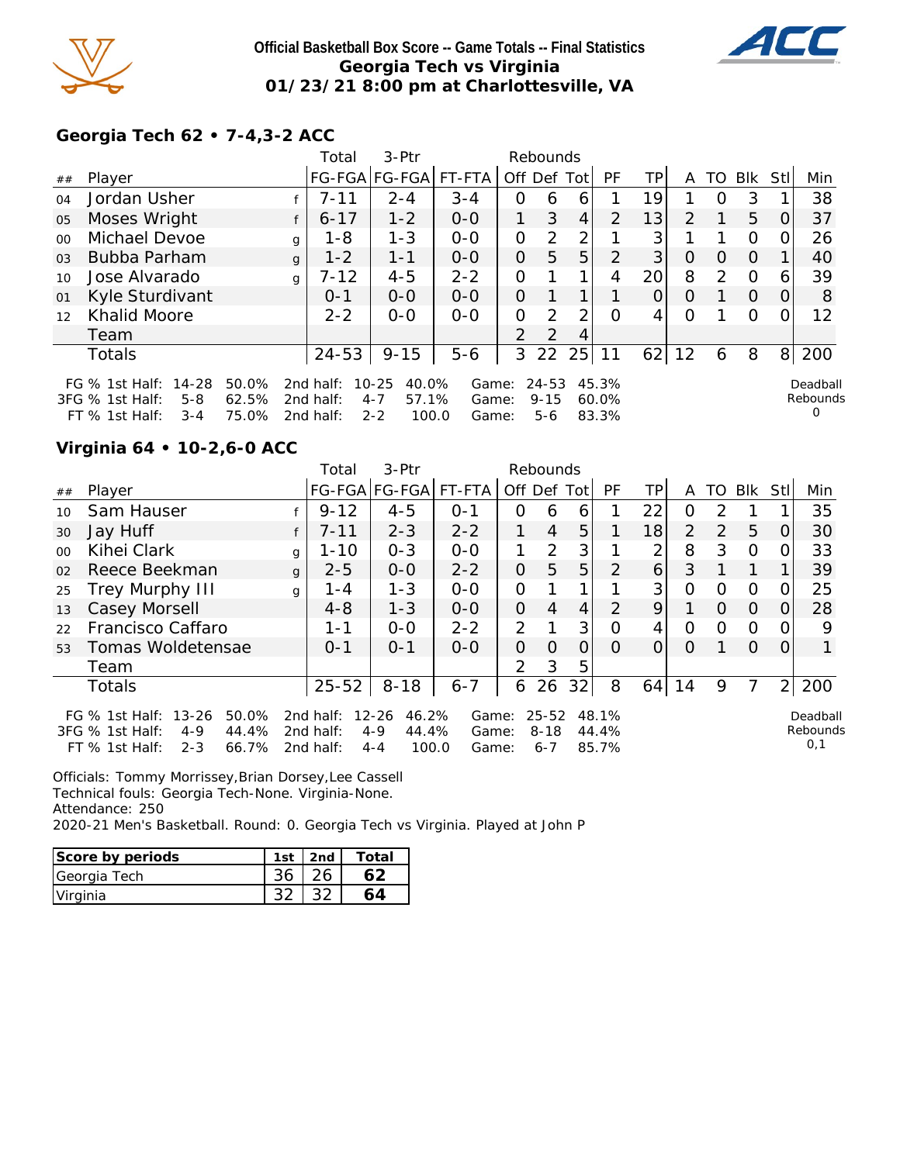

## **Official Basketball Box Score -- Game Totals -- Final Statistics Georgia Tech vs Virginia 01/23/21 8:00 pm at Charlottesville, VA**



# **Georgia Tech 62 • 7-4,3-2 ACC**

|                |                                                                                                                                                                                                                                                                                                                                               |  |              | Total     | 3-Ptr         |         |                | Rebounds       |                |                |                |               |          |          |          |     |
|----------------|-----------------------------------------------------------------------------------------------------------------------------------------------------------------------------------------------------------------------------------------------------------------------------------------------------------------------------------------------|--|--------------|-----------|---------------|---------|----------------|----------------|----------------|----------------|----------------|---------------|----------|----------|----------|-----|
| ##             | Player                                                                                                                                                                                                                                                                                                                                        |  |              |           | FG-FGA FG-FGA | FT-FTA  |                | Off Def        | Totl           | <b>PF</b>      | ΤP             | A             | TO.      | Blk      | Stl      | Min |
| 04             | Jordan Usher                                                                                                                                                                                                                                                                                                                                  |  |              | $7 - 11$  | $2 - 4$       | $3 - 4$ | 0              | 6              | 6              |                | 19             |               | $\Omega$ | 3        |          | 38  |
| 05             | Moses Wright                                                                                                                                                                                                                                                                                                                                  |  |              | $6 - 17$  | $1 - 2$       | $0-0$   | 1              | 3              | $\overline{4}$ | $\overline{2}$ | 13             | $\mathcal{P}$ |          | 5        | $\Omega$ | 37  |
| 0 <sup>0</sup> | Michael Devoe                                                                                                                                                                                                                                                                                                                                 |  | g            | $1 - 8$   | $1 - 3$       | $0 - 0$ | O              | 2              | 2              |                | 3 <sub>l</sub> |               |          | 0        |          | 26  |
| 0 <sub>3</sub> | Bubba Parham                                                                                                                                                                                                                                                                                                                                  |  | $\mathbf{q}$ | $1 - 2$   | $1 - 1$       | $0 - 0$ | O              | 5              | 5              | 2              | 3              | O             | $\Omega$ | $\Omega$ |          | 40  |
| 10             | Jose Alvarado                                                                                                                                                                                                                                                                                                                                 |  | q            | $7 - 12$  | $4 - 5$       | $2 - 2$ | 0              |                | 1              | 4              | 20             | 8             | 2        | $\Omega$ | 6        | 39  |
| 01             | Kyle Sturdivant                                                                                                                                                                                                                                                                                                                               |  |              | $0 - 1$   | $O-O$         | $0 - 0$ | 0              |                |                |                | $\overline{O}$ | $\Omega$      |          | $\Omega$ | $\Omega$ | 8   |
| 12             | <b>Khalid Moore</b>                                                                                                                                                                                                                                                                                                                           |  |              | $2 - 2$   | $0 - 0$       | $0 - 0$ | O              | 2              | ∍              | Ω              | 4              | 0             |          | $\Omega$ |          | 12  |
|                | Team                                                                                                                                                                                                                                                                                                                                          |  |              |           |               |         | $\overline{2}$ | $\overline{2}$ | 4              |                |                |               |          |          |          |     |
|                | Totals                                                                                                                                                                                                                                                                                                                                        |  |              | $24 - 53$ | $9 - 15$      | $5-6$   | 3              | 22             | 25             | 11             | 62             | 12            | 6        | 8        | 8        | 200 |
|                | FG $%$ 1st Half:<br>14-28<br>50.0%<br>$10 - 25$<br>40.0%<br>$24 - 53$<br>45.3%<br>2nd half:<br>Game:<br>Deadball<br>Rebounds<br>57.1%<br>62.5%<br>3FG % 1st Half:<br>$5 - 8$<br>2nd half:<br>$4 - 7$<br>$9 - 15$<br>60.0%<br>Game:<br>0<br>75.0%<br>$2 - 2$<br>100.0<br>83.3%<br>$FT$ % 1st Half:<br>$3 - 4$<br>2nd half:<br>$5 - 6$<br>Game: |  |              |           |               |         |                |                |                |                |                |               |          |          |          |     |

## **Virginia 64 • 10-2,6-0 ACC**

|         |                                                                                                              |              | Total                                  | 3-Ptr                                                      |                         |                | Rebounds                         |                |                         |    |                |          |            |          |                             |
|---------|--------------------------------------------------------------------------------------------------------------|--------------|----------------------------------------|------------------------------------------------------------|-------------------------|----------------|----------------------------------|----------------|-------------------------|----|----------------|----------|------------|----------|-----------------------------|
| ##      | Player                                                                                                       |              |                                        | FG-FGA FG-FGA                                              | FT-FTA                  | Off Def Tot    |                                  |                | <b>PF</b>               | TP | A              | TO       | <b>BIK</b> | Stll     | Min                         |
| 10      | Sam Hauser                                                                                                   |              | $9 - 12$                               | $4 - 5$                                                    | $O - 1$                 | 0              | 6                                | 6              |                         | 22 | O              | 2        |            |          | 35                          |
| 30      | Jay Huff                                                                                                     |              | $7 - 11$                               | $2 - 3$                                                    | $2 - 2$                 |                | 4                                | 5              |                         | 18 | $\overline{2}$ | 2        | 5          | 0        | 30                          |
| $00 \,$ | Kihei Clark                                                                                                  | g            | 1-10                                   | $0 - 3$                                                    | $0-0$                   |                | 2                                | 3              |                         | 2  | 8              | 3        | $\Omega$   | 0        | 33                          |
| 02      | Reece Beekman                                                                                                | $\mathbf{q}$ | $2 - 5$                                | $0 - 0$                                                    | $2 - 2$                 | $\Omega$       | 5                                | 5              | 2                       | 6  | 3              |          | 1          |          | 39                          |
| 25      | Trey Murphy III                                                                                              | g            | 1 - 4                                  | $1 - 3$                                                    | $0 - 0$                 | $\mathcal{O}$  |                                  |                |                         | 3  | O              | Ω        | $\Omega$   | O.       | 25                          |
| 13      | Casey Morsell                                                                                                |              | $4 - 8$                                | $1 - 3$                                                    | $0 - 0$                 | $\overline{O}$ | 4                                | $\overline{4}$ | $\mathcal{P}$           | 9  |                | $\Omega$ | $\Omega$   | $\Omega$ | 28                          |
| 22      | Francisco Caffaro                                                                                            |              | $1 - 1$                                | $0 - 0$                                                    | $2 - 2$                 | 2              |                                  | 3              | Ω                       | 4  | O              | O        | O          | 0        | 9                           |
| 53      | Tomas Woldetensae                                                                                            |              | $0 - 1$                                | $0 - 1$                                                    | $O-O$                   | $\Omega$       | $\Omega$                         | $\overline{O}$ | $\Omega$                | 0  | O              |          | $\Omega$   | O        |                             |
|         | Team                                                                                                         |              |                                        |                                                            |                         | $\mathcal{P}$  | 3                                | 5              |                         |    |                |          |            |          |                             |
|         | <b>Totals</b>                                                                                                |              | $25 - 52$                              | $8 - 18$                                                   | $6 - 7$                 | 6              | 26                               | 32             | 8                       | 64 | 14             | 9        | 7          | 21       | 200                         |
|         | FG % 1st Half: 13-26<br>50.0%<br>3FG % 1st Half:<br>44.4%<br>$4 - 9$<br>$FT$ % 1st Half:<br>66.7%<br>$2 - 3$ |              | 2nd half:<br>2nd half:<br>2 $nd$ half: | $12 - 26$<br>46.2%<br>44.4%<br>$4 - 9$<br>100.0<br>$4 - 4$ | Game:<br>Game:<br>Game: |                | $25 - 52$<br>$8 - 18$<br>$6 - 7$ |                | 48.1%<br>44.4%<br>85.7% |    |                |          |            |          | Deadball<br>Rebounds<br>0,1 |

Officials: Tommy Morrissey,Brian Dorsey,Lee Cassell Technical fouls: Georgia Tech-None. Virginia-None. Attendance: 250 2020-21 Men's Basketball. Round: 0. Georgia Tech vs Virginia. Played at John P

| Score by periods | 1st | 2nd | $\tau$ otai |
|------------------|-----|-----|-------------|
| Georgia Tech     |     |     |             |
| Virginia         |     |     |             |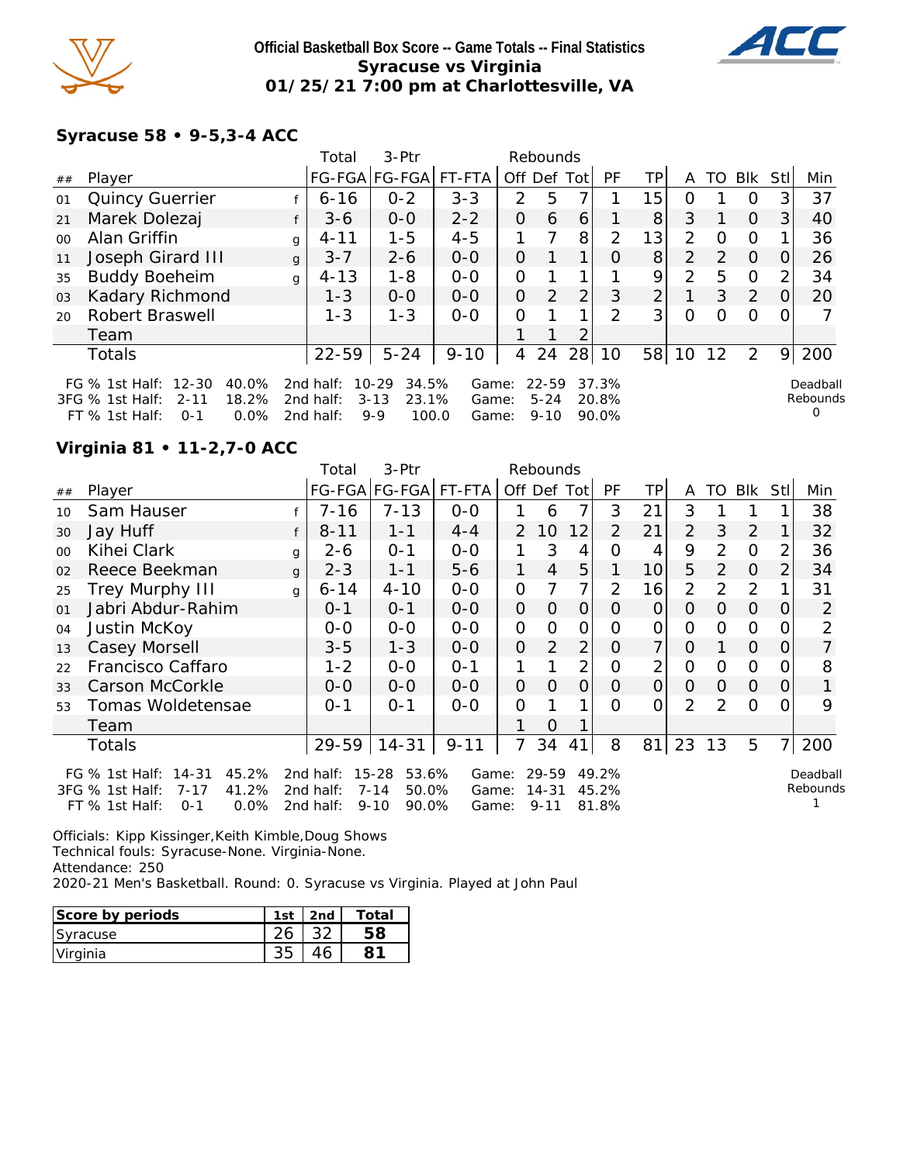

## **Official Basketball Box Score -- Game Totals -- Final Statistics Syracuse vs Virginia 01/25/21 7:00 pm at Charlottesville, VA**



## **Syracuse 58 • 9-5,3-4 ACC**

|         |                                                                                                            |              | Total                               | $3-Ptr$                                                     |                         |               | Rebounds                          |                |                         |                 |               |                |          |                |                                  |
|---------|------------------------------------------------------------------------------------------------------------|--------------|-------------------------------------|-------------------------------------------------------------|-------------------------|---------------|-----------------------------------|----------------|-------------------------|-----------------|---------------|----------------|----------|----------------|----------------------------------|
| ##      | Player                                                                                                     |              |                                     | FG-FGA FG-FGA FT-FTA                                        |                         |               |                                   | Off Def Tot    | PF                      | ТP              | A             | TO             | Blk      | Stll           | Min                              |
| 01      | <b>Quincy Guerrier</b>                                                                                     |              | $6 - 16$                            | $0 - 2$                                                     | $3 - 3$                 | $\mathcal{P}$ | 5                                 |                |                         | 15 <sub>1</sub> | O             |                | $\Omega$ | 3              | 37                               |
| 21      | Marek Dolezaj                                                                                              |              | $3-6$                               | $0 - 0$                                                     | $2 - 2$                 | 0             | 6                                 | 6              |                         | 8 <sup>1</sup>  | 3             |                | $\Omega$ | 3 <sup>1</sup> | 40                               |
| $00 \,$ | Alan Griffin                                                                                               | g            | $4 - 11$                            | $1 - 5$                                                     | $4 - 5$                 |               | 7                                 | 8              | 2                       | 13 <sub>1</sub> | $\mathcal{P}$ | ∩              | $\Omega$ |                | 36                               |
| 11      | Joseph Girard III                                                                                          | $\mathbf{q}$ | $3 - 7$                             | $2 - 6$                                                     | $0 - 0$                 | 0             |                                   |                | $\Omega$                | 8               | 2             | $\overline{2}$ | $\Omega$ | 0              | 26                               |
| 35      | <b>Buddy Boeheim</b>                                                                                       | q            | $4 - 13$                            | $1 - 8$                                                     | $0 - 0$                 | 0             |                                   |                |                         | 9               | 2             | 5              | $\Omega$ | 2              | 34                               |
| 03      | Kadary Richmond                                                                                            |              | $1 - 3$                             | $0 - 0$                                                     | $0 - 0$                 | 0             | 2                                 | $\overline{2}$ | 3                       | $\overline{2}$  |               | 3              | 2        | $\Omega$       | 20                               |
| 20      | <b>Robert Braswell</b>                                                                                     |              | $1 - 3$                             | $1 - 3$                                                     | $0 - 0$                 | 0             |                                   |                | 2                       | 3 <sup>1</sup>  | $\Omega$      |                | $\Omega$ |                |                                  |
|         | Team                                                                                                       |              |                                     |                                                             |                         |               |                                   | ⌒              |                         |                 |               |                |          |                |                                  |
|         | Totals                                                                                                     |              | 22-59                               | $5 - 24$                                                    | $9 - 10$                | 4             | 24                                | 28             | 10                      | 58              | 10            | 12             | 2        | 9              | 200                              |
|         | FG % 1st Half: 12-30<br>40.0%<br>18.2%<br>3FG % 1st Half:<br>$2 - 11$<br>0.0%<br>FT % 1st Half:<br>$O - 1$ |              | 2nd half:<br>2nd half:<br>2nd half: | $10 - 29$<br>34.5%<br>23.1%<br>$3 - 13$<br>$9 - 9$<br>100.0 | Game:<br>Game:<br>Game: |               | $22 - 59$<br>$5 - 24$<br>$9 - 10$ |                | 37.3%<br>20.8%<br>90.0% |                 |               |                |          |                | Deadball<br>Rebounds<br>$\Omega$ |

# **Virginia 81 • 11-2,7-0 ACC**

|         |                                                                                                                         |              | Total                               | 3-Ptr                                                        |                         |                | Rebounds                           |                |                         |                |                |               |          |          |                      |
|---------|-------------------------------------------------------------------------------------------------------------------------|--------------|-------------------------------------|--------------------------------------------------------------|-------------------------|----------------|------------------------------------|----------------|-------------------------|----------------|----------------|---------------|----------|----------|----------------------|
| ##      | Player                                                                                                                  |              |                                     | FG-FGA FG-FGA  FT-FTA                                        |                         |                | Off Def Tot                        |                | PF                      | TP             | A              | TO            | Blk      | Stll     | Min                  |
| 10      | Sam Hauser                                                                                                              |              | $7 - 16$                            | $7 - 13$                                                     | $0-0$                   |                | 6                                  |                | 3                       | 21             | 3              |               |          |          | 38                   |
| 30      | Jay Huff                                                                                                                |              | $8 - 11$                            | $1 - 1$                                                      | $4 - 4$                 | $\mathcal{P}$  | 10                                 | 12             | 2                       | 21             | 2              | 3             | 2        |          | 32                   |
| $00 \,$ | Kihei Clark                                                                                                             | g            | 2-6                                 | $0 - 1$                                                      | $0 - 0$                 |                | 3                                  | 4              | 0                       | 4              | 9              | $\mathcal{P}$ | $\Omega$ | 2        | 36                   |
| 02      | Reece Beekman                                                                                                           | $\mathbf{q}$ | $2 - 3$                             | $1 - 1$                                                      | $5 - 6$                 | 1              | $\overline{4}$                     | 5              |                         | 10             | 5              | 2             | $\Omega$ | 2        | 34                   |
| 25      | <b>Trey Murphy III</b>                                                                                                  | g            | $6 - 14$                            | $4 - 10$                                                     | $0-0$                   | 0              | 7                                  | 7              | 2                       | 16             | $\overline{2}$ | 2             | 2        |          | 31                   |
| 01      | Jabri Abdur-Rahim                                                                                                       |              | $0 - 1$                             | $0 - 1$                                                      | $0 - 0$                 | 0              | 0                                  | $\Omega$       | $\Omega$                | $\Omega$       | $\Omega$       | $\Omega$      | $\Omega$ | $\Omega$ | 2                    |
| 04      | Justin McKoy                                                                                                            |              | $O-O$                               | $0 - 0$                                                      | $0 - 0$                 | 0              | $\Omega$                           | O              | O                       | $\overline{O}$ | $\Omega$       | $\Omega$      | $\Omega$ |          | 2                    |
| 13      | Casey Morsell                                                                                                           |              | $3 - 5$                             | $1 - 3$                                                      | $0 - 0$                 | $\overline{O}$ | 2                                  | $\overline{2}$ | $\Omega$                | 7              | $\Omega$       |               | $\Omega$ | $\Omega$ | $\overline{7}$       |
| 22      | Francisco Caffaro                                                                                                       |              | $1 - 2$                             | $O-O$                                                        | $0 - 1$                 |                |                                    | 2              | 0                       | 2              | $\Omega$       | 0             | $\Omega$ | O        | 8                    |
| 33      | Carson McCorkle                                                                                                         |              | $O-O$                               | $O-O$                                                        | $O-O$                   | 0              | 0                                  | $\Omega$       | $\Omega$                | $\overline{O}$ | $\Omega$       | $\Omega$      | $\Omega$ | $\Omega$ |                      |
| 53      | Tomas Woldetensae                                                                                                       |              | $0 - 1$                             | $0 - 1$                                                      | $0 - 0$                 | 0              |                                    |                | ∩                       | $\Omega$       | $\overline{2}$ | $\mathcal{P}$ | $\Omega$ |          | 9                    |
|         | Team                                                                                                                    |              |                                     |                                                              |                         |                | $\Omega$                           |                |                         |                |                |               |          |          |                      |
|         | Totals                                                                                                                  |              | 29-59                               | $14 - 31$                                                    | $9 - 11$                |                | 34                                 | 41             | 8                       | 81             | 23             | 13            | 5        | 7        | 200                  |
|         | FG % 1st Half:<br>$14 - 31$<br>45.2%<br>$3FG \%$ 1st Half:<br>$7 - 17$<br>41.2%<br>FT % 1st Half:<br>$0.0\%$<br>$O - 1$ |              | 2nd half:<br>2nd half:<br>2nd half: | $15 - 28$<br>53.6%<br>$7 - 14$<br>50.0%<br>$9 - 10$<br>90.0% | Game:<br>Game:<br>Game: |                | $29 - 59$<br>$14 - 31$<br>$9 - 11$ |                | 49.2%<br>45.2%<br>81.8% |                |                |               |          |          | Deadball<br>Rebounds |

Officials: Kipp Kissinger,Keith Kimble,Doug Shows Technical fouls: Syracuse-None. Virginia-None. Attendance: 250 2020-21 Men's Basketball. Round: 0. Syracuse vs Virginia. Played at John Paul

| Score by periods | 1 <sub>ct</sub> | 2n <sup>d</sup> | Totai |
|------------------|-----------------|-----------------|-------|
| Syracuse         |                 |                 |       |
| Virginia         |                 |                 |       |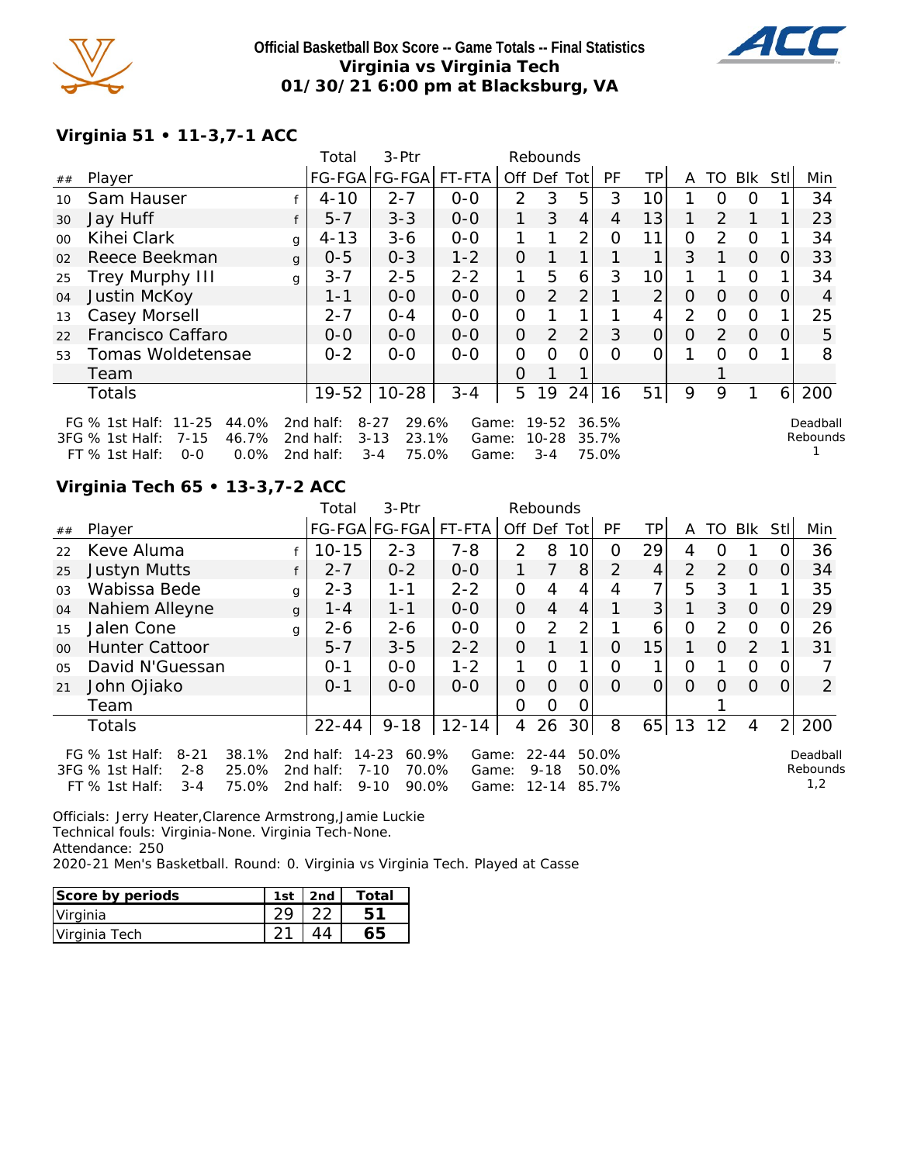

### **Official Basketball Box Score -- Game Totals -- Final Statistics Virginia vs Virginia Tech 01/30/21 6:00 pm at Blacksburg, VA**



# **Virginia 51 • 11-3,7-1 ACC**

|         |                                                                       |   | Total                  | 3-Ptr                                  |                |               | Rebounds           |                |                |                |          |                |          |          |                      |
|---------|-----------------------------------------------------------------------|---|------------------------|----------------------------------------|----------------|---------------|--------------------|----------------|----------------|----------------|----------|----------------|----------|----------|----------------------|
| ##      | Player                                                                |   |                        | FG-FGA FG-FGA  FT-FTA                  |                | Off Def Tot   |                    |                | PF             | ΤP             | A        |                | TO BIK   | Stll     | Min                  |
| 10      | Sam Hauser                                                            |   | $4 - 10$               | $2 - 7$                                | $0 - 0$        | $\mathcal{P}$ | 3                  | 5              | 3              | 10             |          | 0              | $\Omega$ |          | 34                   |
| 30      | Jay Huff                                                              |   | $5 - 7$                | $3 - 3$                                | $0 - 0$        | 1             | 3                  | 4              | 4              | 13             |          | 2              | 1        |          | 23                   |
| $00 \,$ | Kihei Clark                                                           | g | $4 - 13$               | $3 - 6$                                | $0-0$          | 1             |                    | 2 <sub>1</sub> | Ω              | 11             | 0        | $\overline{2}$ | $\Omega$ |          | 34                   |
| 02      | Reece Beekman                                                         | q | $0 - 5$                | $0 - 3$                                | $1 - 2$        | O             |                    |                |                | 1              | 3        |                | $\Omega$ | 0        | 33                   |
| 25      | <b>Trey Murphy III</b>                                                | g | $3 - 7$                | $2 - 5$                                | $2 - 2$        | 1             | 5                  | 6              | 3              | 10             |          |                | $\Omega$ |          | 34                   |
| 04      | Justin McKoy                                                          |   | $1 - 1$                | $0-0$                                  | $0-0$          | 0             | 2                  | $\overline{2}$ |                | $\overline{2}$ | 0        | $\Omega$       | $\Omega$ | 0        | 4                    |
| 13      | Casey Morsell                                                         |   | $2 - 7$                | $0 - 4$                                | $0 - 0$        | 0             |                    |                |                | 4              | 2        | $\Omega$       | $\Omega$ |          | 25                   |
| 22      | Francisco Caffaro                                                     |   | $O-O$                  | $0 - 0$                                | $0 - 0$        | $\Omega$      | $\mathcal{P}$      | 2              | 3              | 0              | $\Omega$ | 2              | $\Omega$ | $\Omega$ | 5                    |
| 53      | Tomas Woldetensae                                                     |   | $0 - 2$                | $0-0$                                  | $0-0$          | 0             | Ω                  | ∩              | O              | 0              |          | O              | $\Omega$ |          | 8                    |
|         | Team                                                                  |   |                        |                                        |                | O             |                    |                |                |                |          |                |          |          |                      |
|         | Totals                                                                |   | $19 - 52$              | $10 - 28$                              | $3 - 4$        | 5             | 19                 | 24             | 16             | 51             | 9        | 9              |          | 6        | 200                  |
|         | FG % 1st Half: 11-25<br>44.0%<br>46.7%<br>3FG % 1st Half:<br>$7 - 15$ |   | 2nd half:<br>2nd half: | $8 - 27$<br>29.6%<br>23.1%<br>$3 - 13$ | Game:<br>Game: |               | 19-52<br>$10 - 28$ |                | 36.5%<br>35.7% |                |          |                |          |          | Deadball<br>Rebounds |
|         | FT % 1st Half:<br>$0.0\%$<br>$0 - 0$                                  |   | 2nd half:              | 75.0%<br>$3 - 4$                       | Game:          |               | $3 - 4$            |                | 75.0%          |                |          |                |          |          |                      |

## **Virginia Tech 65 • 13-3,7-2 ACC**

|                |                                                                                           |                         | Total                               | 3-Ptr                                                    |                         |                | Rebounds                           |                 |                         |     |                |               |          |          |                             |
|----------------|-------------------------------------------------------------------------------------------|-------------------------|-------------------------------------|----------------------------------------------------------|-------------------------|----------------|------------------------------------|-----------------|-------------------------|-----|----------------|---------------|----------|----------|-----------------------------|
| ##             | Player                                                                                    |                         | FG-FGA FG-FGA                       |                                                          | FT-FTA                  | Off Def        |                                    | Totl            | <b>PF</b>               | TP. | A              | TO I          | Blk      | Stll     | Min                         |
| 22             | Keve Aluma                                                                                |                         | $10 - 15$                           | $2 - 3$                                                  | $7 - 8$                 | $\mathcal{P}$  | 8                                  | 10 <sup>1</sup> | 0                       | 29  | 4              | Ω             |          | O        | 36                          |
| 25             | Justyn Mutts                                                                              |                         | $2 - 7$                             | $0 - 2$                                                  | $0 - 0$                 |                | 7                                  | 8               | 2                       | 4   | $\overline{2}$ | 2             | 0        | 0        | 34                          |
| 03             | Wabissa Bede                                                                              | g                       | $2 - 3$                             | 1-1                                                      | $2 - 2$                 | $\mathcal{O}$  | 4                                  | 4               | 4                       | 7   | 5              | 3             |          |          | 35                          |
| 04             | Nahiem Alleyne                                                                            | g                       | $1 - 4$                             | $1 - 1$                                                  | $0-0$                   | $\overline{O}$ | $\overline{4}$                     | 4               |                         | 3   |                | 3             | $\Omega$ | O        | 29                          |
| 15             | Jalen Cone                                                                                | g                       | $2 - 6$                             | $2 - 6$                                                  | $0-0$                   | $\mathcal{O}$  | 2                                  | 2               |                         | 6   | 0              | $\mathcal{P}$ | $\Omega$ | 0        | 26                          |
| 0 <sup>0</sup> | <b>Hunter Cattoor</b>                                                                     |                         | $5 - 7$                             | $3 - 5$                                                  | $2 - 2$                 | $\Omega$       | 1                                  | 1               | Ω                       | 15  |                | $\Omega$      | 2        |          | 31                          |
| 05             | David N'Guessan                                                                           |                         | $O - 1$                             | $0 - 0$                                                  | $1 - 2$                 |                | O                                  | 1               | 0                       |     | O              |               | $\Omega$ | 0        |                             |
| 21             | John Ojiako                                                                               |                         | $0 - 1$                             | $0 - 0$                                                  | $0 - 0$                 | $\Omega$       | $\Omega$                           | 0               | $\Omega$                | 0   | $\Omega$       | Ω             | $\Omega$ | $\Omega$ | 2                           |
|                | Team                                                                                      |                         |                                     |                                                          |                         | $\overline{O}$ | O                                  | 0               |                         |     |                |               |          |          |                             |
|                | <b>Totals</b>                                                                             |                         | 22-44                               | $9 - 18$                                                 | $12 - 14$               | 4              | 26                                 | 30 <sup>1</sup> | 8                       | 65  | 13             | 12            | 4        | 2        | 200                         |
|                | FG $%$ 1st Half:<br>$8 - 21$<br>3FG % 1st Half:<br>$2 - 8$<br>$FT$ % 1st Half:<br>$3 - 4$ | 38.1%<br>25.0%<br>75.0% | 2nd half:<br>2nd half:<br>2nd half: | 14-23<br>60.9%<br>$7 - 10$<br>70.0%<br>$9 - 10$<br>90.0% | Game:<br>Game:<br>Game: |                | $22 - 44$<br>$9 - 18$<br>$12 - 14$ |                 | 50.0%<br>50.0%<br>85.7% |     |                |               |          |          | Deadball<br>Rebounds<br>1,2 |

Officials: Jerry Heater,Clarence Armstrong,Jamie Luckie Technical fouls: Virginia-None. Virginia Tech-None. Attendance: 250 2020-21 Men's Basketball. Round: 0. Virginia vs Virginia Tech. Played at Casse

| Score by periods | 1st | 2nd | Total |
|------------------|-----|-----|-------|
| Virginia         |     |     |       |
| Virginia Tech    |     |     |       |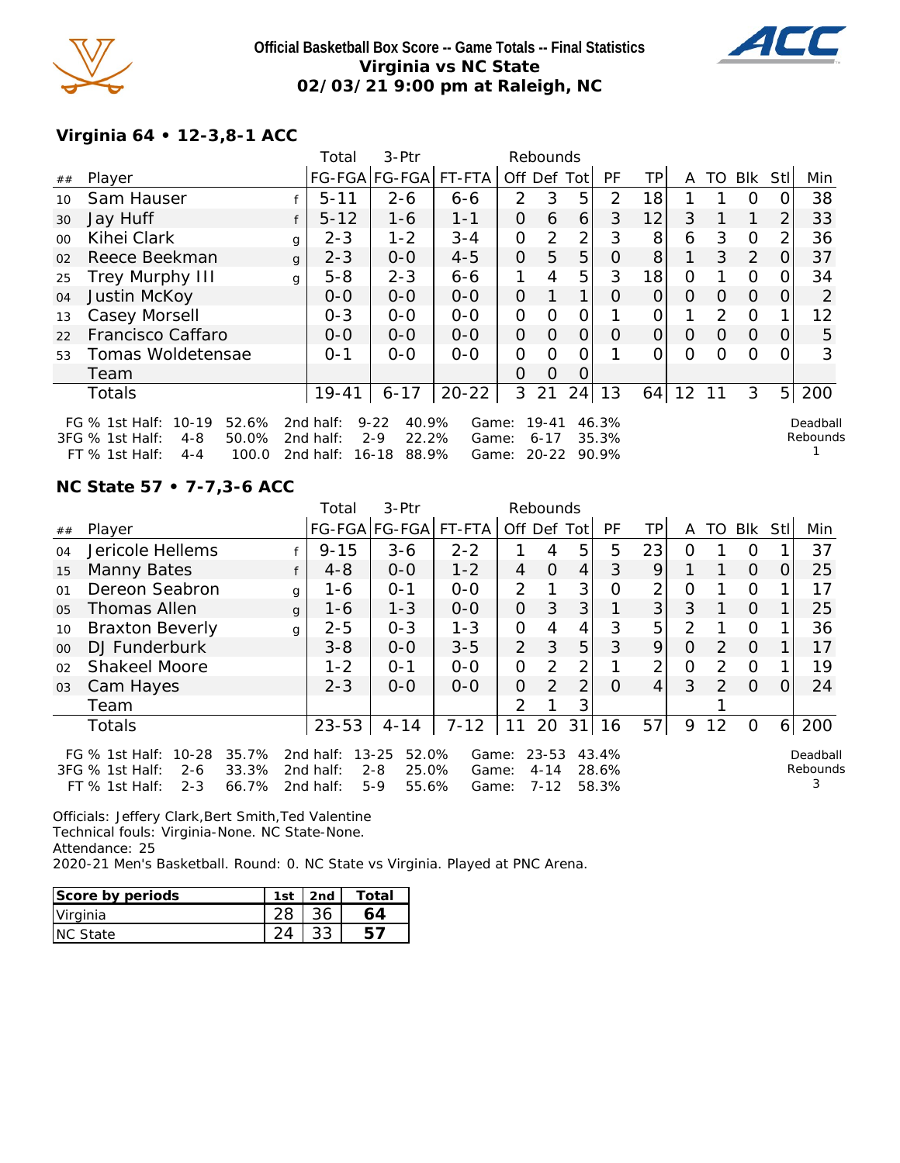

### **Official Basketball Box Score -- Game Totals -- Final Statistics Virginia vs NC State 02/03/21 9:00 pm at Raleigh, NC**



## **Virginia 64 • 12-3,8-1 ACC**

|         |                                                                                                                                                                                                                                                                                                                                           |   | Total     | 3-Ptr                 |           |               | Rebounds |                |          |          |             |          |          |          |     |
|---------|-------------------------------------------------------------------------------------------------------------------------------------------------------------------------------------------------------------------------------------------------------------------------------------------------------------------------------------------|---|-----------|-----------------------|-----------|---------------|----------|----------------|----------|----------|-------------|----------|----------|----------|-----|
| ##      | Player                                                                                                                                                                                                                                                                                                                                    |   |           | FG-FGA FG-FGA  FT-FTA |           | Off Def Tot   |          |                | PF       | TP       | A           | TO       | Blk      | Stl      | Min |
| 10      | Sam Hauser                                                                                                                                                                                                                                                                                                                                |   | $5 - 11$  | $2 - 6$               | $6 - 6$   | $\mathcal{P}$ | 3        | 5              | 2        | 18       |             |          | O        |          | 38  |
| 30      | Jay Huff                                                                                                                                                                                                                                                                                                                                  |   | $5 - 12$  | $1 - 6$               | $1 - 1$   | 0             | 6        | 6              | 3        | 12       | 3           |          | 1        | 2        | 33  |
| $00 \,$ | Kihei Clark                                                                                                                                                                                                                                                                                                                               | g | $2 - 3$   | $1 - 2$               | $3 - 4$   | 0             | 2        | $\overline{2}$ | 3        | 8        | 6           | 3        | $\Omega$ | 2        | 36  |
| 02      | Reece Beekman                                                                                                                                                                                                                                                                                                                             | g | $2 - 3$   | $0-0$                 | $4 - 5$   | $\mathcal{O}$ | 5        | 5              | O        | 8        | $\mathbf 1$ | 3        | 2        | O        | 37  |
| 25      | <b>Trey Murphy III</b>                                                                                                                                                                                                                                                                                                                    | g | $5 - 8$   | $2 - 3$               | $6 - 6$   | 1.            | 4        | 5              | 3        | 18       | 0           |          | $\Omega$ | 0        | 34  |
| 04      | Justin McKoy                                                                                                                                                                                                                                                                                                                              |   | $O-O$     | $0 - 0$               | $0 - 0$   | 0             | 1        | $\mathbf 1$    | O        | $\Omega$ | 0           | 0        | $\Omega$ | $\Omega$ | 2   |
| 13      | Casey Morsell                                                                                                                                                                                                                                                                                                                             |   | $0 - 3$   | $0-0$                 | $O-O$     | O             | $\Omega$ | 0              |          | 0        |             | 2        | $\Omega$ |          | 12  |
| 22      | Francisco Caffaro                                                                                                                                                                                                                                                                                                                         |   | $O-O$     | $0 - 0$               | $0 - 0$   | $\mathcal{O}$ | $\Omega$ | $\Omega$       | $\Omega$ | 0        | $\Omega$    | $\Omega$ | $\Omega$ | $\Omega$ | 5   |
| 53      | Tomas Woldetensae                                                                                                                                                                                                                                                                                                                         |   | $O - 1$   | $O-O$                 | $O-O$     | $\Omega$      | ∩        | 0              |          | 0        | 0           | 0        | $\Omega$ |          | 3   |
|         | Team                                                                                                                                                                                                                                                                                                                                      |   |           |                       |           | 0             | $\Omega$ | Ő              |          |          |             |          |          |          |     |
|         | Totals                                                                                                                                                                                                                                                                                                                                    |   | $19 - 41$ | $6 - 17$              | $20 - 22$ | 3             | 21       | 24             | 13       | 64       | 12          | 11       | 3        | 5        | 200 |
|         | FG $%$ 1st Half:<br>$10-19$<br>52.6%<br>$9 - 22$<br>40.9%<br>$19 - 41$<br>2nd half:<br>46.3%<br>Deadball<br>Game:<br>Rebounds<br>22.2%<br>3FG % 1st Half:<br>$4 - 8$<br>50.0%<br>$2 - 9$<br>35.3%<br>2nd half:<br>$6 - 17$<br>Game:<br>$FT$ % 1st Half:<br>100.0<br>2nd half:<br>16-18<br>88.9%<br>$20 - 22$<br>90.9%<br>$4 - 4$<br>Game: |   |           |                       |           |               |          |                |          |          |             |          |          |          |     |

## **NC State 57 • 7-7,3-6 ACC**

|         |                                                                                         |                         | Total                               | $3-Ptr$                                                  |                         | Rebounds       |                               |                |                         |                |          |               |          |      |                           |
|---------|-----------------------------------------------------------------------------------------|-------------------------|-------------------------------------|----------------------------------------------------------|-------------------------|----------------|-------------------------------|----------------|-------------------------|----------------|----------|---------------|----------|------|---------------------------|
| ##      | Player                                                                                  |                         |                                     | FG-FGA FG-FGA                                            | FT-FTA                  | Off Def Tot    |                               |                | PF                      | ΤP             | A        | TO.           | Blk      | StII | Min                       |
| 04      | Jericole Hellems                                                                        |                         | $9 - 15$                            | $3 - 6$                                                  | $2 - 2$                 |                | 4                             | 5              | 5                       | 23             | $\Omega$ |               | $\Omega$ |      | 37                        |
| 15      | Manny Bates                                                                             |                         | $4 - 8$                             | $0 - 0$                                                  | $1 - 2$                 | 4              | $\Omega$                      | $\overline{4}$ | 3                       | 9              |          |               | $\Omega$ | O    | 25                        |
| 01      | Dereon Seabron                                                                          |                         | 1-6<br>g                            | $O - 1$                                                  | $0-0$                   | $\overline{2}$ |                               | 3              | 0                       | $\overline{2}$ | O        |               | $\circ$  |      | 17                        |
| 05      | Thomas Allen                                                                            |                         | $1 - 6$<br>$\mathbf{q}$             | $1 - 3$                                                  | $0-0$                   | $\overline{O}$ | 3                             | 3              |                         | 3              | 3        |               | $\Omega$ |      | 25                        |
| 10      | <b>Braxton Beverly</b>                                                                  |                         | $2 - 5$<br>g                        | $0 - 3$                                                  | $1 - 3$                 | $\mathcal{O}$  | 4                             | 4              | 3                       | 5              | 2        |               | O        |      | 36                        |
| $00 \,$ | DJ Funderburk                                                                           |                         | $3 - 8$                             | $0 - 0$                                                  | $3 - 5$                 | $\overline{2}$ | 3                             | 5              | 3                       | 9              | $\Omega$ | $\mathcal{P}$ | $\Omega$ |      | 17                        |
| 02      | Shakeel Moore                                                                           |                         | $1 - 2$                             | $O - 1$                                                  | $O-O$                   | $\mathcal{O}$  | $\overline{2}$                | 2              |                         | 2              | 0        | 2             | $\Omega$ |      | 19                        |
| 03      | Cam Hayes                                                                               |                         | $2 - 3$                             | $0 - 0$                                                  | $0 - 0$                 | $\Omega$       | $\mathcal{P}$                 | 2              | $\Omega$                | $\overline{4}$ | 3        | $\mathcal{L}$ | $\Omega$ | O.   | 24                        |
|         | Team                                                                                    |                         |                                     |                                                          |                         | 2              |                               | 3              |                         |                |          |               |          |      |                           |
|         | <b>Totals</b>                                                                           |                         | $23 - 53$                           | $4 - 14$                                                 | $7 - 12$                | 11             | 20                            | 31             | 16                      | 57             | 9        | 12            | $\Omega$ | 6    | 200                       |
|         | 10-28<br>FG $\%$ 1st Half:<br>3FG % 1st Half:<br>$2 - 6$<br>$FT$ % 1st Half:<br>$2 - 3$ | 35.7%<br>33.3%<br>66.7% | 2nd half:<br>2nd half:<br>2nd half: | 52.0%<br>$13 - 25$<br>$2 - 8$<br>25.0%<br>$5-9$<br>55.6% | Game:<br>Game:<br>Game: |                | 23-53<br>$4 - 14$<br>$7 - 12$ |                | 43.4%<br>28.6%<br>58.3% |                |          |               |          |      | Deadball<br>Rebounds<br>3 |

Officials: Jeffery Clark,Bert Smith,Ted Valentine Technical fouls: Virginia-None. NC State-None. Attendance: 25 2020-21 Men's Basketball. Round: 0. NC State vs Virginia. Played at PNC Arena.

| Score by periods | 1st | 2nd | Total |
|------------------|-----|-----|-------|
| Virginia         |     |     |       |
| <b>INC State</b> |     |     |       |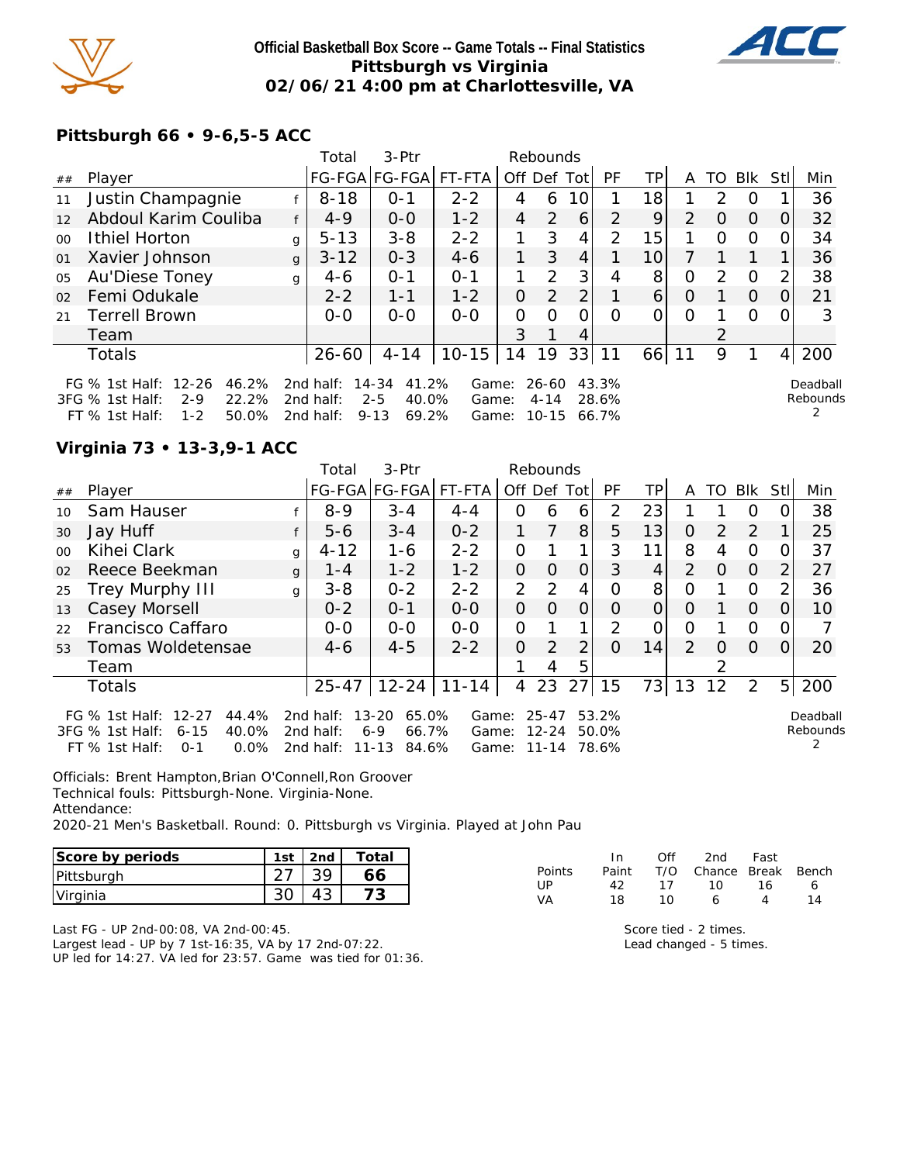

## **Official Basketball Box Score -- Game Totals -- Final Statistics Pittsburgh vs Virginia 02/06/21 4:00 pm at Charlottesville, VA**



## **Pittsburgh 66 • 9-6,5-5 ACC**

|         |                                                                                                              |              | Total                               | 3-Ptr                                                   |                         |    | Rebounds                   |                |                         |    |                |               |          |     |                           |
|---------|--------------------------------------------------------------------------------------------------------------|--------------|-------------------------------------|---------------------------------------------------------|-------------------------|----|----------------------------|----------------|-------------------------|----|----------------|---------------|----------|-----|---------------------------|
| ##      | Player                                                                                                       |              |                                     | FG-FGA FG-FGA                                           | FT-FTA                  |    |                            | Off Def Tot    | PF                      | ТP | A              | TO            | Blk      | Stl | Min                       |
| 11      | Justin Champagnie                                                                                            |              | $8 - 18$                            | $O - 1$                                                 | $2 - 2$                 | 4  | 6                          | 10             |                         | 18 |                | $\mathcal{P}$ | O        |     | 36                        |
| 12      | Abdoul Karim Couliba                                                                                         |              | $4 - 9$                             | $0 - 0$                                                 | $1 - 2$                 | 4  | $\overline{2}$             | 6              | $\overline{2}$          | 9  | $\overline{2}$ | $\Omega$      | $\Omega$ | 0   | 32                        |
| $00 \,$ | Ithiel Horton                                                                                                | $\mathbf{g}$ | $5 - 13$                            | $3 - 8$                                                 | $2 - 2$                 |    | 3                          | 4              | $\mathcal{P}$           | 15 |                | $\Omega$      | 0        |     | 34                        |
| 01      | Xavier Johnson                                                                                               | $\mathbf{q}$ | $3 - 12$                            | $0 - 3$                                                 | $4-6$                   | 1. | 3                          | 4              |                         | 10 |                |               |          |     | 36                        |
| 05      | Au'Diese Toney                                                                                               | g            | $4-6$                               | $O - 1$                                                 | $O - 1$                 |    | 2                          | 3              | 4                       | 8  | 0              | $\mathcal{P}$ | $\Omega$ |     | 38                        |
| 02      | Femi Odukale                                                                                                 |              | $2 - 2$                             | $1 - 1$                                                 | $1 - 2$                 | 0  | 2                          | 2 <sub>1</sub> |                         | 6  | $\Omega$       |               | $\Omega$ | 0   | 21                        |
| 21      | <b>Terrell Brown</b>                                                                                         |              | $0 - 0$                             | $0 - 0$                                                 | $0 - 0$                 | O  | $\Omega$                   | Ω              | Ω                       | 0  | $\Omega$       |               | $\Omega$ |     |                           |
|         | Team                                                                                                         |              |                                     |                                                         |                         | 3  |                            | 4              |                         |    |                |               |          |     |                           |
|         | Totals                                                                                                       |              | $26 - 60$                           | $4 - 14$                                                | $10 - 15$               | 14 | 19                         | 33             | 11                      | 66 | 11             | 9             |          | 4   | 200                       |
|         | FG % 1st Half: 12-26<br>46.2%<br>22.2%<br>3FG % 1st Half:<br>$2 - 9$<br>50.0%<br>$1 - 2$<br>FT $%$ 1st Half: |              | 2nd half:<br>2nd half:<br>2nd half: | 41.2%<br>14-34<br>$2 - 5$<br>40.0%<br>69.2%<br>$9 - 13$ | Game:<br>Game:<br>Game: |    | 26-60<br>$4 - 14$<br>10-15 |                | 43.3%<br>28.6%<br>66.7% |    |                |               |          |     | Deadball<br>Rebounds<br>2 |

## **Virginia 73 • 13-3,9-1 ACC**

|         |                                                                                                                 |              | Total                               | 3-Ptr                                            |                         | Rebounds       |                             |                |                         |    |                |          |          |                |                      |
|---------|-----------------------------------------------------------------------------------------------------------------|--------------|-------------------------------------|--------------------------------------------------|-------------------------|----------------|-----------------------------|----------------|-------------------------|----|----------------|----------|----------|----------------|----------------------|
| ##      | Player                                                                                                          |              |                                     | FG-FGA FG-FGA                                    | FT-FTA                  | Off Def Tot    |                             |                | <b>PF</b>               | TP | A              | TO       | Blk      | Stll           | Min                  |
| 10      | Sam Hauser                                                                                                      |              | $8 - 9$                             | $3 - 4$                                          | $4 - 4$                 | 0              | 6                           | 6              | 2                       | 23 |                |          | $\Omega$ | $\Omega$       | 38                   |
| 30      | Jay Huff                                                                                                        |              | $5 - 6$                             | $3 - 4$                                          | $0 - 2$                 |                | 7                           | 8 <sup>1</sup> | 5                       | 13 | $\Omega$       | 2        | 2        |                | 25                   |
| $00 \,$ | Kihei Clark                                                                                                     | $\alpha$     | $4 - 12$                            | 1-6                                              | $2 - 2$                 | 0              |                             | 1              | 3                       | 11 | 8              | 4        | 0        |                | 37                   |
| 02      | Reece Beekman                                                                                                   | $\mathbf{q}$ | $1 - 4$                             | $1 - 2$                                          | $1 - 2$                 | $\Omega$       | $\Omega$                    | $\Omega$       | 3                       | 4  | 2              | $\Omega$ | $\Omega$ | $\overline{2}$ | 27                   |
| 25      | Trey Murphy III                                                                                                 | $\mathbf{q}$ | $3 - 8$                             | $0 - 2$                                          | $2 - 2$                 | $\overline{2}$ | 2                           | 4              | $\Omega$                | 8  | O              |          | $\Omega$ | 2              | 36                   |
| 13      | Casey Morsell                                                                                                   |              | $0 - 2$                             | $0 - 1$                                          | $O-O$                   | 0              | $\Omega$                    | 0              | 0                       | 0  | $\Omega$       |          | $\Omega$ | $\Omega$       | 10                   |
| 22      | Francisco Caffaro                                                                                               |              | $0 - 0$                             | $0-0$                                            | $0 - 0$                 | 0              |                             | 1              | $\mathcal{P}$           | O  | O              |          | $\Omega$ | $\Omega$       |                      |
| 53      | Tomas Woldetensae                                                                                               |              | $4-6$                               | $4 - 5$                                          | $2 - 2$                 | 0              | 2                           | $\overline{2}$ | $\Omega$                | 14 | $\overline{2}$ | $\Omega$ | $\Omega$ | $\Omega$       | 20                   |
|         | Team                                                                                                            |              |                                     |                                                  |                         |                | 4                           | 5              |                         |    |                | 2        |          |                |                      |
|         | <b>Totals</b>                                                                                                   |              | $25 - 47$                           | $12 - 24$                                        | $11 - 14$               | $\overline{4}$ | 23                          | 27             | 15                      | 73 | 13             | 12       | 2        | 5 <sub>l</sub> | 200                  |
|         | FG % 1st Half: 12-27<br>44.4%<br>40.0%<br>3FG % 1st Half:<br>$6 - 15$<br>FT $%$ 1st Half:<br>$0.0\%$<br>$O - 1$ |              | 2nd half:<br>2nd half:<br>2nd half: | 65.0%<br>13-20<br>66.7%<br>6-9<br>11-13<br>84.6% | Game:<br>Game:<br>Game: |                | 25-47<br>12-24<br>$11 - 14$ |                | 53.2%<br>50.0%<br>78.6% |    |                |          |          |                | Deadball<br>Rebounds |

Officials: Brent Hampton,Brian O'Connell,Ron Groover Technical fouls: Pittsburgh-None. Virginia-None. Attendance:

2020-21 Men's Basketball. Round: 0. Pittsburgh vs Virginia. Played at John Pau

| Score by periods | 1st | 2nd | Total |
|------------------|-----|-----|-------|
| Pittsburgh       |     |     |       |
| Virginia         |     |     |       |

| In.   | Off | 2nd | Fast |                        |
|-------|-----|-----|------|------------------------|
| Paint |     |     |      |                        |
| 42    |     | ി റ | 16.  | 6                      |
| 18    | 1 N | 6   | 4    | 14                     |
|       |     |     | 17   | T/O Chance Break Bench |

Last FG - UP 2nd-00:08, VA 2nd-00:45. Largest lead - UP by 7 1st-16:35, VA by 17 2nd-07:22. UP led for 14:27. VA led for 23:57. Game was tied for 01:36.

Score tied - 2 times. Lead changed - 5 times.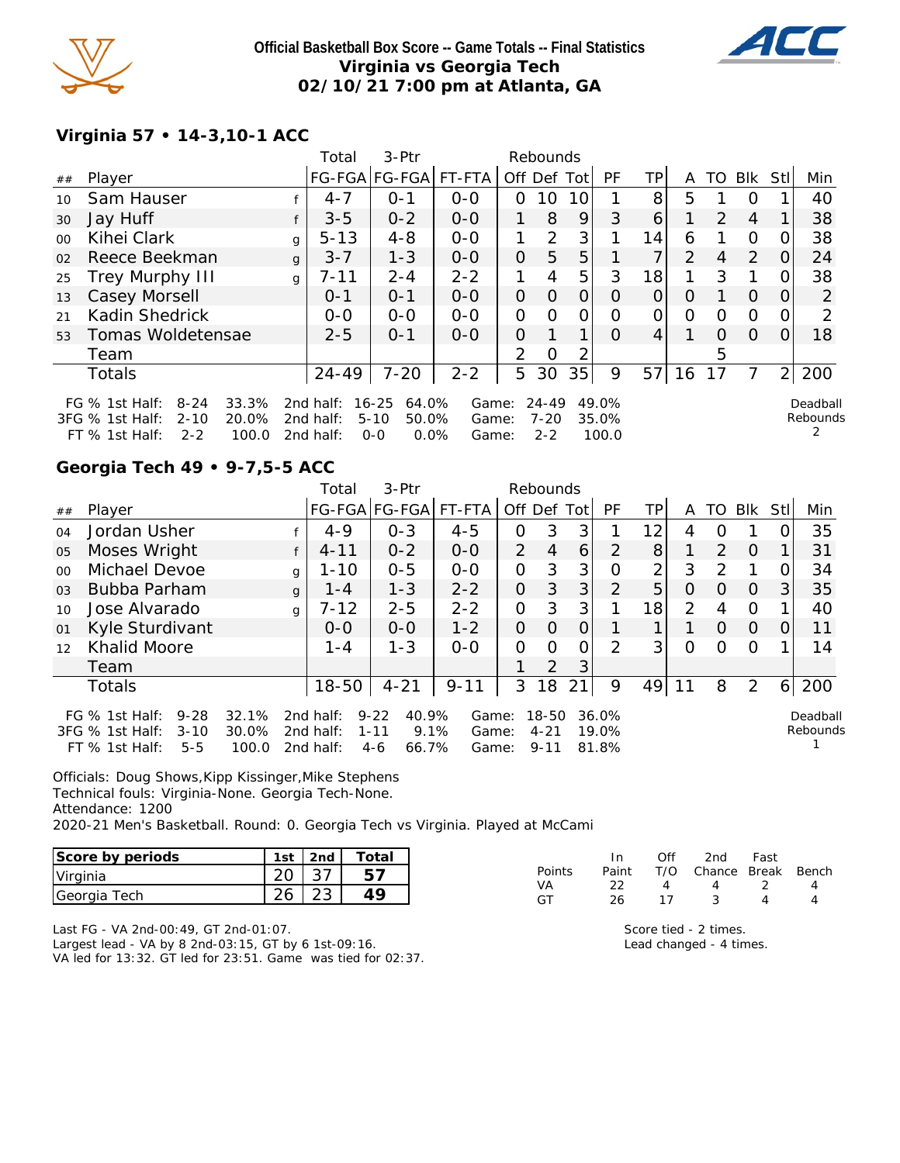

**Official Basketball Box Score -- Game Totals -- Final Statistics Virginia vs Georgia Tech 02/10/21 7:00 pm at Atlanta, GA**



## **Virginia 57 • 14-3,10-1 ACC**

|         |                                                                                                                        |   | Total                               | 3-Ptr                                                   |                         |          | Rebounds                         |                |                         |          |                |                |                |          |                      |
|---------|------------------------------------------------------------------------------------------------------------------------|---|-------------------------------------|---------------------------------------------------------|-------------------------|----------|----------------------------------|----------------|-------------------------|----------|----------------|----------------|----------------|----------|----------------------|
| ##      | Player                                                                                                                 |   |                                     | FG-FGA FG-FGA                                           | FT-FTA                  |          | Off Def                          | Totl           | PF                      | ΤP       | A              | TO             | Blk            | Stl      | Min                  |
| 10      | Sam Hauser                                                                                                             |   | $4 - 7$                             | $O - 1$                                                 | $0 - 0$                 | 0        | 10                               | 10             |                         | 8        | 5              |                | $\Omega$       |          | 40                   |
| 30      | Jay Huff                                                                                                               |   | $3 - 5$                             | $0 - 2$                                                 | $O-O$                   |          | 8                                | 9              | 3                       | 6        |                | $\mathcal{L}$  | $\overline{4}$ |          | 38                   |
| $00 \,$ | Kihei Clark                                                                                                            | g | $5 - 13$                            | $4 - 8$                                                 | $0 - 0$                 |          | 2                                | 3 <sub>1</sub> |                         | 14       | 6              |                | $\Omega$       | $\Omega$ | 38                   |
| 02      | Reece Beekman                                                                                                          | q | $3 - 7$                             | $1 - 3$                                                 | $0 - 0$                 | 0        | 5                                | 5              |                         |          | $\overline{2}$ | $\overline{4}$ | 2              | $\Omega$ | 24                   |
| 25      | <b>Trey Murphy III</b>                                                                                                 | g | $7 - 11$                            | $2 - 4$                                                 | $2 - 2$                 |          | 4                                | 5              | 3                       | 18       |                | 3              |                | $\Omega$ | 38                   |
| 13      | Casey Morsell                                                                                                          |   | $0 - 1$                             | $O - 1$                                                 | $0 - 0$                 | $\Omega$ | $\Omega$                         | $\Omega$       | $\Omega$                | $\Omega$ | $\Omega$       |                | $\Omega$       | $\Omega$ | 2                    |
| 21      | Kadin Shedrick                                                                                                         |   | $0 - 0$                             | $0 - 0$                                                 | $O - O$                 | 0        | $\Omega$                         | 0              | $\Omega$                | 0        | $\Omega$       | $\Omega$       | $\Omega$       | O        | 2                    |
| 53      | Tomas Woldetensae                                                                                                      |   | $2 - 5$                             | $O - 1$                                                 | $O-O$                   | $\Omega$ |                                  | 1              | $\Omega$                | 4        |                | $\Omega$       | $\Omega$       | $\Omega$ | 18                   |
|         | Team                                                                                                                   |   |                                     |                                                         |                         | 2        | Ω                                | 2              |                         |          |                | 5              |                |          |                      |
|         | Totals                                                                                                                 |   | $24 - 49$                           | $7 - 20$                                                | $2 - 2$                 | 5        | 30                               | 35             | 9                       | 57       | 16             | 17             | 7              | 2        | 200                  |
|         | FG $%$ 1st Half:<br>$8 - 24$<br>33.3%<br>20.0%<br>3FG % 1st Half:<br>$2 - 10$<br>100.0<br>$FT \%$ 1st Half:<br>$2 - 2$ |   | 2nd half:<br>2nd half:<br>2nd half: | 16-25<br>64.0%<br>$5 - 10$<br>50.0%<br>$0.0\%$<br>$O-O$ | Game:<br>Game:<br>Game: |          | $24 - 49$<br>$7 - 20$<br>$2 - 2$ |                | 49.0%<br>35.0%<br>100.0 |          |                |                |                |          | Deadball<br>Rebounds |

### **Georgia Tech 49 • 9-7,5-5 ACC**

|         |                                                                                          |                         |              | Total                               | 3-Ptr                                                   |                         |                | Rebounds                          |             |                         |     |    |               |          |      |                      |
|---------|------------------------------------------------------------------------------------------|-------------------------|--------------|-------------------------------------|---------------------------------------------------------|-------------------------|----------------|-----------------------------------|-------------|-------------------------|-----|----|---------------|----------|------|----------------------|
| ##      | Player                                                                                   |                         |              |                                     | FG-FGA FG-FGA FT-FTA                                    |                         |                |                                   | Off Def Tot | PF                      | TP. | A  | TO.           | Blk      | Stll | Min                  |
| O(4)    | Jordan Usher                                                                             |                         |              | $4 - 9$                             | $O - 3$                                                 | $4 - 5$                 | Ο              | 3                                 | 3           |                         | 12  | 4  |               |          |      | 35                   |
| 05      | Moses Wright                                                                             |                         |              | $4 - 11$                            | $0 - 2$                                                 | $0 - 0$                 | $\overline{2}$ | $\overline{4}$                    | 6           | 2                       | 8   |    | 2             | $\Omega$ |      | 31                   |
| $00 \,$ | Michael Devoe                                                                            |                         | q            | $1 - 10$                            | $0 - 5$                                                 | $O - O$                 | 0              | 3                                 | 3           | 0                       | ⌒   | 3  | $\mathcal{P}$ |          |      | 34                   |
| 03      | Bubba Parham                                                                             |                         | $\mathbf{q}$ | $1 - 4$                             | $1 - 3$                                                 | $2 - 2$                 | 0              | 3                                 | 3           | $\mathcal{P}$           | 5   | 0  | Ω             | $\Omega$ | 3    | 35                   |
| 10      | Jose Alvarado                                                                            |                         | g            | $7 - 12$                            | $2 - 5$                                                 | $2 - 2$                 | 0              | 3                                 | 3           |                         | 18  | 2  | 4             | 0        |      | 40                   |
| 01      | Kyle Sturdivant                                                                          |                         |              | $0 - 0$                             | $0 - 0$                                                 | $1 - 2$                 | 0              | $\Omega$                          | 0           |                         |     |    | O             | $\Omega$ | O    | 11                   |
| 12      | <b>Khalid Moore</b>                                                                      |                         |              | $1 - 4$                             | $1 - 3$                                                 | $0 - 0$                 | 0              | $\Omega$                          | 0           | $\mathcal{P}$           | 3   | Ω  | ∩             | $\Omega$ |      | 14                   |
|         | Team                                                                                     |                         |              |                                     |                                                         |                         |                | $\overline{2}$                    | 3           |                         |     |    |               |          |      |                      |
|         | <b>Totals</b>                                                                            |                         |              | $18 - 50$                           | $4 - 21$                                                | $9 - 11$                | 3              | 18                                | 21          | 9                       | 49  | 11 | 8             | 2        | 6    | 200                  |
|         | $9 - 28$<br>FG $%$ 1st Half:<br>3FG % 1st Half:<br>$3 - 10$<br>FT $%$ 1st Half:<br>$5-5$ | 32.1%<br>30.0%<br>100.0 |              | 2nd half:<br>2nd half:<br>2nd half: | 40.9%<br>$9 - 22$<br>9.1%<br>$1 - 11$<br>66.7%<br>$4-6$ | Game:<br>Game:<br>Game: |                | $18 - 50$<br>$4 - 21$<br>$9 - 11$ |             | 36.0%<br>19.0%<br>81.8% |     |    |               |          |      | Deadball<br>Rebounds |

Officials: Doug Shows,Kipp Kissinger,Mike Stephens Technical fouls: Virginia-None. Georgia Tech-None. Attendance: 1200 2020-21 Men's Basketball. Round: 0. Georgia Tech vs Virginia. Played at McCami

| Score by periods | 1st | 2nd | Total |
|------------------|-----|-----|-------|
| Virginia         |     |     |       |
| Georgia Tech     |     |     |       |

|               | ln.   | ∩ff | 2nd                    | Fast |  |
|---------------|-------|-----|------------------------|------|--|
| <b>Points</b> | Paint |     | T/O Chance Break Bench |      |  |
| VA            | フフ    | Δ   | 4                      |      |  |
| GТ            | 26.   | 17  |                        |      |  |

Last FG - VA 2nd-00:49, GT 2nd-01:07. Largest lead - VA by 8 2nd-03:15, GT by 6 1st-09:16. VA led for 13:32. GT led for 23:51. Game was tied for 02:37.

Score tied - 2 times. Lead changed - 4 times.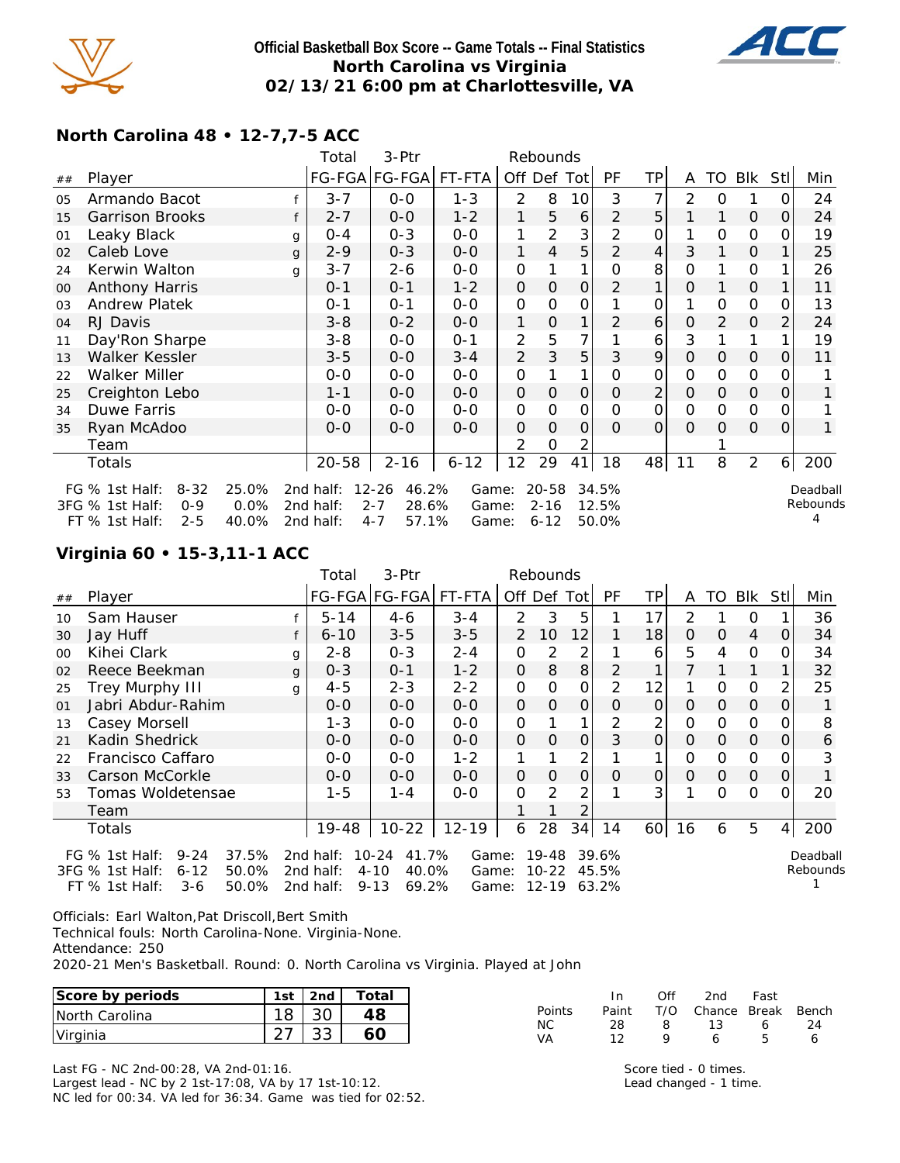

### **Official Basketball Box Score -- Game Totals -- Final Statistics North Carolina vs Virginia 02/13/21 6:00 pm at Charlottesville, VA**



## **North Carolina 48 • 12-7,7-5 ACC**

|    |                                                                                         |                        | Total                               | 3-Ptr                                                      |                |                     | Rebounds                      |               |                         |                |                     |                |                |                |                           |
|----|-----------------------------------------------------------------------------------------|------------------------|-------------------------------------|------------------------------------------------------------|----------------|---------------------|-------------------------------|---------------|-------------------------|----------------|---------------------|----------------|----------------|----------------|---------------------------|
| ## | Player                                                                                  |                        |                                     | FG-FGA FG-FGA                                              | FT-FTA         |                     | Off Def Tot                   |               | PF                      | <b>TP</b>      | A                   | TO             | Blk            | Stll           | Min                       |
| 05 | Armando Bacot                                                                           |                        | $3 - 7$                             | $O-O$                                                      | $1 - 3$        | 2                   | 8                             | 10            | 3                       | 7              | 2                   | $\mathbf 0$    |                | $\overline{O}$ | 24                        |
| 15 | <b>Garrison Brooks</b>                                                                  | f                      | $2 - 7$                             | $0-0$                                                      | $1 - 2$        | 1                   | 5                             | 6             | 2                       | 5              |                     | 1              | $\circ$        | 0              | 24                        |
| 01 | Leaky Black                                                                             | g                      | $0 - 4$                             | $0 - 3$                                                    | $0-0$          | 1                   | $\overline{2}$                | 3             | 2                       | 0              | 1                   | O              | $\mathcal{O}$  | $\Omega$       | 19                        |
| 02 | Caleb Love                                                                              | g                      | $2 - 9$                             | $0 - 3$                                                    | $0-0$          | 1                   | 4                             | 5             | $\overline{2}$          | $\overline{4}$ | 3                   | 1              | $\mathbf{O}$   | 1              | 25                        |
| 24 | Kerwin Walton                                                                           | g                      | $3 - 7$                             | $2 - 6$                                                    | $0 - 0$        | $\mathbf 0$         | 1                             | 1             | $\mathcal{O}$           | 8              | 0                   |                | 0              |                | 26                        |
| 00 | Anthony Harris                                                                          |                        | $0 - 1$                             | $0 - 1$                                                    | $1 - 2$        | $\mathbf{O}$        | $\overline{O}$                | O             | $\overline{2}$          | 1              | $\mathcal{O}$       |                | $\mathsf{O}$   |                | 11                        |
| 03 | <b>Andrew Platek</b>                                                                    |                        | $0 - 1$                             | $0 - 1$                                                    | $0-0$          | $\mathbf 0$         | O                             | 0             |                         | O              | 1                   | O              | $\mathbf{O}$   | 0              | 13                        |
| 04 | RJ Davis                                                                                |                        | $3 - 8$                             | $0 - 2$                                                    | $0-0$          | 1                   | $\mathcal{O}$                 | 1             | 2                       | 6              | $\Omega$            | $\overline{2}$ | $\mathcal{O}$  | $\overline{2}$ | 24                        |
| 11 | Day'Ron Sharpe                                                                          |                        | $3 - 8$                             | $0 - 0$                                                    | $0 - 1$        | 2                   | 5                             | 7             |                         | 6              | 3                   |                | 1              |                | 19                        |
| 13 | Walker Kessler                                                                          |                        | $3 - 5$                             | $0-0$                                                      | $3 - 4$        | $\overline{2}$      | 3                             | 5             | 3                       | 9              | $\Omega$            | $\Omega$       | $\mathsf O$    | $\Omega$       | 11                        |
| 22 | Walker Miller                                                                           |                        | $0 - 0$                             | $0-0$                                                      | $0-0$          | $\mathbf 0$         |                               | 1             | 0                       | 0              | O                   | 0              | 0              | Ο              |                           |
| 25 | Creighton Lebo                                                                          |                        | $1 - 1$                             | $0-0$                                                      | $0-0$          | $\mathbf{O}$        | 0                             | $\mathcal{O}$ | $\Omega$                | $\overline{2}$ | $\mathsf{O}\xspace$ | $\mathcal{O}$  | $\mathsf O$    | 0              |                           |
| 34 | Duwe Farris                                                                             |                        | $0 - 0$                             | $0 - 0$                                                    | $0 - 0$        | $\mathsf{O}\xspace$ | $\mathbf 0$                   | 0             | $\Omega$                | 0              | $\mathbf 0$         | O              | $\mathbf 0$    | $\Omega$       |                           |
| 35 | Ryan McAdoo                                                                             |                        | $0 - 0$                             | $0 - 0$                                                    | $0-0$          | $\mathbf{O}$        | 0                             | 0             | 0                       | 0              | $\mathcal{O}$       | $\Omega$       | $\mathbf 0$    | $\Omega$       | 1                         |
|    | Team                                                                                    |                        |                                     |                                                            |                | 2                   | 0                             | 2             |                         |                |                     |                |                |                |                           |
|    | Totals                                                                                  |                        | $20 - 58$                           | $2 - 16$                                                   | $6 - 12$       | 12                  | 29                            | 41            | 18                      | 48             | 11                  | 8              | $\overline{2}$ | 6 <sup>1</sup> | 200                       |
|    | FG % 1st Half:<br>$8 - 32$<br>3FG % 1st Half:<br>$0 - 9$<br>$FT$ % 1st Half:<br>$2 - 5$ | 25.0%<br>0.0%<br>40.0% | 2nd half:<br>2nd half:<br>2nd half: | $12 - 26$<br>46.2%<br>$2 - 7$<br>28.6%<br>$4 - 7$<br>57.1% | Game:<br>Game: |                     | 20-58<br>$2 - 16$<br>$6 - 12$ |               | 34.5%<br>12.5%<br>50.0% |                |                     |                |                |                | Deadball<br>Rebounds<br>4 |
|    |                                                                                         |                        |                                     |                                                            | Game:          |                     |                               |               |                         |                |                     |                |                |                |                           |

### **Virginia 60 • 15-3,11-1 ACC**

|        |                                                                               |              | Total                  | 3-Ptr                                   |                |                | Rebounds           |          |                |                |          |          |                |     |                      |
|--------|-------------------------------------------------------------------------------|--------------|------------------------|-----------------------------------------|----------------|----------------|--------------------|----------|----------------|----------------|----------|----------|----------------|-----|----------------------|
| ##     | Player                                                                        |              |                        | FG-FGA FG-FGA                           | FT-FTA         | Off Def Tot    |                    |          | <b>PF</b>      | ΤP             | A        | TO.      | Blk            | Stl | Min                  |
| 10     | Sam Hauser                                                                    |              | $5 - 14$               | $4 - 6$                                 | $3 - 4$        | 2              | 3                  | 5        |                | 17             | 2        |          | 0              |     | 36                   |
| 30     | Jay Huff                                                                      |              | $6 - 10$               | $3 - 5$                                 | $3 - 5$        | $\overline{2}$ | 10                 | 12       |                | 18             | $\Omega$ | 0        | 4              | O   | 34                   |
| $00\,$ | Kihei Clark                                                                   | g            | 2-8                    | $0 - 3$                                 | $2 - 4$        | O              | 2                  | 2        |                | 6              | 5        | 4        | 0              |     | 34                   |
| 02     | Reece Beekman                                                                 | $\mathbf{q}$ | $0 - 3$                | $O - 1$                                 | $1 - 2$        | 0              | 8                  | 8        | 2              |                |          |          |                |     | 32                   |
| 25     | <b>Trey Murphy III</b>                                                        | g            | 4-5                    | $2 - 3$                                 | $2 - 2$        | 0              | O                  | 0        | 2              | 12             |          | $\Omega$ | $\Omega$       | 2   | 25                   |
| 01     | Jabri Abdur-Rahim                                                             |              | $0 - 0$                | $0 - 0$                                 | $0 - 0$        | 0              | $\Omega$           | O        | Ο              | $\Omega$       | $\Omega$ | $\Omega$ | $\overline{O}$ | Ο   |                      |
| 13     | Casey Morsell                                                                 |              | $1 - 3$                | $O-O$                                   | $0 - 0$        | 0              |                    |          | 2              | 2              | 0        | $\Omega$ | 0              |     | 8                    |
| 21     | Kadin Shedrick                                                                |              | $0 - 0$                | $0 - 0$                                 | $0 - 0$        | 0              | $\Omega$           | $\Omega$ | 3              | $\mathcal{O}$  | $\Omega$ | $\Omega$ | $\overline{O}$ | Ο   | 6                    |
| 22     | Francisco Caffaro                                                             |              | $0 - 0$                | $0 - 0$                                 | $1 - 2$        |                |                    | 2        |                |                | O        | $\Omega$ | 0              |     | 3                    |
| 33     | Carson McCorkle                                                               |              | $0 - 0$                | $0 - 0$                                 | $0 - 0$        | 0              | $\Omega$           | $\Omega$ | O              | $\overline{O}$ | $\Omega$ | $\Omega$ | $\overline{O}$ | Ο   |                      |
| 53     | Tomas Woldetensae                                                             |              | $1 - 5$                | $1 - 4$                                 | $0 - 0$        | 0              | 2                  | 2        |                | 3              |          | $\Omega$ | 0              | Ω   | 20                   |
|        | Team                                                                          |              |                        |                                         |                |                |                    |          |                |                |          |          |                |     |                      |
|        | Totals                                                                        |              | 19-48                  | $10 - 22$                               | $12 - 19$      | 6              | 28                 | 34       | 14             | 60             | 16       | 6        | 5              | 4   | 200                  |
|        | $9 - 24$<br>37.5%<br>FG $%$ 1st Half:<br>3FG % 1st Half:<br>$6 - 12$<br>50.0% |              | 2nd half:<br>2nd half: | $10 - 24$<br>41.7%<br>$4 - 10$<br>40.0% | Game:<br>Game: |                | 19-48<br>$10 - 22$ |          | 39.6%<br>45.5% |                |          |          |                |     | Deadball<br>Rebounds |
|        | $3-6$<br>50.0%<br>FT % 1st Half:                                              |              | 2nd half:              | 69.2%<br>$9 - 13$                       | Game:          |                | 12-19              |          | 63.2%          |                |          |          |                |     |                      |

Officials: Earl Walton,Pat Driscoll,Bert Smith

Technical fouls: North Carolina-None. Virginia-None.

Attendance: 250

2020-21 Men's Basketball. Round: 0. North Carolina vs Virginia. Played at John

| Score by periods | 1st | 2nd          | Total |           |                | Ofi | 2nd    | Fast         |       |
|------------------|-----|--------------|-------|-----------|----------------|-----|--------|--------------|-------|
| North Carolina   | 18  | 30           | 4٤    | Points    | Paint          | T/O | Chance | <b>Break</b> | Bench |
| Virginia         | _   | $\cap$<br>ັບ |       | <b>NC</b> | 28<br>$\Omega$ |     |        |              | 24    |

Last FG - NC 2nd-00:28, VA 2nd-01:16. Largest lead - NC by 2 1st-17:08, VA by 17 1st-10:12. NC led for 00:34. VA led for 36:34. Game was tied for 02:52.

Score tied - 0 times. Lead changed - 1 time.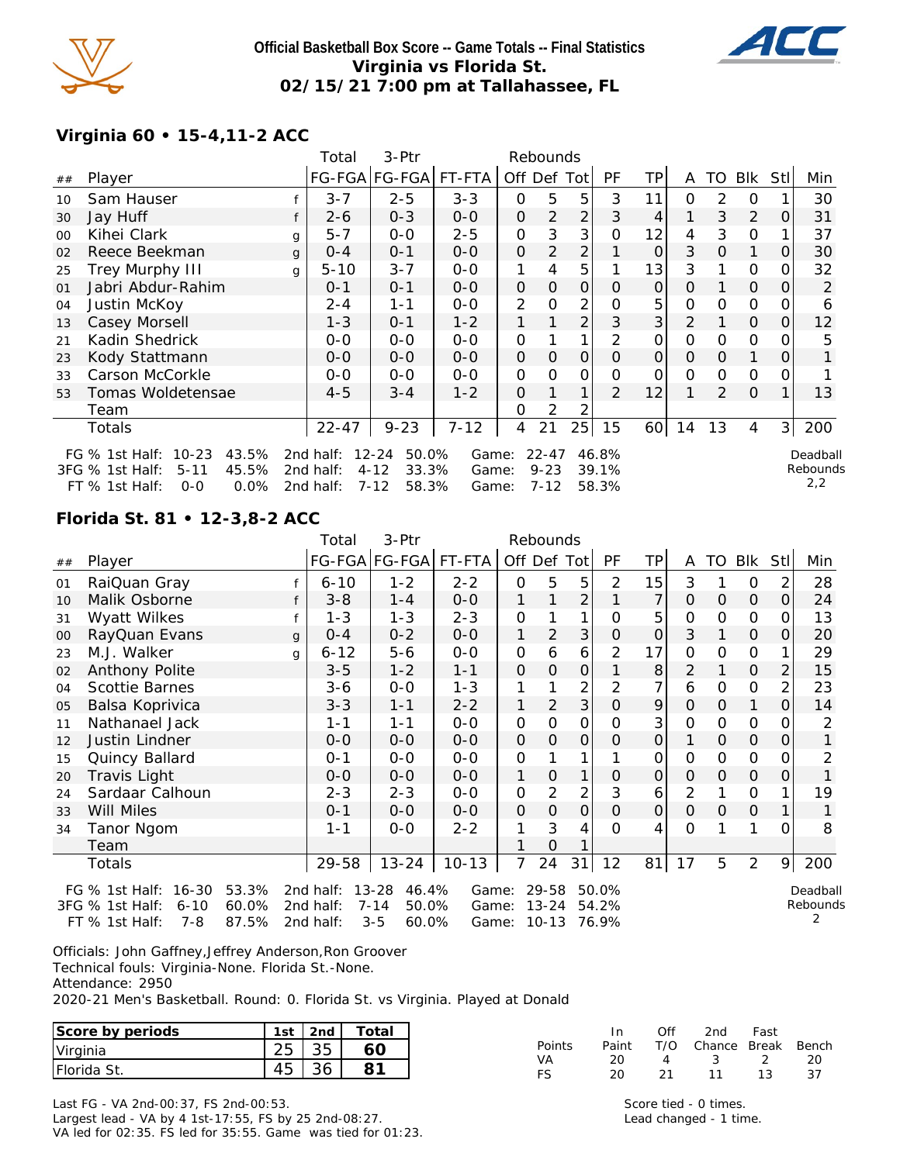

### **Official Basketball Box Score -- Game Totals -- Final Statistics Virginia vs Florida St. 02/15/21 7:00 pm at Tallahassee, FL**



## **Virginia 60 • 15-4,11-2 ACC**

|    |                                        |   | Total     | 3-Ptr                |          |                | Rebounds  |                |                |               |               |          |            |     |          |
|----|----------------------------------------|---|-----------|----------------------|----------|----------------|-----------|----------------|----------------|---------------|---------------|----------|------------|-----|----------|
| ## | Player                                 |   |           | FG-FGA FG-FGA FT-FTA |          | Off Def        |           | Totl           | PF             | ΤP            | A             | TO       | <b>BIK</b> | Stl | Min      |
| 10 | Sam Hauser                             |   | $3 - 7$   | $2 - 5$              | $3 - 3$  | $\Omega$       | 5         | 5              | 3              | 11            | $\Omega$      | 2        | $\Omega$   |     | 30       |
| 30 | Jay Huff                               |   | $2 - 6$   | $0 - 3$              | $0-0$    | 0              | 2         | $\overline{2}$ | 3              | 4             |               | 3        | 2          | Ο   | 31       |
| 00 | Kihei Clark                            | g | $5 - 7$   | $0 - 0$              | 2-5      | 0              | 3         | 3              | Ο              | 12            | 4             | 3        | 0          |     | 37       |
| 02 | Reece Beekman                          | g | $0 - 4$   | $0 - 1$              | $0 - 0$  | $\Omega$       | 2         | 2              |                | $\Omega$      | 3             | $\Omega$ | 1          | 0   | 30       |
| 25 | Trey Murphy III                        | q | $5 - 10$  | $3 - 7$              | $0 - 0$  | 1              | 4         | 5              |                | 13            | 3             |          | 0          | 0   | 32       |
| 01 | Jabri Abdur-Rahim                      |   | $0 - 1$   | $0 - 1$              | $0 - 0$  | $\Omega$       | $\Omega$  | $\Omega$       | Ο              | $\mathcal{O}$ | $\mathcal{O}$ |          | $\Omega$   | Ο   | 2        |
| 04 | Justin McKoy                           |   | $2 - 4$   | $1 - 1$              | $0 - 0$  | $\overline{2}$ | 0         | 2              | Ο              | 5             | O             | $\Omega$ | 0          |     | 6        |
| 13 | Casey Morsell                          |   | $1 - 3$   | $O - 1$              | $1 - 2$  |                |           | 2              | 3              | 3             | 2             |          | $\Omega$   | 0   | 12       |
| 21 | Kadin Shedrick                         |   | $0 - 0$   | $0 - 0$              | $0 - 0$  | 0              |           | 1              | 2              | 0             | 0             | $\Omega$ | 0          |     | 5        |
| 23 | Kody Stattmann                         |   | $0 - 0$   | $0 - 0$              | $0 - 0$  | $\Omega$       | 0         | $\Omega$       | Ο              | $\mathcal{O}$ | $\Omega$      | 0        |            | Ο   |          |
| 33 | Carson McCorkle                        |   | $O-O$     | $0 - 0$              | $0 - 0$  | 0              | O         | 0              |                | O             | 0             | 0        | 0          |     |          |
| 53 | Tomas Woldetensae                      |   | $4 - 5$   | $3 - 4$              | $1 - 2$  | 0              |           | $\mathbf{1}$   | $\overline{2}$ | 12            |               | 2        | $\Omega$   |     | 13       |
|    | Team                                   |   |           |                      |          | O              | 2         | 2              |                |               |               |          |            |     |          |
|    | Totals                                 |   | $22 - 47$ | $9 - 23$             | $7 - 12$ | 4              | 21        | 25             | 15             | 60            | 14            | 13       | 4          | 3   | 200      |
|    | $10 - 23$<br>43.5%<br>FG $%$ 1st Half: |   | 2nd half: | $12 - 24$<br>50.0%   | Game:    |                | $22 - 47$ |                | 46.8%          |               |               |          |            |     | Deadball |
|    | 45.5%<br>3FG % 1st Half:<br>$5 - 11$   |   | 2nd half: | $4 - 12$<br>33.3%    | Game:    |                | $9 - 23$  |                | 39.1%          |               |               |          |            |     | Rebounds |
|    | FT % 1st Half:<br>$0.0\%$<br>$0 - 0$   |   | 2nd half: | $7 - 12$<br>58.3%    | Game:    |                | $7 - 12$  |                | 58.3%          |               |               |          |            |     | 2,2      |

### **Florida St. 81 • 12-3,8-2 ACC**

|    |                                      |              | Total     | 3-Ptr              |           |                     | Rebounds       |                |                |    |                |                |                |                |          |
|----|--------------------------------------|--------------|-----------|--------------------|-----------|---------------------|----------------|----------------|----------------|----|----------------|----------------|----------------|----------------|----------|
| ## | Player                               |              |           | FG-FGA FG-FGA      | FT-FTA    | Off Def Tot         |                |                | PF             | TP | A              | TO             | Blk            | Stll           | Min      |
| 01 | RaiQuan Gray                         |              | $6 - 10$  | $1 - 2$            | $2 - 2$   | O                   | 5              | 5              | 2              | 15 | 3              |                | $\mathcal{O}$  | 2              | 28       |
| 10 | Malik Osborne                        | f            | $3 - 8$   | $1 - 4$            | $0-0$     | 1                   |                | 2              |                | 7  | $\Omega$       | $\Omega$       | 0              | $\overline{O}$ | 24       |
| 31 | Wyatt Wilkes                         |              | $1 - 3$   | $1 - 3$            | $2 - 3$   | $\overline{O}$      |                | 1              | O              | 5  | $\mathbf 0$    | O              | $\mathbf{O}$   | 0              | 13       |
| 00 | RayQuan Evans                        | $\mathbf{q}$ | $0 - 4$   | $0 - 2$            | $0-0$     | 1                   | $\overline{2}$ | 3              | $\overline{O}$ | 0  | 3              | 1              | $\mathsf{O}$   | $\Omega$       | 20       |
| 23 | M.J. Walker                          | q            | $6 - 12$  | $5-6$              | $0-0$     | $\overline{O}$      | 6              | 6              | 2              | 17 | O              | O              | 0              |                | 29       |
| 02 | Anthony Polite                       |              | $3 - 5$   | $1 - 2$            | $1 - 1$   | $\mathsf{O}\xspace$ | 0              | 0              |                | 8  | $\overline{2}$ |                | 0              | 2              | 15       |
| 04 | Scottie Barnes                       |              | $3 - 6$   | $0-0$              | $1 - 3$   | 1                   |                | $\overline{2}$ | 2              | 7  | 6              | O              | 0              | 2              | 23       |
| 05 | Balsa Koprivica                      |              | $3 - 3$   | $1 - 1$            | $2 - 2$   | 1                   | 2              | 3              | $\overline{O}$ | 9  | $\overline{O}$ | $\overline{O}$ | 1              | 0              | 14       |
| 11 | Nathanael Jack                       |              | $1 - 1$   | $1 - 1$            | $0-0$     | $\mathsf O$         | 0              | 0              | 0              | 3  | O              | O              | $\mathbf 0$    | 0              | 2        |
| 12 | Justin Lindner                       |              | $0 - 0$   | $0-0$              | $0-0$     | $\mathsf{O}\xspace$ | O              | 0              | $\mathcal{O}$  | 0  | 1              | 0              | $\mathsf O$    | 0              |          |
| 15 | Quincy Ballard                       |              | $0 - 1$   | $0 - 0$            | $0-0$     | $\mathbf 0$         |                |                |                | 0  | $\mathbf 0$    | 0              | 0              | Ο              | 2        |
| 20 | Travis Light                         |              | $O-O$     | $0-0$              | $0-0$     | 1                   | 0              |                | 0              | 0  | O              | O              | $\mathsf O$    | 0              |          |
| 24 | Sardaar Calhoun                      |              | $2 - 3$   | $2 - 3$            | $0 - 0$   | $\mathbf 0$         | 2              | $\overline{2}$ | 3              | 6  | $\overline{2}$ | 1              | $\mathcal{O}$  |                | 19       |
| 33 | Will Miles                           |              | $0 - 1$   | $0-0$              | $0-0$     | $\mathsf O$         | $\overline{O}$ | 0              | $\overline{0}$ | 0  | $\overline{O}$ | $\mathcal{O}$  | $\overline{O}$ |                |          |
| 34 | Tanor Ngom                           |              | $1 - 1$   | $0 - 0$            | $2 - 2$   | 1                   | 3              | 4              | O              | 4  | 0              |                |                | 0              | 8        |
|    | Team                                 |              |           |                    |           |                     | 0              |                |                |    |                |                |                |                |          |
|    | Totals                               |              | 29-58     | $13 - 24$          | $10 - 13$ | 7                   | 24             | 31             | 12             | 81 | 17             | 5              | $\overline{2}$ | 9              | 200      |
|    | 53.3%<br>FG % 1st Half:<br>$16 - 30$ |              | 2nd half: | $13 - 28$<br>46.4% | Game:     |                     | 29-58          |                | 50.0%          |    |                |                |                |                | Deadball |
|    | 60.0%<br>3FG % 1st Half:<br>$6 - 10$ |              | 2nd half: | $7 - 14$<br>50.0%  | Game:     |                     | $13 - 24$      |                | 54.2%          |    |                |                |                |                | Rebounds |
|    | 87.5%<br>$7 - 8$<br>FT % 1st Half:   |              | 2nd half: | $3 - 5$<br>60.0%   | Game:     |                     | 10-13          |                | 76.9%          |    |                |                |                |                |          |

Officials: John Gaffney,Jeffrey Anderson,Ron Groover Technical fouls: Virginia-None. Florida St.-None. Attendance: 2950

2020-21 Men's Basketball. Round: 0. Florida St. vs Virginia. Played at Donald

| Score by periods | 1st | 2nd | Total |
|------------------|-----|-----|-------|
| Virginia         |     |     |       |
| IFlorida St.     |     |     |       |

|        | In In |      | Off 2nd Fast           |    |     |
|--------|-------|------|------------------------|----|-----|
| Points | Paint |      | T/O Chance Break Bench |    |     |
| VA     | 20.   |      | 4 3 2                  |    | -20 |
| FS.    | 20.   | - 21 | 11                     | 13 | 37  |

Last FG - VA 2nd-00:37, FS 2nd-00:53. Largest lead - VA by 4 1st-17:55, FS by 25 2nd-08:27. VA led for 02:35. FS led for 35:55. Game was tied for 01:23.

Score tied - 0 times. Lead changed - 1 time.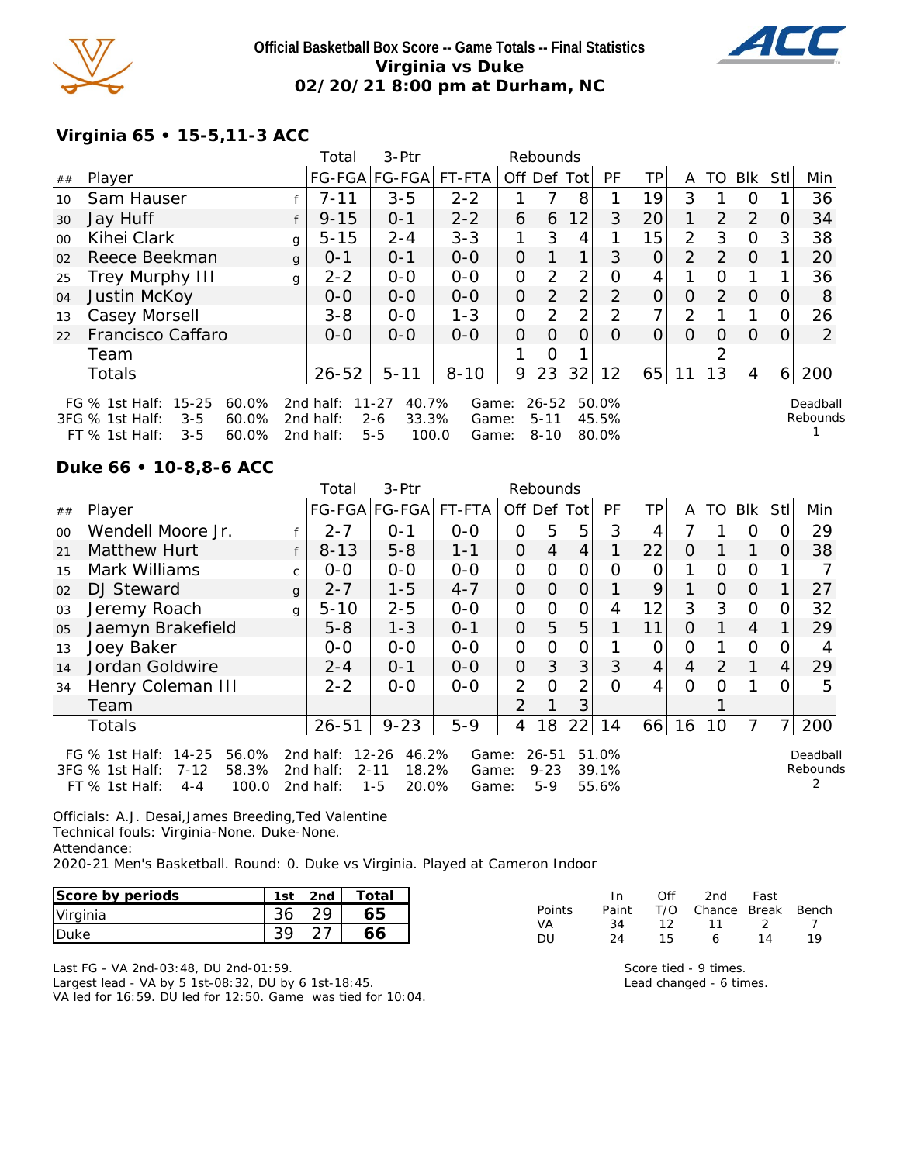

### **Official Basketball Box Score -- Game Totals -- Final Statistics Virginia vs Duke 02/20/21 8:00 pm at Durham, NC**



# **Virginia 65 • 15-5,11-3 ACC**

|                 |                                                                                                                          |   | 3-Ptr<br>Rebounds<br>Total          |                                                            |                         |          |                               |                |                         |                |                |                |                |          |                      |
|-----------------|--------------------------------------------------------------------------------------------------------------------------|---|-------------------------------------|------------------------------------------------------------|-------------------------|----------|-------------------------------|----------------|-------------------------|----------------|----------------|----------------|----------------|----------|----------------------|
| ##              | Player                                                                                                                   |   | FG-FGA FG-FGA  FT-FTA               |                                                            |                         |          |                               | Off Def Tot    | <b>PF</b>               | TР             | A              | TO.            | Blk            | Stll     | Min                  |
| 10 <sup>°</sup> | Sam Hauser                                                                                                               |   | $7 - 11$                            | $3 - 5$                                                    | $2 - 2$                 |          |                               | 8              |                         | 19             | 3              |                | $\Omega$       |          | 36                   |
| 30              | Jay Huff                                                                                                                 |   | $9 - 15$                            | $0 - 1$                                                    | $2 - 2$                 | 6        | 6                             | 12             | 3                       | 20             | 1              | 2              | 2              | O        | 34                   |
| 00              | Kihei Clark                                                                                                              | g | $5 - 15$                            | $2 - 4$                                                    | $3 - 3$                 | 1        | 3                             | 4              |                         | 15             | $\overline{2}$ | 3              | $\Omega$       | 3        | 38                   |
| 02              | Reece Beekman                                                                                                            | g | $0 - 1$                             | $0 - 1$                                                    | $0 - 0$                 | 0        |                               | 1 <sub>1</sub> | 3                       | $\overline{O}$ | 2              | 2              | $\Omega$       |          | 20                   |
| 25              | <b>Trey Murphy III</b>                                                                                                   | g | $2 - 2$                             | $0 - 0$                                                    | $0 - 0$                 | O        | 2                             | 2 <sub>1</sub> | 0                       | 4              |                | $\Omega$       |                |          | 36                   |
| 04              | Justin McKoy                                                                                                             |   | $0 - 0$                             | $0-0$                                                      | $0 - 0$                 | 0        | 2                             | $\overline{2}$ | $\mathcal{P}$           | 0              | $\Omega$       | $\overline{2}$ | $\overline{0}$ | 0        | 8                    |
| 13              | Casey Morsell                                                                                                            |   | $3 - 8$                             | $0 - 0$                                                    | $1 - 3$                 | 0        | $\mathcal{P}$                 | 2              | 2                       | 7 <sub>1</sub> | 2              |                |                | O        | 26                   |
| 22              | Francisco Caffaro                                                                                                        |   | $0 - 0$                             | $0 - 0$                                                    | $O-O$                   | $\Omega$ | $\Omega$                      | $\Omega$       | 0                       | $\overline{O}$ | $\Omega$       | $\Omega$       | $\Omega$       | $\Omega$ | 2                    |
|                 | Team                                                                                                                     |   |                                     |                                                            |                         |          | Ο                             |                |                         |                |                |                |                |          |                      |
|                 | Totals                                                                                                                   |   | $26 - 52$                           | $5 - 11$                                                   | $8 - 10$                | 9        | 23                            | 32             | 12                      | 65             | 11             | 13             | 4              | 6        | 200                  |
|                 | $15 - 25$<br>60.0%<br>FG $%$ 1st Half:<br>3FG % 1st Half:<br>$3 - 5$<br>$60.0\%$<br>60.0%<br>$FT$ % 1st Half:<br>$3 - 5$ |   | 2nd half:<br>2nd half:<br>2nd half: | 40.7%<br>$11 - 27$<br>$2 - 6$<br>33.3%<br>$5 - 5$<br>100.0 | Game:<br>Game:<br>Game: |          | 26-52<br>$5 - 11$<br>$8 - 10$ |                | 50.0%<br>45.5%<br>80.0% |                |                |                |                |          | Deadball<br>Rebounds |

#### **Duke 66 • 10-8,8-6 ACC**

|         |                                                                                                               |              | Total                               | 3-Ptr<br>Rebounds                                           |                         |                |                                |                |                         |                 |          |               |                |                |                      |
|---------|---------------------------------------------------------------------------------------------------------------|--------------|-------------------------------------|-------------------------------------------------------------|-------------------------|----------------|--------------------------------|----------------|-------------------------|-----------------|----------|---------------|----------------|----------------|----------------------|
| ##      | Player                                                                                                        |              |                                     | FG-FGA FG-FGA                                               | FT-FTA                  | Off Def Tot    |                                |                | <b>PF</b>               | TPI             | A        | TO            | Blk            | Stll           | Min                  |
| $00 \,$ | Wendell Moore Jr.                                                                                             |              | $2 - 7$                             | $O - 1$                                                     | $0-0$                   | 0              | 5                              | 5              | 3                       | 4               |          |               | O              | O              | 29                   |
| 21      | Matthew Hurt                                                                                                  | f            | $8 - 13$                            | $5 - 8$                                                     | $1 - 1$                 | $\mathcal{O}$  | 4                              | 4              | 1                       | 22              | 0        |               |                | $\Omega$       | 38                   |
| 15      | Mark Williams                                                                                                 | $\mathsf{C}$ | $0-0$                               | $0 - 0$                                                     | $0 - 0$                 | $\overline{O}$ | $\Omega$                       | $\overline{O}$ | Ο                       | O               |          | $\Omega$      | O              |                |                      |
| 02      | DJ Steward                                                                                                    | $\mathbf{q}$ | $2 - 7$                             | $1 - 5$                                                     | $4 - 7$                 | $\mathcal{O}$  | $\Omega$                       | 0              |                         | 9               | 1        | $\Omega$      | $\Omega$       |                | 27                   |
| 03      | Jeremy Roach                                                                                                  | $\mathbf{q}$ | $5 - 10$                            | $2 - 5$                                                     | $0 - 0$                 | $\overline{O}$ | $\Omega$                       | 0              | 4                       | 12              | 3        | 3             | $\Omega$       | $\Omega$       | 32                   |
| 05      | Jaemyn Brakefield                                                                                             |              | $5 - 8$                             | $1 - 3$                                                     | $O - 1$                 | $\mathcal{O}$  | 5                              | 5              |                         | 11              | $\Omega$ |               | $\overline{4}$ |                | 29                   |
| 13      | Joey Baker                                                                                                    |              | $0-0$                               | $0-0$                                                       | $O-O$                   | O              | $\Omega$                       | $\overline{O}$ |                         | 0               | 0        |               | $\Omega$       | 0              |                      |
| 14      | Jordan Goldwire                                                                                               |              | $2 - 4$                             | $O - 1$                                                     | $0 - 0$                 | $\overline{O}$ | 3                              | 3              | 3                       | $\vert 4 \vert$ | 4        | $\mathcal{P}$ |                | 4              | 29                   |
| 34      | Henry Coleman III                                                                                             |              | $2 - 2$                             | $0 - 0$                                                     | $0 - 0$                 | 2              | $\Omega$                       | $\overline{2}$ | $\Omega$                | 4               | $\Omega$ | Ω             |                | $\Omega$       | 5                    |
|         | Team                                                                                                          |              |                                     |                                                             |                         | 2              |                                | 3              |                         |                 |          |               |                |                |                      |
|         | Totals                                                                                                        |              | $26 - 51$                           | $9 - 23$                                                    | $5 - 9$                 | 4              | 18                             | 22             | 14                      | 66              | 16       | 10            | 7              | $\overline{7}$ | 200                  |
|         | FG % 1st Half: 14-25<br>56.0%<br>3FG % 1st Half:<br>$7 - 12$<br>58.3%<br>$FT$ % 1st Half:<br>100.0<br>$4 - 4$ |              | 2nd half:<br>2nd half:<br>2nd half: | $12 - 26$<br>46.2%<br>$2 - 11$<br>18.2%<br>$1 - 5$<br>20.0% | Game:<br>Game:<br>Game: |                | $26 - 51$<br>$9 - 23$<br>$5-9$ |                | 51.0%<br>39.1%<br>55.6% |                 |          |               |                |                | Deadball<br>Rebounds |

Officials: A.J. Desai,James Breeding,Ted Valentine Technical fouls: Virginia-None. Duke-None. Attendance: 2020-21 Men's Basketball. Round: 0. Duke vs Virginia. Played at Cameron Indoor

| Score by periods | 1st | 2nd | Total |
|------------------|-----|-----|-------|
| Virginia         |     |     |       |
| <b>Duke</b>      |     |     |       |

Last FG - VA 2nd-03:48, DU 2nd-01:59. Largest lead - VA by 5 1st-08:32, DU by 6 1st-18:45. VA led for 16:59. DU led for 12:50. Game was tied for 10:04.

|               | In.   | Off | 2nd                    | Fast          |    |
|---------------|-------|-----|------------------------|---------------|----|
| <b>Points</b> | Paint |     | T/O Chance Break Bench |               |    |
| VA            | 34    | 12  | $-11$                  | $\mathcal{D}$ |    |
| DU            | 24    | 15  | 6                      | 14            | 10 |
|               |       |     |                        |               |    |

Score tied - 9 times. Lead changed - 6 times.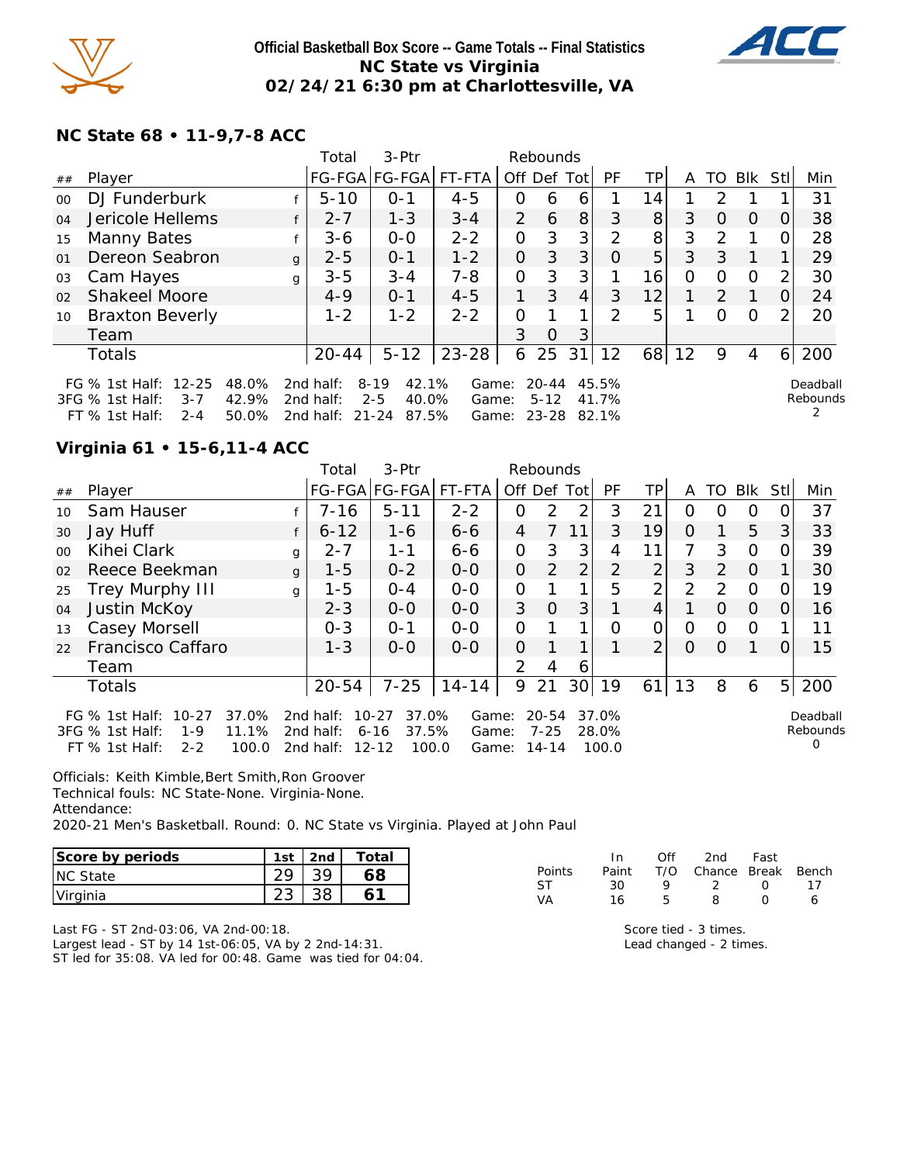

### **Official Basketball Box Score -- Game Totals -- Final Statistics NC State vs Virginia 02/24/21 6:30 pm at Charlottesville, VA**



## **NC State 68 • 11-9,7-8 ACC**

|         |                                                                                            |                         | Total                               | $3-Ptr$<br>Rebounds                                         |                         |                |                       |                |                |                |    |               |          |          |                           |
|---------|--------------------------------------------------------------------------------------------|-------------------------|-------------------------------------|-------------------------------------------------------------|-------------------------|----------------|-----------------------|----------------|----------------|----------------|----|---------------|----------|----------|---------------------------|
| ##      | Player                                                                                     |                         |                                     | FG-FGA FG-FGA  FT-FTA                                       |                         |                |                       | Off Def Tot    | PF             | ТP             | A  | TO            | Blk      | Stl      | Min                       |
| $00 \,$ | DJ Funderburk                                                                              |                         | $5 - 10$                            | $0 - 1$                                                     | $4 - 5$                 | Ο              | 6                     | 6              |                | 14.            |    | 2             |          |          | 31                        |
| 04      | Jericole Hellems                                                                           |                         | $2 - 7$<br>f                        | $1 - 3$                                                     | $3 - 4$                 | $\overline{2}$ | 6                     | 8              | 3              | 8 <sup>1</sup> | 3  | $\Omega$      | $\Omega$ | $\Omega$ | 38                        |
| 15      | Manny Bates                                                                                |                         | $3 - 6$                             | $O-O$                                                       | $2 - 2$                 | 0              | 3                     | 3 <sup>1</sup> | $\mathcal{P}$  | 8 <sup>1</sup> | 3  | $\mathcal{P}$ |          |          | 28                        |
| 01      | Dereon Seabron                                                                             | $\mathbf{q}$            | $2 - 5$                             | $O - 1$                                                     | $1 - 2$                 | 0              | 3                     | 3 <sub>l</sub> | Ω              | 5              | 3  | 3             |          |          | 29                        |
| 03      | Cam Hayes                                                                                  | q                       | $3 - 5$                             | $3 - 4$                                                     | $7 - 8$                 | 0              | 3                     | 3 <sub>l</sub> |                | 16             | 0  | $\Omega$      | $\Omega$ |          | 30                        |
| 02      | <b>Shakeel Moore</b>                                                                       |                         | $4 - 9$                             | $O - 1$                                                     | $4 - 5$                 | 1.             | 3                     | $\overline{4}$ | 3              | 12             |    | $\mathcal{P}$ |          |          | 24                        |
| 10      | <b>Braxton Beverly</b>                                                                     |                         | $1 - 2$                             | $1 - 2$                                                     | $2 - 2$                 | 0              |                       | 1              | $\mathcal{P}$  | 5              |    | $\Omega$      | $\Omega$ |          | 20                        |
|         | Team                                                                                       |                         |                                     |                                                             |                         | 3              | $\circ$               | 3              |                |                |    |               |          |          |                           |
|         | Totals                                                                                     |                         | $20 - 44$                           | $5 - 12$                                                    | 23-28                   | 6              | 25                    | 31             | 12             | 68             | 12 | 9             | 4        | 6        | 200                       |
|         | $12 - 25$<br>FG $%$ 1st Half:<br>3FG % 1st Half:<br>$3 - 7$<br>$2 - 4$<br>$FT$ % 1st Half: | 48.0%<br>42.9%<br>50.0% | 2nd half:<br>2nd half:<br>2nd half: | 42.1%<br>$8 - 19$<br>$2 - 5$<br>40.0%<br>$21 - 24$<br>87.5% | Game:<br>Game:<br>Game: |                | $20 - 44$<br>$5 - 12$ | 23-28 82.1%    | 45.5%<br>41.7% |                |    |               |          |          | Deadball<br>Rebounds<br>2 |

## **Virginia 61 • 15-6,11-4 ACC**

|         |                                                                                                                        |              | 3-Ptr<br>Total<br>Rebounds          |                                                               |                         |                |                        |                 |                         |                 |          |          |          |          |                           |
|---------|------------------------------------------------------------------------------------------------------------------------|--------------|-------------------------------------|---------------------------------------------------------------|-------------------------|----------------|------------------------|-----------------|-------------------------|-----------------|----------|----------|----------|----------|---------------------------|
| ##      | Player                                                                                                                 |              |                                     | FG-FGA FG-FGA                                                 | FT-FTA                  | Off Def Tot    |                        |                 | PF.                     | TP              | A        | TO       | Blk      | StII     | Min                       |
| 10      | Sam Hauser                                                                                                             |              | $7 - 16$                            | $5 - 11$                                                      | $2 - 2$                 | O              | $\mathcal{P}$          | 2               | 3                       | 21              | 0        | $\Omega$ | O        | 0        | 37                        |
| 30      | Jay Huff                                                                                                               |              | $6 - 12$                            | 1-6                                                           | $6 - 6$                 | 4              | 7                      | 11              | 3                       | 19              | $\Omega$ |          | 5        | 3        | 33                        |
| $00 \,$ | Kihei Clark                                                                                                            | q            | $2 - 7$                             | $1 - 1$                                                       | $6 - 6$                 | $\overline{O}$ | 3                      | 3               | 4                       | 11              |          | 3        | $\circ$  | O        | 39                        |
| 02      | Reece Beekman                                                                                                          | $\mathbf{q}$ | $1 - 5$                             | $0 - 2$                                                       | $0 - 0$                 | $\Omega$       | 2                      | $\overline{2}$  | $\overline{2}$          | 2               | 3        | 2        | $\Omega$ |          | 30                        |
| 25      | Trey Murphy III                                                                                                        | $\mathbf{q}$ | $1 - 5$                             | $0 - 4$                                                       | $0 - 0$                 | 0              |                        | 1               | 5                       | $\overline{2}$  | 2        | 2        | $\Omega$ | 0        | 19                        |
| 04      | Justin McKoy                                                                                                           |              | $2 - 3$                             | $0 - 0$                                                       | $0 - 0$                 | 3              | $\Omega$               | 3 <sup>1</sup>  |                         | 4               |          | $\Omega$ | $\Omega$ | $\Omega$ | 16                        |
| 13      | Casey Morsell                                                                                                          |              | $0 - 3$                             | $0 - 1$                                                       | $0 - 0$                 | 0              |                        | 1               | $\Omega$                | 0               | 0        | O        | $\Omega$ |          | 11                        |
| 22      | Francisco Caffaro                                                                                                      |              | $1 - 3$                             | $0 - 0$                                                       | $0-0$                   | 0              |                        |                 |                         | $\overline{2}$  | $\Omega$ | 0        |          | $\Omega$ | 15                        |
|         | Team                                                                                                                   |              |                                     |                                                               |                         | $\mathcal{P}$  | 4                      | 6               |                         |                 |          |          |          |          |                           |
|         | <b>Totals</b>                                                                                                          |              | $20 - 54$                           | $7 - 25$                                                      | $14 - 14$               | 9              | 21                     | 30 <sup>1</sup> | 19                      | 61 <sub>1</sub> | 13       | 8        | 6        |          | 5 200                     |
|         | 37.0%<br>FG $\%$ 1st Half:<br>$10 - 27$<br>11.1%<br>3FG % 1st Half:<br>$1 - 9$<br>FT $%$ 1st Half:<br>100.0<br>$2 - 2$ |              | 2nd half:<br>2nd half:<br>2nd half: | 37.0%<br>$10 - 27$<br>37.5%<br>$6 - 16$<br>$12 - 12$<br>100.0 | Game:<br>Game:<br>Game: |                | 20-54<br>7-25<br>14-14 |                 | 37.0%<br>28.0%<br>100.0 |                 |          |          |          |          | Deadball<br>Rebounds<br>Ω |

Officials: Keith Kimble,Bert Smith,Ron Groover Technical fouls: NC State-None. Virginia-None. Attendance:

2020-21 Men's Basketball. Round: 0. NC State vs Virginia. Played at John Paul

| Score by periods | 1st | 2nd | Totai |
|------------------|-----|-----|-------|
| <b>NC State</b>  |     |     |       |
| Virginia         |     |     |       |

|        | In.   | Off | 2nd Fast               |                  |     |
|--------|-------|-----|------------------------|------------------|-----|
| Points | Paint |     | T/O Chance Break Bench |                  |     |
| ST     | 30.   | o   | - 2 -                  | $\left( \right)$ | -17 |
| VA     | 16    | Б.  | я                      | O                | 6   |

Last FG - ST 2nd-03:06, VA 2nd-00:18. Largest lead - ST by 14 1st-06:05, VA by 2 2nd-14:31. ST led for 35:08. VA led for 00:48. Game was tied for 04:04.

Score tied - 3 times. Lead changed - 2 times.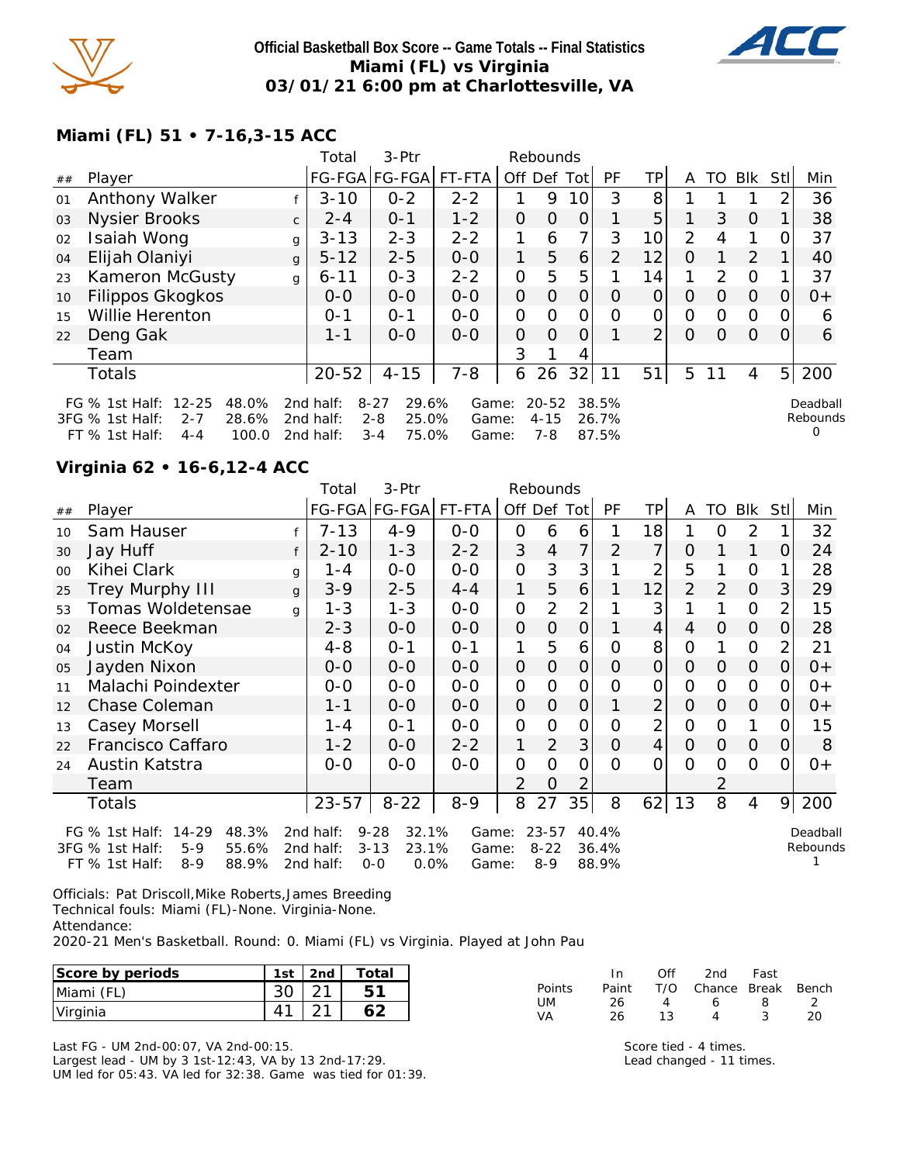

### **Official Basketball Box Score -- Game Totals -- Final Statistics Miami (FL) vs Virginia 03/01/21 6:00 pm at Charlottesville, VA**



## **Miami (FL) 51 • 7-16,3-15 ACC**

|    |                                                                                                                        | 3-Ptr<br>Total<br>Rebounds |                                        |                                                           |                         |                |                              |             |                         |                |                |          |          |                |                           |
|----|------------------------------------------------------------------------------------------------------------------------|----------------------------|----------------------------------------|-----------------------------------------------------------|-------------------------|----------------|------------------------------|-------------|-------------------------|----------------|----------------|----------|----------|----------------|---------------------------|
| ## | Player                                                                                                                 |                            |                                        | FG-FGA FG-FGA                                             | FT-FTA                  |                |                              | Off Def Tot | <b>PF</b>               | TP             | A              | TO       | Blk      | Stl            | Min                       |
| 01 | Anthony Walker                                                                                                         |                            | $3 - 10$                               | $0 - 2$                                                   | $2 - 2$                 |                | 9                            | 10          | 3                       | 8              |                |          |          | 2              | 36                        |
| 03 | Nysier Brooks                                                                                                          | $\mathsf{C}$               | $2 - 4$                                | $0 - 1$                                                   | $1 - 2$                 | 0              | $\Omega$                     | 0           |                         | 5              |                | 3        | $\Omega$ |                | 38                        |
| 02 | Isaiah Wong                                                                                                            | g                          | $3 - 13$                               | $2 - 3$                                                   | $2 - 2$                 |                | 6                            | 7           | 3                       | 10             | $\overline{2}$ | 4        | 1        | ∩              | 37                        |
| 04 | Elijah Olaniyi                                                                                                         | $\mathbf{q}$               | $5 - 12$                               | $2 - 5$                                                   | $0-0$                   | 1              | 5                            | 6           | $\overline{2}$          | 12             | O              |          | 2        |                | 40                        |
| 23 | Kameron McGusty                                                                                                        | g                          | $6 - 11$                               | $0 - 3$                                                   | $2 - 2$                 | $\overline{O}$ | 5                            | 5           |                         | 14             | 1              | 2        | $\Omega$ |                | 37                        |
| 10 | Filippos Gkogkos                                                                                                       |                            | $0-0$                                  | $0-0$                                                     | $0-0$                   | $\mathcal{O}$  | $\Omega$                     | $\Omega$    | $\Omega$                | $\overline{O}$ | $\circ$        | $\Omega$ | $\Omega$ | 0              | $0+$                      |
| 15 | Willie Herenton                                                                                                        |                            | $0 - 1$                                | $O - 1$                                                   | $0 - 0$                 | O              | $\circ$                      | 0           | 0                       | O              | 0              | $\Omega$ | $\Omega$ | O              | 6                         |
| 22 | Deng Gak                                                                                                               |                            | $1 - 1$                                | $0 - 0$                                                   | $0 - 0$                 | $\Omega$       | $\Omega$                     | $\Omega$    |                         | $\overline{2}$ | $\Omega$       | Ω        | $\Omega$ | 0              | 6                         |
|    | Team                                                                                                                   |                            |                                        |                                                           |                         | 3              |                              | 4           |                         |                |                |          |          |                |                           |
|    | Totals                                                                                                                 |                            | $20 - 52$                              | $4 - 15$                                                  | $7 - 8$                 | 6              | 26                           | 32          | 11                      | 51             | 5              | 11       | 4        | 5 <sup>1</sup> | 200                       |
|    | $12 - 25$<br>48.0%<br>FG $\%$ 1st Half:<br>3FG % 1st Half:<br>$2 - 7$<br>28.6%<br>$FT$ % 1st Half:<br>100.0<br>$4 - 4$ |                            | 2nd half:<br>2 $nd$ half:<br>2nd half: | $8 - 27$<br>29.6%<br>25.0%<br>$2 - 8$<br>75.0%<br>$3 - 4$ | Game:<br>Game:<br>Game: |                | $20 - 52$<br>$4 - 15$<br>7-8 |             | 38.5%<br>26.7%<br>87.5% |                |                |          |          |                | Deadball<br>Rebounds<br>O |

### **Virginia 62 • 16-6,12-4 ACC**

|    |                                                                         |   | 3-Ptr<br>Total<br>Rebounds |                                    |                |                |                     |                |                |                |                |               |                |                |          |
|----|-------------------------------------------------------------------------|---|----------------------------|------------------------------------|----------------|----------------|---------------------|----------------|----------------|----------------|----------------|---------------|----------------|----------------|----------|
| ## | Player                                                                  |   |                            | FG-FGA FG-FGA FT-FTA               |                | Off Def Tot    |                     |                | PF             | TP             | A              | TO            | <b>BIK</b>     | <b>StI</b>     | Min      |
| 10 | Sam Hauser                                                              |   | $7 - 13$                   | $4 - 9$                            | $0-0$          | 0              | 6                   | 6              |                | 18             |                | 0             | 2              |                | 32       |
| 30 | Jay Huff                                                                |   | $2 - 10$                   | $1 - 3$                            | $2 - 2$        | 3              | 4                   | 7              | $\overline{2}$ | 7              | O              |               | 1              | $\Omega$       | 24       |
| 00 | Kihei Clark                                                             | g | 1 - 4                      | $0-0$                              | $0-0$          | $\overline{O}$ | 3                   | 3              |                | 2              | 5              |               | $\mathbf 0$    |                | 28       |
| 25 | <b>Trey Murphy III</b>                                                  | g | $3 - 9$                    | $2 - 5$                            | $4 - 4$        | 1              | 5                   | 6              |                | 12             | $\overline{2}$ | $\mathcal{P}$ | $\circ$        | 3              | 29       |
| 53 | Tomas Woldetensae                                                       | q | $1 - 3$                    | $1 - 3$                            | $0-0$          | $\overline{O}$ | 2                   | 2              |                | 3              |                |               | $\Omega$       | $\overline{2}$ | 15       |
| 02 | Reece Beekman                                                           |   | $2 - 3$                    | $0-0$                              | $0-0$          | $\overline{O}$ | $\overline{O}$      | $\overline{O}$ |                | 4              | 4              | 0             | 0              | 0              | 28       |
| 04 | Justin McKoy                                                            |   | $4 - 8$                    | $0 - 1$                            | $0 - 1$        | 1              | 5                   | 6              | O              | 8              | 0              |               | $\Omega$       | 2              | 21       |
| 05 | Jayden Nixon                                                            |   | $0 - 0$                    | $0-0$                              | $0-0$          | $\overline{O}$ | 0                   | 0              | O              | $\overline{O}$ | $\Omega$       | 0             | $\overline{O}$ | 0              | $0+$     |
| 11 | Malachi Poindexter                                                      |   | $0-0$                      | $0 - 0$                            | $0 - 0$        | $\overline{O}$ | O                   | 0              | Ω              | 0              | 0              | O             | $\Omega$       | 0              | $0+$     |
| 12 | Chase Coleman                                                           |   | $1 - 1$                    | $0-0$                              | $0-0$          | 0              | $\overline{O}$      | 0              |                | $\overline{2}$ | $\overline{O}$ | O             | $\overline{O}$ | 0              | $0+$     |
| 13 | Casey Morsell                                                           |   | 1 - 4                      | $0 - 1$                            | $0 - 0$        | $\overline{O}$ | O                   | $\Omega$       | $\Omega$       | $\overline{2}$ | $\Omega$       | Ο             | 1              | 0              | 15       |
| 22 | Francisco Caffaro                                                       |   | $1 - 2$                    | $0-0$                              | $2 - 2$        | 1              | 2                   | 3              | 0              | $\overline{4}$ | $\Omega$       | 0             | $\Omega$       | 0              | 8        |
| 24 | Austin Katstra                                                          |   | $0 - 0$                    | $0 - 0$                            | $0 - 0$        | $\overline{O}$ | 0                   | $\overline{O}$ | $\Omega$       | 0              | $\Omega$       | 0             | $\Omega$       | 0              | $0+$     |
|    | Team                                                                    |   |                            |                                    |                | $\overline{2}$ | O                   | 2              |                |                |                | 2             |                |                |          |
|    | Totals                                                                  |   | $23 - 57$                  | $8 - 22$                           | $8 - 9$        | 8              | 27                  | 35             | 8              | 62             | 13             | 8             | 4              | 9              | 200      |
|    | $14 - 29$<br>48.3%<br>FG $%$ 1st Half:                                  |   | 2nd half:                  | $9 - 28$<br>32.1%                  | Game:          |                | $23 - 57$           |                | 40.4%          |                |                |               |                |                | Deadball |
|    | 3FG % 1st Half:<br>$5-9$<br>55.6%<br>88.9%<br>FT % 1st Half:<br>$8 - 9$ |   | 2nd half:<br>2nd half:     | $3 - 13$<br>23.1%<br>0.0%<br>$0-0$ | Game:<br>Game: |                | $8 - 22$<br>$8 - 9$ |                | 36.4%<br>88.9% |                |                |               |                |                | Rebounds |

Officials: Pat Driscoll,Mike Roberts,James Breeding Technical fouls: Miami (FL)-None. Virginia-None. Attendance:

2020-21 Men's Basketball. Round: 0. Miami (FL) vs Virginia. Played at John Pau

| Score by periods | 1st         | 2nd           | $\tau$ otal         |          | In    | Ofi | 2nd    | Fast  |       |
|------------------|-------------|---------------|---------------------|----------|-------|-----|--------|-------|-------|
| Miami (FL)       | ົ<br>3U     | $\sim$ 1<br>_ | <u>га</u><br>∽<br>ັ | Points   | Paint | T/O | Chance | Break | Bench |
| Virginia         | $\Lambda$ 1 | $\sim$ 1      |                     | UM<br>VA | 26    |     |        |       | 20    |

Last FG - UM 2nd-00:07, VA 2nd-00:15. Largest lead - UM by 3 1st-12:43, VA by 13 2nd-17:29. UM led for 05:43. VA led for 32:38. Game was tied for 01:39. Score tied - 4 times. Lead changed - 11 times.